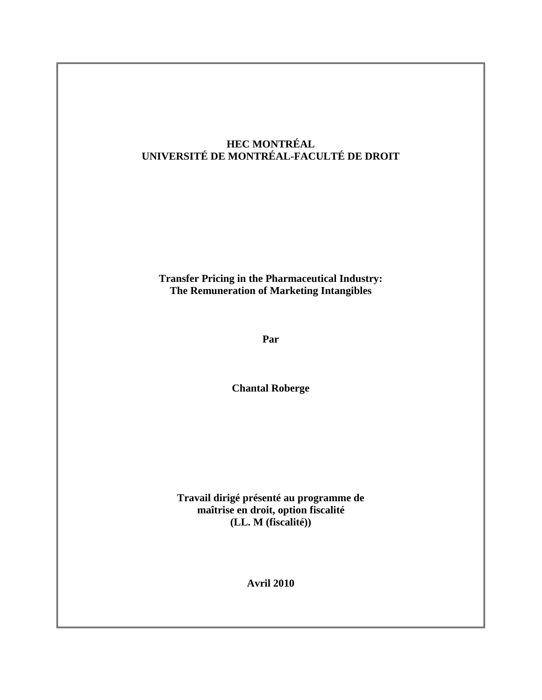## **HEC MONTRÉAL UNIVERSITÉ DE MONTRÉAL-FACULTÉ DE DROIT**

**Transfer Pricing in the Pharmaceutical Industry: The Remuneration of Marketing Intangibles**

**Par**

**Chantal Roberge**

**Travail dirigé présenté au programme de maîtrise en droit, option fiscalité (LL. M (fiscalité))**

**Avril 2010**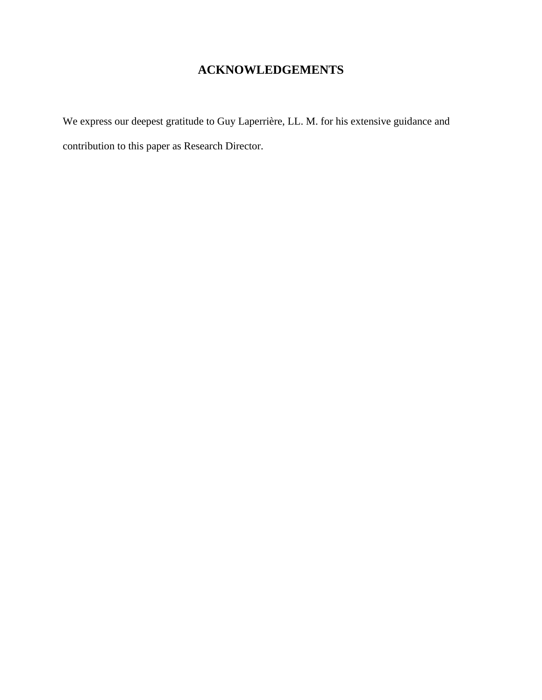# **ACKNOWLEDGEMENTS**

We express our deepest gratitude to Guy Laperrière, LL. M. for his extensive guidance and contribution to this paper as Research Director.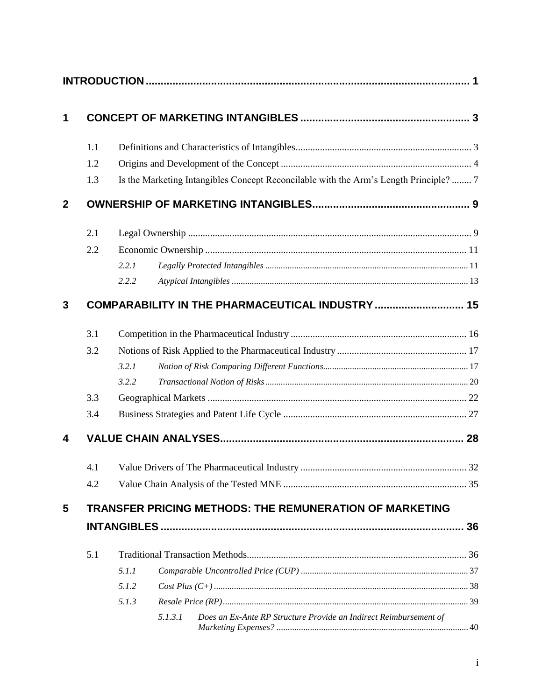| 1            |                                                  |                                                                                       |         |                                                                   |  |  |  |  |
|--------------|--------------------------------------------------|---------------------------------------------------------------------------------------|---------|-------------------------------------------------------------------|--|--|--|--|
|              | 1.1                                              |                                                                                       |         |                                                                   |  |  |  |  |
|              | 1.2                                              |                                                                                       |         |                                                                   |  |  |  |  |
|              | 1.3                                              | Is the Marketing Intangibles Concept Reconcilable with the Arm's Length Principle?  7 |         |                                                                   |  |  |  |  |
| $\mathbf{2}$ |                                                  |                                                                                       |         |                                                                   |  |  |  |  |
|              | 2.1                                              |                                                                                       |         |                                                                   |  |  |  |  |
|              | 2.2                                              |                                                                                       |         |                                                                   |  |  |  |  |
|              |                                                  | 2.2.1                                                                                 |         |                                                                   |  |  |  |  |
|              |                                                  | 2.2.2                                                                                 |         |                                                                   |  |  |  |  |
| 3            | COMPARABILITY IN THE PHARMACEUTICAL INDUSTRY  15 |                                                                                       |         |                                                                   |  |  |  |  |
|              | 3.1                                              |                                                                                       |         |                                                                   |  |  |  |  |
|              | 3.2                                              |                                                                                       |         |                                                                   |  |  |  |  |
|              |                                                  | 3.2.1                                                                                 |         |                                                                   |  |  |  |  |
|              |                                                  | 3.2.2                                                                                 |         |                                                                   |  |  |  |  |
|              | 3.3                                              |                                                                                       |         |                                                                   |  |  |  |  |
|              | 3.4                                              |                                                                                       |         |                                                                   |  |  |  |  |
| 4            |                                                  |                                                                                       |         |                                                                   |  |  |  |  |
|              |                                                  |                                                                                       |         |                                                                   |  |  |  |  |
|              | 4.2                                              |                                                                                       |         |                                                                   |  |  |  |  |
| 5            |                                                  |                                                                                       |         | <b>TRANSFER PRICING METHODS: THE REMUNERATION OF MARKETING</b>    |  |  |  |  |
|              |                                                  |                                                                                       |         |                                                                   |  |  |  |  |
|              | 5.1                                              |                                                                                       |         |                                                                   |  |  |  |  |
|              |                                                  | 5.1.1                                                                                 |         |                                                                   |  |  |  |  |
|              |                                                  | 5.1.2                                                                                 |         |                                                                   |  |  |  |  |
|              |                                                  | 5.1.3                                                                                 |         |                                                                   |  |  |  |  |
|              |                                                  |                                                                                       | 5.1.3.1 | Does an Ex-Ante RP Structure Provide an Indirect Reimbursement of |  |  |  |  |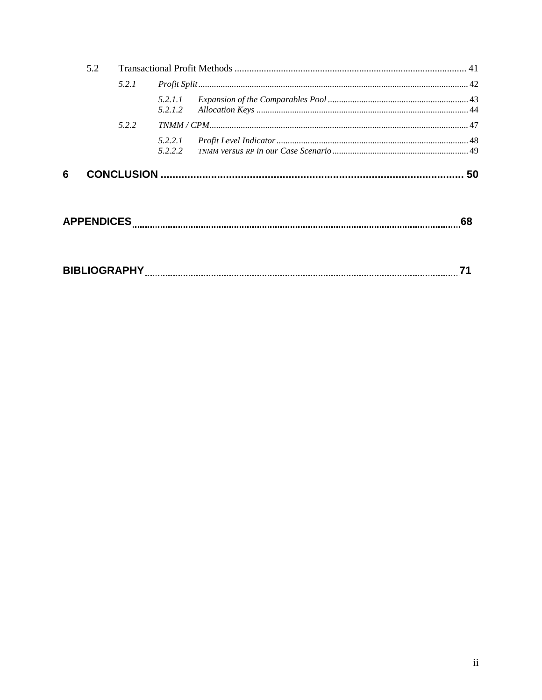|   | 5.2               |       |                    |  |    |
|---|-------------------|-------|--------------------|--|----|
|   |                   | 5.2.1 |                    |  |    |
|   |                   |       | 5.2.1.1<br>5.2.1.2 |  |    |
|   |                   | 5.2.2 |                    |  |    |
|   |                   |       | 5.2.2.1<br>5.2.2.2 |  |    |
| 6 |                   |       |                    |  | 50 |
|   | <b>APPENDICES</b> |       |                    |  | 68 |

| <b>BIBLIOGRAPHY</b> |  |  |  |
|---------------------|--|--|--|
|---------------------|--|--|--|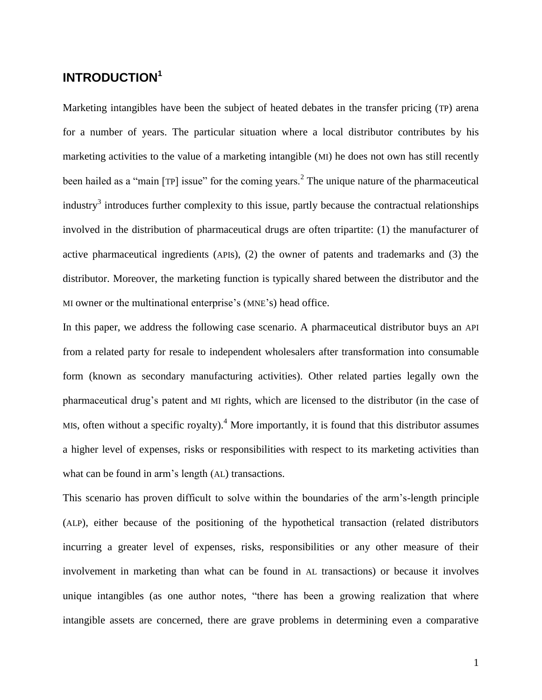# <span id="page-4-0"></span>**INTRODUCTION<sup>1</sup>**

Marketing intangibles have been the subject of heated debates in the transfer pricing (TP) arena for a number of years. The particular situation where a local distributor contributes by his marketing activities to the value of a marketing intangible (MI) he does not own has still recently been hailed as a "main [TP] issue" for the coming years.<sup>2</sup> The unique nature of the pharmaceutical industry<sup>3</sup> introduces further complexity to this issue, partly because the contractual relationships involved in the distribution of pharmaceutical drugs are often tripartite: (1) the manufacturer of active pharmaceutical ingredients (APIs), (2) the owner of patents and trademarks and (3) the distributor. Moreover, the marketing function is typically shared between the distributor and the MI owner or the multinational enterprise"s (MNE"s) head office.

In this paper, we address the following case scenario. A pharmaceutical distributor buys an API from a related party for resale to independent wholesalers after transformation into consumable form (known as secondary manufacturing activities). Other related parties legally own the pharmaceutical drug"s patent and MI rights, which are licensed to the distributor (in the case of MIs, often without a specific royalty).<sup>4</sup> More importantly, it is found that this distributor assumes a higher level of expenses, risks or responsibilities with respect to its marketing activities than what can be found in arm's length (AL) transactions.

This scenario has proven difficult to solve within the boundaries of the arm"s-length principle (ALP), either because of the positioning of the hypothetical transaction (related distributors incurring a greater level of expenses, risks, responsibilities or any other measure of their involvement in marketing than what can be found in AL transactions) or because it involves unique intangibles (as one author notes, "there has been a growing realization that where intangible assets are concerned, there are grave problems in determining even a comparative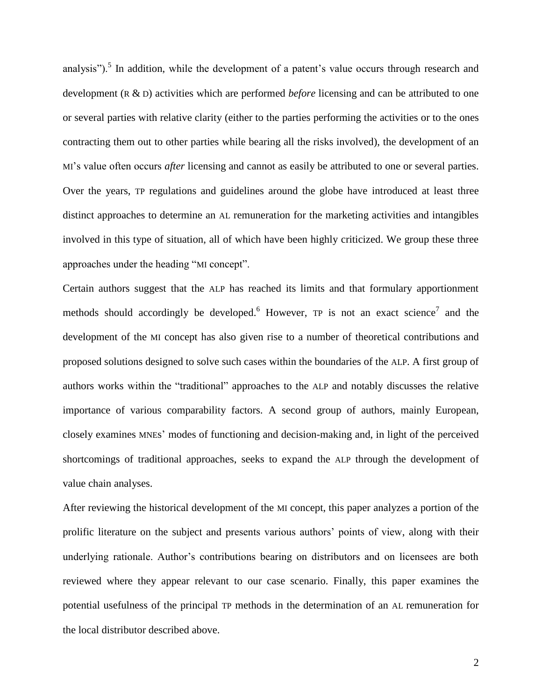analysis").<sup>5</sup> In addition, while the development of a patent's value occurs through research and development (R & D) activities which are performed *before* licensing and can be attributed to one or several parties with relative clarity (either to the parties performing the activities or to the ones contracting them out to other parties while bearing all the risks involved), the development of an MI"s value often occurs *after* licensing and cannot as easily be attributed to one or several parties. Over the years, TP regulations and guidelines around the globe have introduced at least three distinct approaches to determine an AL remuneration for the marketing activities and intangibles involved in this type of situation, all of which have been highly criticized. We group these three approaches under the heading "MI concept".

Certain authors suggest that the ALP has reached its limits and that formulary apportionment methods should accordingly be developed.<sup>6</sup> However,  $TP$  is not an exact science<sup>7</sup> and the development of the MI concept has also given rise to a number of theoretical contributions and proposed solutions designed to solve such cases within the boundaries of the ALP. A first group of authors works within the "traditional" approaches to the ALP and notably discusses the relative importance of various comparability factors. A second group of authors, mainly European, closely examines MNEs" modes of functioning and decision-making and, in light of the perceived shortcomings of traditional approaches, seeks to expand the ALP through the development of value chain analyses.

After reviewing the historical development of the MI concept, this paper analyzes a portion of the prolific literature on the subject and presents various authors" points of view, along with their underlying rationale. Author's contributions bearing on distributors and on licensees are both reviewed where they appear relevant to our case scenario. Finally, this paper examines the potential usefulness of the principal TP methods in the determination of an AL remuneration for the local distributor described above.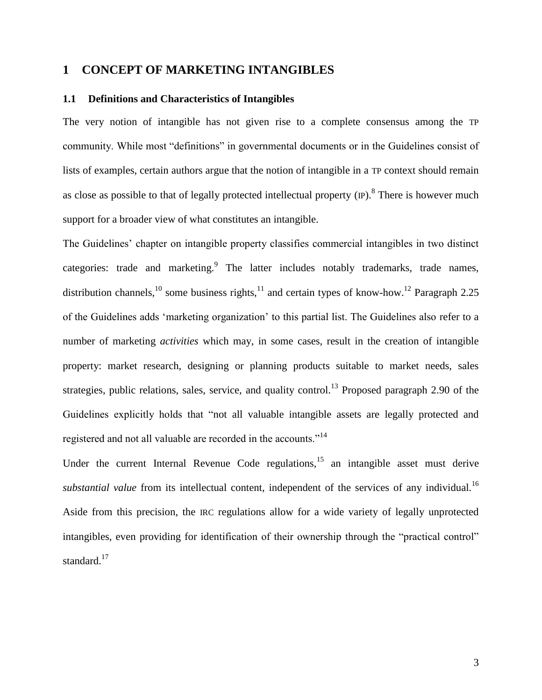## <span id="page-6-0"></span>**1 CONCEPT OF MARKETING INTANGIBLES**

## <span id="page-6-1"></span>**1.1 Definitions and Characteristics of Intangibles**

The very notion of intangible has not given rise to a complete consensus among the TP community. While most "definitions" in governmental documents or in the Guidelines consist of lists of examples, certain authors argue that the notion of intangible in a TP context should remain as close as possible to that of legally protected intellectual property  $(P)$ .<sup>8</sup> There is however much support for a broader view of what constitutes an intangible.

The Guidelines" chapter on intangible property classifies commercial intangibles in two distinct categories: trade and marketing. The latter includes notably trademarks, trade names, distribution channels,<sup>10</sup> some business rights,<sup>11</sup> and certain types of know-how.<sup>12</sup> Paragraph 2.25 of the Guidelines adds "marketing organization" to this partial list. The Guidelines also refer to a number of marketing *activities* which may, in some cases, result in the creation of intangible property: market research, designing or planning products suitable to market needs, sales strategies, public relations, sales, service, and quality control.<sup>13</sup> Proposed paragraph 2.90 of the Guidelines explicitly holds that "not all valuable intangible assets are legally protected and registered and not all valuable are recorded in the accounts."<sup>14</sup>

Under the current Internal Revenue Code regulations,  $15$  an intangible asset must derive *substantial value* from its intellectual content, independent of the services of any individual.<sup>16</sup> Aside from this precision, the IRC regulations allow for a wide variety of legally unprotected intangibles, even providing for identification of their ownership through the "practical control" standard.<sup>17</sup>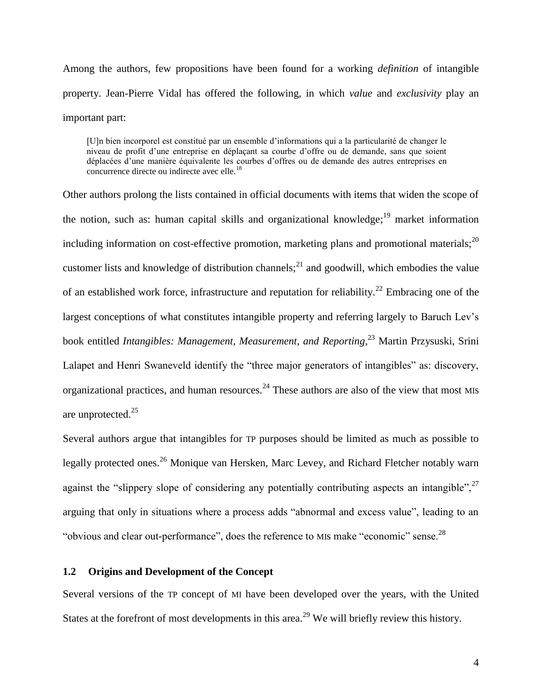Among the authors, few propositions have been found for a working *definition* of intangible property. Jean-Pierre Vidal has offered the following, in which *value* and *exclusivity* play an important part:

[U]n bien incorporel est constitué par un ensemble d"informations qui a la particularité de changer le niveau de profit d"une entreprise en déplaçant sa courbe d"offre ou de demande, sans que soient déplacées d"une manière équivalente les courbes d"offres ou de demande des autres entreprises en concurrence directe ou indirecte avec elle.<sup>18</sup>

Other authors prolong the lists contained in official documents with items that widen the scope of the notion, such as: human capital skills and organizational knowledge;<sup>19</sup> market information including information on cost-effective promotion, marketing plans and promotional materials; $^{20}$ customer lists and knowledge of distribution channels;  $^{21}$  and goodwill, which embodies the value of an established work force, infrastructure and reputation for reliability.<sup>22</sup> Embracing one of the largest conceptions of what constitutes intangible property and referring largely to Baruch Lev's book entitled *Intangibles: Management, Measurement, and Reporting*, <sup>23</sup> Martin Przysuski, Srini Lalapet and Henri Swaneveld identify the "three major generators of intangibles" as: discovery, organizational practices, and human resources.<sup>24</sup> These authors are also of the view that most MIs are unprotected.<sup>25</sup>

Several authors argue that intangibles for TP purposes should be limited as much as possible to legally protected ones.<sup>26</sup> Monique van Hersken, Marc Levey, and Richard Fletcher notably warn against the "slippery slope of considering any potentially contributing aspects an intangible", $^{27}$ arguing that only in situations where a process adds "abnormal and excess value", leading to an "obvious and clear out-performance", does the reference to MIs make "economic" sense.<sup>28</sup>

## <span id="page-7-0"></span>**1.2 Origins and Development of the Concept**

Several versions of the TP concept of MI have been developed over the years, with the United States at the forefront of most developments in this area.<sup>29</sup> We will briefly review this history.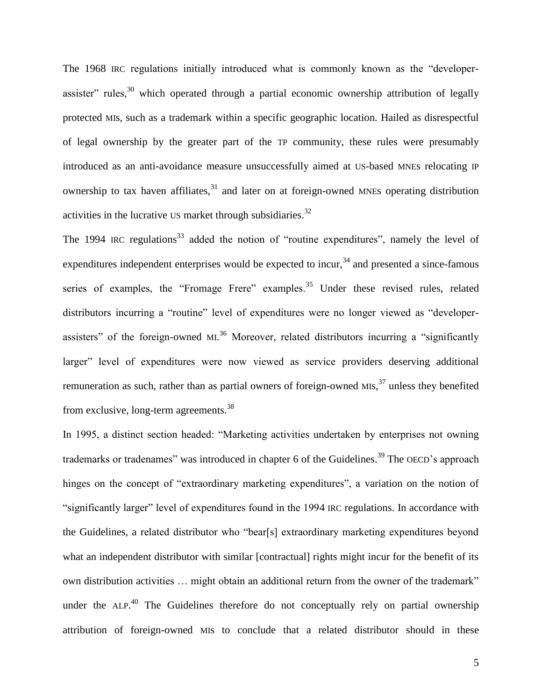The 1968 IRC regulations initially introduced what is commonly known as the "developerassister" rules,  $30$  which operated through a partial economic ownership attribution of legally protected MIs, such as a trademark within a specific geographic location. Hailed as disrespectful of legal ownership by the greater part of the TP community, these rules were presumably introduced as an anti-avoidance measure unsuccessfully aimed at US-based MNEs relocating IP ownership to tax haven affiliates, $31$  and later on at foreign-owned MNEs operating distribution activities in the lucrative US market through subsidiaries. $32$ 

The 1994 IRC regulations<sup>33</sup> added the notion of "routine expenditures", namely the level of expenditures independent enterprises would be expected to incur,  $34$  and presented a since-famous series of examples, the "Fromage Frere" examples.<sup>35</sup> Under these revised rules, related distributors incurring a "routine" level of expenditures were no longer viewed as "developerassisters" of the foreign-owned ML<sup>36</sup> Moreover, related distributors incurring a "significantly larger" level of expenditures were now viewed as service providers deserving additional remuneration as such, rather than as partial owners of foreign-owned MIs,<sup>37</sup> unless they benefited from exclusive, long-term agreements.<sup>38</sup>

In 1995, a distinct section headed: "Marketing activities undertaken by enterprises not owning trademarks or tradenames" was introduced in chapter 6 of the Guidelines.<sup>39</sup> The OECD's approach hinges on the concept of "extraordinary marketing expenditures", a variation on the notion of "significantly larger" level of expenditures found in the 1994 IRC regulations. In accordance with the Guidelines, a related distributor who "bear[s] extraordinary marketing expenditures beyond what an independent distributor with similar [contractual] rights might incur for the benefit of its own distribution activities … might obtain an additional return from the owner of the trademark" under the  $ALP$ <sup>40</sup> The Guidelines therefore do not conceptually rely on partial ownership attribution of foreign-owned MIs to conclude that a related distributor should in these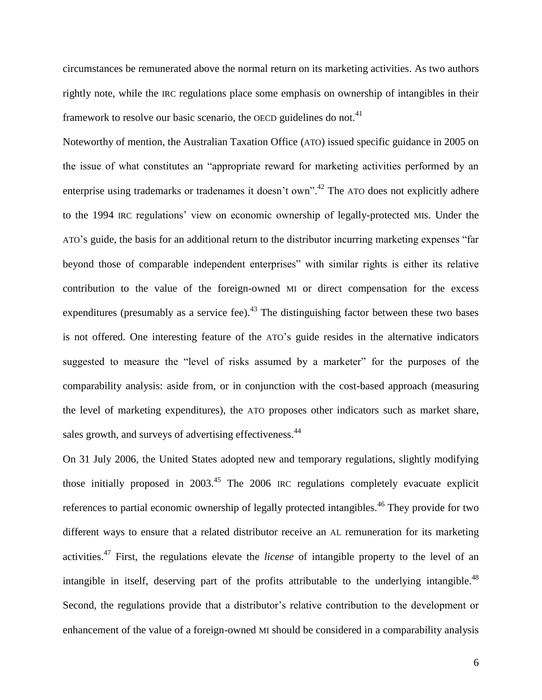circumstances be remunerated above the normal return on its marketing activities. As two authors rightly note, while the IRC regulations place some emphasis on ownership of intangibles in their framework to resolve our basic scenario, the OECD guidelines do not.<sup>41</sup>

Noteworthy of mention, the Australian Taxation Office (ATO) issued specific guidance in 2005 on the issue of what constitutes an "appropriate reward for marketing activities performed by an enterprise using trademarks or tradenames it doesn't own".<sup>42</sup> The ATO does not explicitly adhere to the 1994 IRC regulations" view on economic ownership of legally-protected MIs. Under the ATO"s guide, the basis for an additional return to the distributor incurring marketing expenses "far beyond those of comparable independent enterprises" with similar rights is either its relative contribution to the value of the foreign-owned MI or direct compensation for the excess expenditures (presumably as a service fee). $^{43}$  The distinguishing factor between these two bases is not offered. One interesting feature of the ATO"s guide resides in the alternative indicators suggested to measure the "level of risks assumed by a marketer" for the purposes of the comparability analysis: aside from, or in conjunction with the cost-based approach (measuring the level of marketing expenditures), the ATO proposes other indicators such as market share, sales growth, and surveys of advertising effectiveness.<sup>44</sup>

On 31 July 2006, the United States adopted new and temporary regulations, slightly modifying those initially proposed in  $2003<sup>45</sup>$  The  $2006$  IRC regulations completely evacuate explicit references to partial economic ownership of legally protected intangibles.<sup>46</sup> They provide for two different ways to ensure that a related distributor receive an AL remuneration for its marketing activities.<sup>47</sup> First, the regulations elevate the *license* of intangible property to the level of an intangible in itself, deserving part of the profits attributable to the underlying intangible.<sup>48</sup> Second, the regulations provide that a distributor's relative contribution to the development or enhancement of the value of a foreign-owned MI should be considered in a comparability analysis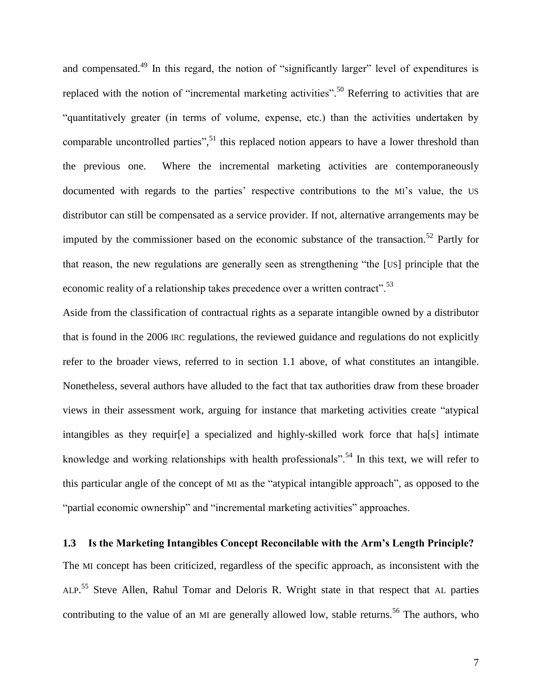and compensated.<sup>49</sup> In this regard, the notion of "significantly larger" level of expenditures is replaced with the notion of "incremental marketing activities".<sup>50</sup> Referring to activities that are "quantitatively greater (in terms of volume, expense, etc.) than the activities undertaken by comparable uncontrolled parties",<sup>51</sup> this replaced notion appears to have a lower threshold than the previous one. Where the incremental marketing activities are contemporaneously documented with regards to the parties' respective contributions to the MI's value, the US distributor can still be compensated as a service provider. If not, alternative arrangements may be imputed by the commissioner based on the economic substance of the transaction.<sup>52</sup> Partly for that reason, the new regulations are generally seen as strengthening "the [US] principle that the economic reality of a relationship takes precedence over a written contract".<sup>53</sup>

Aside from the classification of contractual rights as a separate intangible owned by a distributor that is found in the 2006 IRC regulations, the reviewed guidance and regulations do not explicitly refer to the broader views, referred to in section 1.1 above, of what constitutes an intangible. Nonetheless, several authors have alluded to the fact that tax authorities draw from these broader views in their assessment work, arguing for instance that marketing activities create "atypical intangibles as they require a specialized and highly-skilled work force that has also intimate knowledge and working relationships with health professionals".<sup>54</sup> In this text, we will refer to this particular angle of the concept of MI as the "atypical intangible approach", as opposed to the "partial economic ownership" and "incremental marketing activities" approaches.

## <span id="page-10-0"></span>**1.3 Is the Marketing Intangibles Concept Reconcilable with the Arm's Length Principle?**

The MI concept has been criticized, regardless of the specific approach, as inconsistent with the ALP.<sup>55</sup> Steve Allen, Rahul Tomar and Deloris R. Wright state in that respect that AL parties contributing to the value of an MI are generally allowed low, stable returns.<sup>56</sup> The authors, who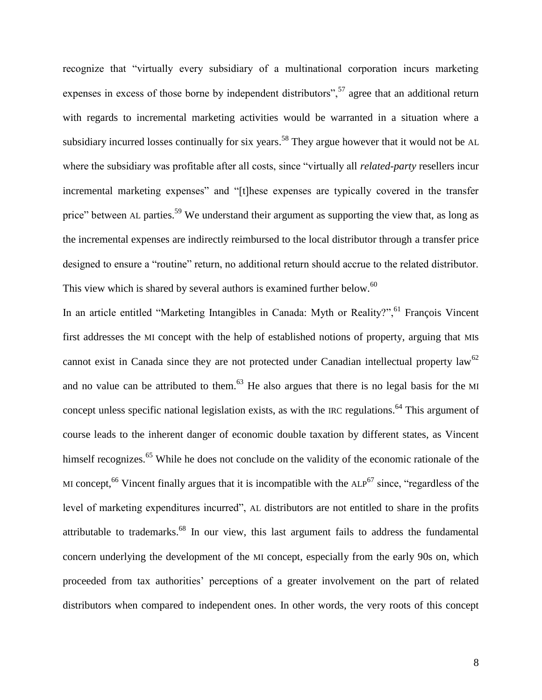recognize that "virtually every subsidiary of a multinational corporation incurs marketing expenses in excess of those borne by independent distributors",  $57$  agree that an additional return with regards to incremental marketing activities would be warranted in a situation where a subsidiary incurred losses continually for six years.<sup>58</sup> They argue however that it would not be AL where the subsidiary was profitable after all costs, since "virtually all *related-party* resellers incur incremental marketing expenses" and "[t]hese expenses are typically covered in the transfer price" between AL parties.<sup>59</sup> We understand their argument as supporting the view that, as long as the incremental expenses are indirectly reimbursed to the local distributor through a transfer price designed to ensure a "routine" return, no additional return should accrue to the related distributor. This view which is shared by several authors is examined further below.<sup>60</sup>

In an article entitled "Marketing Intangibles in Canada: Myth or Reality?", <sup>61</sup> François Vincent first addresses the MI concept with the help of established notions of property, arguing that MIs cannot exist in Canada since they are not protected under Canadian intellectual property law<sup>62</sup> and no value can be attributed to them.<sup>63</sup> He also argues that there is no legal basis for the MI concept unless specific national legislation exists, as with the IRC regulations.<sup>64</sup> This argument of course leads to the inherent danger of economic double taxation by different states, as Vincent himself recognizes.<sup>65</sup> While he does not conclude on the validity of the economic rationale of the MI concept,<sup>66</sup> Vincent finally argues that it is incompatible with the  $ALP<sup>67</sup>$  since, "regardless of the level of marketing expenditures incurred", AL distributors are not entitled to share in the profits attributable to trademarks.<sup>68</sup> In our view, this last argument fails to address the fundamental concern underlying the development of the MI concept, especially from the early 90s on, which proceeded from tax authorities" perceptions of a greater involvement on the part of related distributors when compared to independent ones. In other words, the very roots of this concept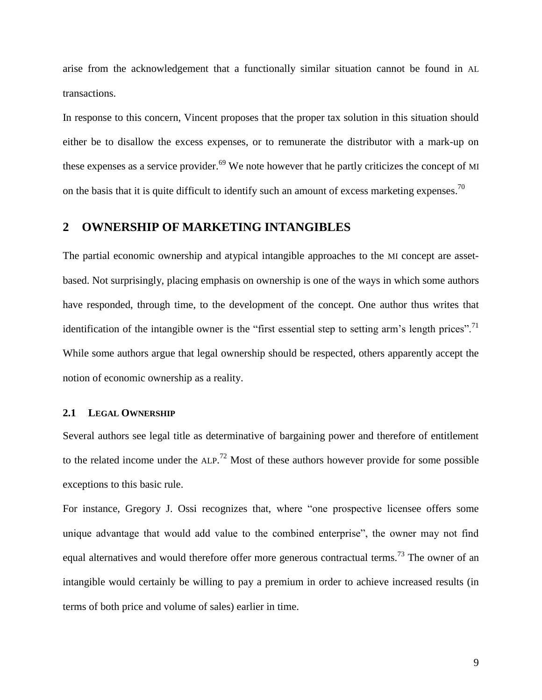arise from the acknowledgement that a functionally similar situation cannot be found in AL transactions.

In response to this concern, Vincent proposes that the proper tax solution in this situation should either be to disallow the excess expenses, or to remunerate the distributor with a mark-up on these expenses as a service provider.<sup>69</sup> We note however that he partly criticizes the concept of MI on the basis that it is quite difficult to identify such an amount of excess marketing expenses.<sup>70</sup>

## <span id="page-12-0"></span>**2 OWNERSHIP OF MARKETING INTANGIBLES**

The partial economic ownership and atypical intangible approaches to the MI concept are assetbased. Not surprisingly, placing emphasis on ownership is one of the ways in which some authors have responded, through time, to the development of the concept. One author thus writes that identification of the intangible owner is the "first essential step to setting arm's length prices".<sup>71</sup> While some authors argue that legal ownership should be respected, others apparently accept the notion of economic ownership as a reality.

#### <span id="page-12-1"></span>**2.1 LEGAL OWNERSHIP**

Several authors see legal title as determinative of bargaining power and therefore of entitlement to the related income under the  $ALP$ <sup>72</sup> Most of these authors however provide for some possible exceptions to this basic rule.

For instance, Gregory J. Ossi recognizes that, where "one prospective licensee offers some unique advantage that would add value to the combined enterprise", the owner may not find equal alternatives and would therefore offer more generous contractual terms.<sup>73</sup> The owner of an intangible would certainly be willing to pay a premium in order to achieve increased results (in terms of both price and volume of sales) earlier in time.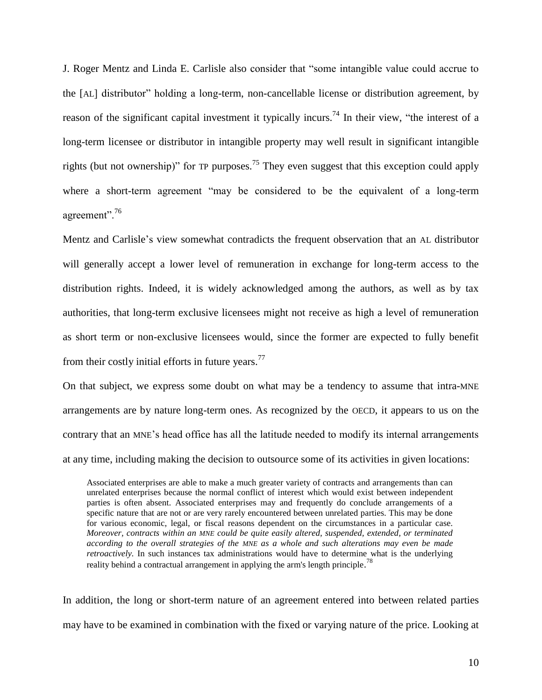J. Roger Mentz and Linda E. Carlisle also consider that "some intangible value could accrue to the [AL] distributor" holding a long-term, non-cancellable license or distribution agreement, by reason of the significant capital investment it typically incurs.<sup>74</sup> In their view, "the interest of a long-term licensee or distributor in intangible property may well result in significant intangible rights (but not ownership)" for TP purposes.<sup>75</sup> They even suggest that this exception could apply where a short-term agreement "may be considered to be the equivalent of a long-term agreement".<sup>76</sup>

Mentz and Carlisle"s view somewhat contradicts the frequent observation that an AL distributor will generally accept a lower level of remuneration in exchange for long-term access to the distribution rights. Indeed, it is widely acknowledged among the authors, as well as by tax authorities, that long-term exclusive licensees might not receive as high a level of remuneration as short term or non-exclusive licensees would, since the former are expected to fully benefit from their costly initial efforts in future years. $^{77}$ 

On that subject, we express some doubt on what may be a tendency to assume that intra-MNE arrangements are by nature long-term ones. As recognized by the OECD, it appears to us on the contrary that an MNE"s head office has all the latitude needed to modify its internal arrangements at any time, including making the decision to outsource some of its activities in given locations:

Associated enterprises are able to make a much greater variety of contracts and arrangements than can unrelated enterprises because the normal conflict of interest which would exist between independent parties is often absent. Associated enterprises may and frequently do conclude arrangements of a specific nature that are not or are very rarely encountered between unrelated parties. This may be done for various economic, legal, or fiscal reasons dependent on the circumstances in a particular case. *Moreover, contracts within an MNE could be quite easily altered, suspended, extended, or terminated according to the overall strategies of the MNE as a whole and such alterations may even be made retroactively.* In such instances tax administrations would have to determine what is the underlying reality behind a contractual arrangement in applying the arm's length principle.<sup>78</sup>

In addition, the long or short-term nature of an agreement entered into between related parties may have to be examined in combination with the fixed or varying nature of the price. Looking at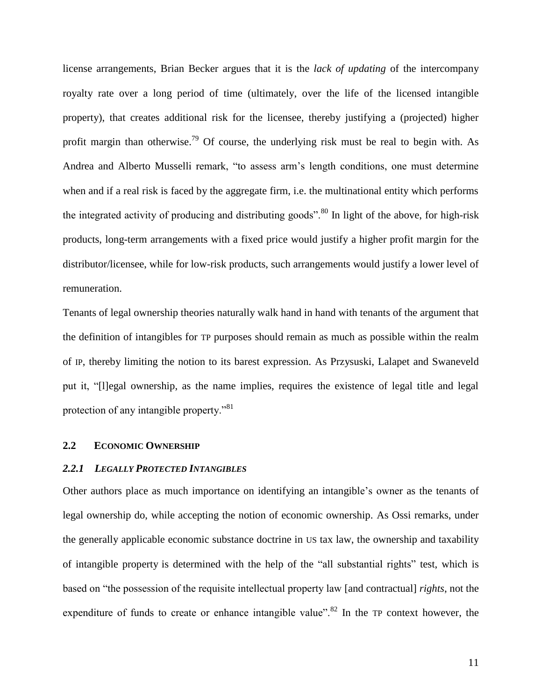license arrangements, Brian Becker argues that it is the *lack of updating* of the intercompany royalty rate over a long period of time (ultimately, over the life of the licensed intangible property), that creates additional risk for the licensee, thereby justifying a (projected) higher profit margin than otherwise.<sup>79</sup> Of course, the underlying risk must be real to begin with. As Andrea and Alberto Musselli remark, "to assess arm"s length conditions, one must determine when and if a real risk is faced by the aggregate firm, i.e. the multinational entity which performs the integrated activity of producing and distributing goods".<sup>80</sup> In light of the above, for high-risk products, long-term arrangements with a fixed price would justify a higher profit margin for the distributor/licensee, while for low-risk products, such arrangements would justify a lower level of remuneration.

Tenants of legal ownership theories naturally walk hand in hand with tenants of the argument that the definition of intangibles for TP purposes should remain as much as possible within the realm of IP, thereby limiting the notion to its barest expression. As Przysuski, Lalapet and Swaneveld put it, "[l]egal ownership, as the name implies, requires the existence of legal title and legal protection of any intangible property."<sup>81</sup>

#### <span id="page-14-0"></span>**2.2 ECONOMIC OWNERSHIP**

#### <span id="page-14-1"></span>*2.2.1 LEGALLY PROTECTED INTANGIBLES*

Other authors place as much importance on identifying an intangible"s owner as the tenants of legal ownership do, while accepting the notion of economic ownership. As Ossi remarks, under the generally applicable economic substance doctrine in US tax law, the ownership and taxability of intangible property is determined with the help of the "all substantial rights" test, which is based on "the possession of the requisite intellectual property law [and contractual] *rights*, not the expenditure of funds to create or enhance intangible value".<sup>82</sup> In the TP context however, the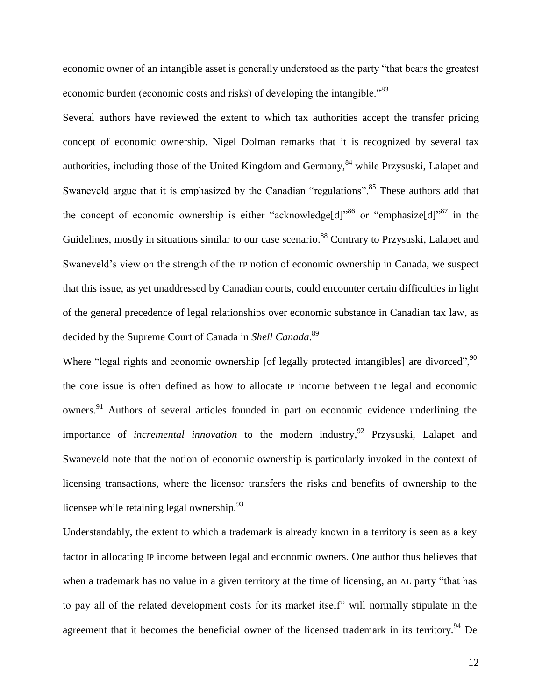economic owner of an intangible asset is generally understood as the party "that bears the greatest economic burden (economic costs and risks) of developing the intangible.<sup>83</sup>

Several authors have reviewed the extent to which tax authorities accept the transfer pricing concept of economic ownership. Nigel Dolman remarks that it is recognized by several tax authorities, including those of the United Kingdom and Germany,  $84$  while Przysuski, Lalapet and Swaneveld argue that it is emphasized by the Canadian "regulations".<sup>85</sup> These authors add that the concept of economic ownership is either "acknowledge[d]" or "emphasize[d]" in the Guidelines, mostly in situations similar to our case scenario.<sup>88</sup> Contrary to Przysuski, Lalapet and Swaneveld"s view on the strength of the TP notion of economic ownership in Canada, we suspect that this issue, as yet unaddressed by Canadian courts, could encounter certain difficulties in light of the general precedence of legal relationships over economic substance in Canadian tax law, as decided by the Supreme Court of Canada in *Shell Canada*. 89

Where "legal rights and economic ownership [of legally protected intangibles] are divorced",<sup>90</sup> the core issue is often defined as how to allocate IP income between the legal and economic owners.<sup>91</sup> Authors of several articles founded in part on economic evidence underlining the importance of *incremental innovation* to the modern industry, <sup>92</sup> Przysuski, Lalapet and Swaneveld note that the notion of economic ownership is particularly invoked in the context of licensing transactions, where the licensor transfers the risks and benefits of ownership to the licensee while retaining legal ownership.<sup>93</sup>

Understandably, the extent to which a trademark is already known in a territory is seen as a key factor in allocating IP income between legal and economic owners. One author thus believes that when a trademark has no value in a given territory at the time of licensing, an AL party "that has to pay all of the related development costs for its market itself" will normally stipulate in the agreement that it becomes the beneficial owner of the licensed trademark in its territory.<sup>94</sup> De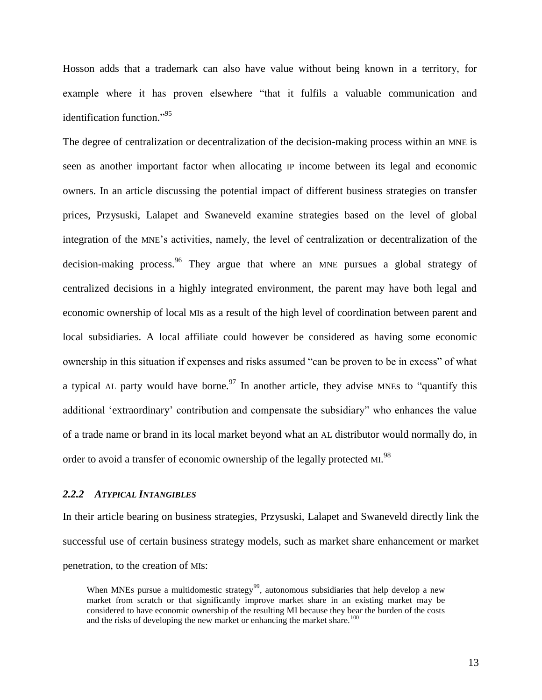Hosson adds that a trademark can also have value without being known in a territory, for example where it has proven elsewhere "that it fulfils a valuable communication and identification function."<sup>95</sup>

The degree of centralization or decentralization of the decision-making process within an MNE is seen as another important factor when allocating IP income between its legal and economic owners. In an article discussing the potential impact of different business strategies on transfer prices, Przysuski, Lalapet and Swaneveld examine strategies based on the level of global integration of the MNE"s activities, namely, the level of centralization or decentralization of the decision-making process.<sup>96</sup> They argue that where an MNE pursues a global strategy of centralized decisions in a highly integrated environment, the parent may have both legal and economic ownership of local MIs as a result of the high level of coordination between parent and local subsidiaries. A local affiliate could however be considered as having some economic ownership in this situation if expenses and risks assumed "can be proven to be in excess" of what a typical AL party would have borne.<sup>97</sup> In another article, they advise MNEs to "quantify this additional "extraordinary" contribution and compensate the subsidiary" who enhances the value of a trade name or brand in its local market beyond what an AL distributor would normally do, in order to avoid a transfer of economic ownership of the legally protected MI.<sup>98</sup>

#### <span id="page-16-0"></span>*2.2.2 ATYPICAL INTANGIBLES*

In their article bearing on business strategies, Przysuski, Lalapet and Swaneveld directly link the successful use of certain business strategy models, such as market share enhancement or market penetration, to the creation of MIs:

When MNEs pursue a multidomestic strategy<sup>99</sup>, autonomous subsidiaries that help develop a new market from scratch or that significantly improve market share in an existing market may be considered to have economic ownership of the resulting MI because they bear the burden of the costs and the risks of developing the new market or enhancing the market share.<sup>100</sup>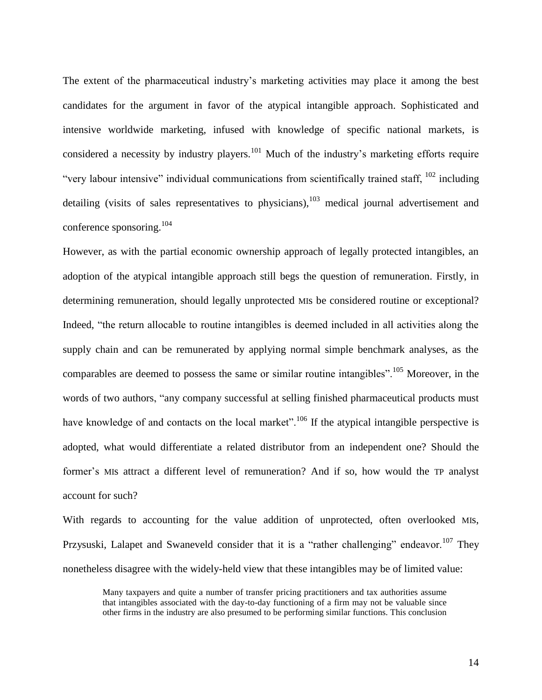The extent of the pharmaceutical industry"s marketing activities may place it among the best candidates for the argument in favor of the atypical intangible approach. Sophisticated and intensive worldwide marketing, infused with knowledge of specific national markets, is considered a necessity by industry players.<sup>101</sup> Much of the industry's marketing efforts require "very labour intensive" individual communications from scientifically trained staff, <sup>102</sup> including detailing (visits of sales representatives to physicians),  $103$  medical journal advertisement and conference sponsoring.<sup>104</sup>

However, as with the partial economic ownership approach of legally protected intangibles, an adoption of the atypical intangible approach still begs the question of remuneration. Firstly, in determining remuneration, should legally unprotected MIs be considered routine or exceptional? Indeed, "the return allocable to routine intangibles is deemed included in all activities along the supply chain and can be remunerated by applying normal simple benchmark analyses, as the comparables are deemed to possess the same or similar routine intangibles".<sup>105</sup> Moreover, in the words of two authors, "any company successful at selling finished pharmaceutical products must have knowledge of and contacts on the local market".<sup>106</sup> If the atypical intangible perspective is adopted, what would differentiate a related distributor from an independent one? Should the former's MIs attract a different level of remuneration? And if so, how would the TP analyst account for such?

With regards to accounting for the value addition of unprotected, often overlooked MIs, Przysuski, Lalapet and Swaneveld consider that it is a "rather challenging" endeavor.<sup>107</sup> They nonetheless disagree with the widely-held view that these intangibles may be of limited value:

Many taxpayers and quite a number of transfer pricing practitioners and tax authorities assume that intangibles associated with the day-to-day functioning of a firm may not be valuable since other firms in the industry are also presumed to be performing similar functions. This conclusion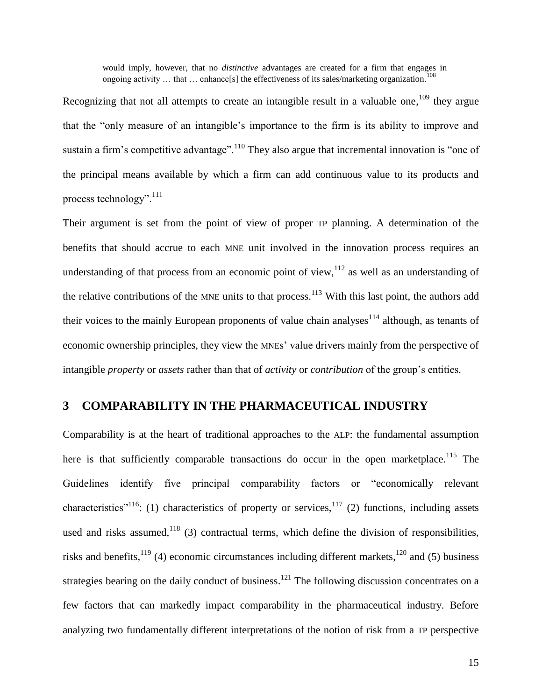would imply, however, that no *distinctive* advantages are created for a firm that engages in ongoing activity  $\dots$  that  $\dots$  enhance[s] the effectiveness of its sales/marketing organization.<sup>108</sup>

Recognizing that not all attempts to create an intangible result in a valuable one,  $109$  they argue that the "only measure of an intangible"s importance to the firm is its ability to improve and sustain a firm's competitive advantage".<sup>110</sup> They also argue that incremental innovation is "one of the principal means available by which a firm can add continuous value to its products and process technology".<sup>111</sup>

Their argument is set from the point of view of proper TP planning. A determination of the benefits that should accrue to each MNE unit involved in the innovation process requires an understanding of that process from an economic point of view,  $112$  as well as an understanding of the relative contributions of the MNE units to that process.<sup>113</sup> With this last point, the authors add their voices to the mainly European proponents of value chain analyses<sup>114</sup> although, as tenants of economic ownership principles, they view the MNEs" value drivers mainly from the perspective of intangible *property* or *assets* rather than that of *activity* or *contribution* of the group"s entities.

## <span id="page-18-0"></span>**3 COMPARABILITY IN THE PHARMACEUTICAL INDUSTRY**

Comparability is at the heart of traditional approaches to the ALP: the fundamental assumption here is that sufficiently comparable transactions do occur in the open marketplace.<sup>115</sup> The Guidelines identify five principal comparability factors or "economically relevant characteristics<sup>"116</sup>: (1) characteristics of property or services,<sup>117</sup> (2) functions, including assets used and risks assumed,  $118$  (3) contractual terms, which define the division of responsibilities, risks and benefits,  $^{119}$  (4) economic circumstances including different markets,  $^{120}$  and (5) business strategies bearing on the daily conduct of business.<sup>121</sup> The following discussion concentrates on a few factors that can markedly impact comparability in the pharmaceutical industry. Before analyzing two fundamentally different interpretations of the notion of risk from a TP perspective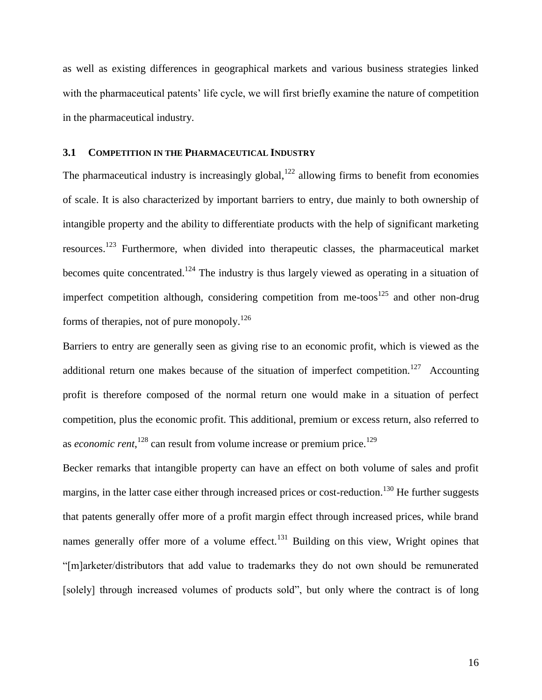as well as existing differences in geographical markets and various business strategies linked with the pharmaceutical patents' life cycle, we will first briefly examine the nature of competition in the pharmaceutical industry.

## <span id="page-19-0"></span>**3.1 COMPETITION IN THE PHARMACEUTICAL INDUSTRY**

The pharmaceutical industry is increasingly global,<sup>122</sup> allowing firms to benefit from economies of scale. It is also characterized by important barriers to entry, due mainly to both ownership of intangible property and the ability to differentiate products with the help of significant marketing resources.<sup>123</sup> Furthermore, when divided into therapeutic classes, the pharmaceutical market becomes quite concentrated.<sup>124</sup> The industry is thus largely viewed as operating in a situation of imperfect competition although, considering competition from me-toos $125$  and other non-drug forms of therapies, not of pure monopoly.<sup>126</sup>

Barriers to entry are generally seen as giving rise to an economic profit, which is viewed as the additional return one makes because of the situation of imperfect competition.<sup>127</sup> Accounting profit is therefore composed of the normal return one would make in a situation of perfect competition, plus the economic profit. This additional, premium or excess return, also referred to as *economic rent*,<sup>128</sup> can result from volume increase or premium price.<sup>129</sup>

Becker remarks that intangible property can have an effect on both volume of sales and profit margins, in the latter case either through increased prices or cost-reduction.<sup>130</sup> He further suggests that patents generally offer more of a profit margin effect through increased prices, while brand names generally offer more of a volume effect.<sup>131</sup> Building on this view, Wright opines that "[m]arketer/distributors that add value to trademarks they do not own should be remunerated [solely] through increased volumes of products sold", but only where the contract is of long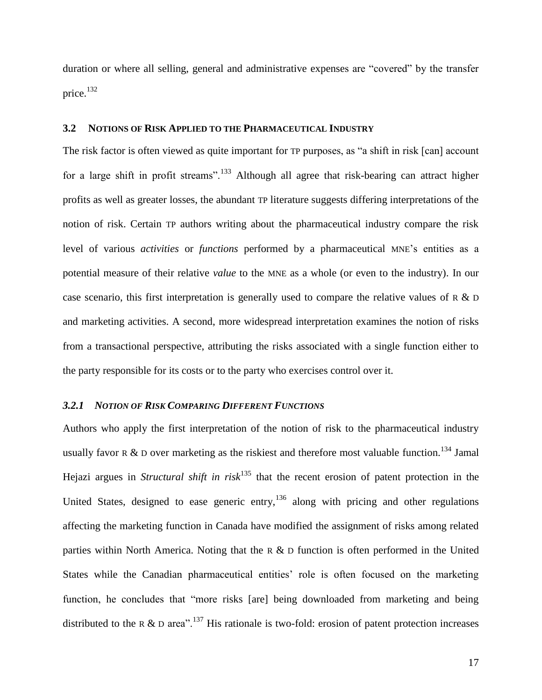duration or where all selling, general and administrative expenses are "covered" by the transfer price.<sup>132</sup>

## <span id="page-20-0"></span>**3.2 NOTIONS OF RISK APPLIED TO THE PHARMACEUTICAL INDUSTRY**

The risk factor is often viewed as quite important for TP purposes, as "a shift in risk [can] account for a large shift in profit streams".<sup>133</sup> Although all agree that risk-bearing can attract higher profits as well as greater losses, the abundant TP literature suggests differing interpretations of the notion of risk. Certain TP authors writing about the pharmaceutical industry compare the risk level of various *activities* or *functions* performed by a pharmaceutical MNE"s entities as a potential measure of their relative *value* to the MNE as a whole (or even to the industry). In our case scenario, this first interpretation is generally used to compare the relative values of R  $\&$  D and marketing activities. A second, more widespread interpretation examines the notion of risks from a transactional perspective, attributing the risks associated with a single function either to the party responsible for its costs or to the party who exercises control over it.

## <span id="page-20-1"></span>*3.2.1 NOTION OF RISK COMPARING DIFFERENT FUNCTIONS*

Authors who apply the first interpretation of the notion of risk to the pharmaceutical industry usually favor R & D over marketing as the riskiest and therefore most valuable function.<sup>134</sup> Jamal Hejazi argues in *Structural shift in risk*<sup>135</sup> that the recent erosion of patent protection in the United States, designed to ease generic entry,  $136$  along with pricing and other regulations affecting the marketing function in Canada have modified the assignment of risks among related parties within North America. Noting that the R  $\&$  D function is often performed in the United States while the Canadian pharmaceutical entities' role is often focused on the marketing function, he concludes that "more risks [are] being downloaded from marketing and being distributed to the R & D area".<sup>137</sup> His rationale is two-fold: erosion of patent protection increases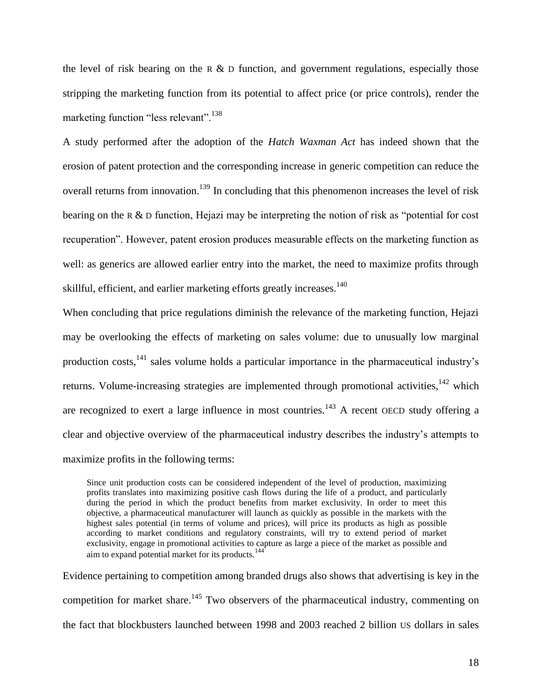the level of risk bearing on the R  $\&$  D function, and government regulations, especially those stripping the marketing function from its potential to affect price (or price controls), render the marketing function "less relevant".<sup>138</sup>

A study performed after the adoption of the *Hatch Waxman Act* has indeed shown that the erosion of patent protection and the corresponding increase in generic competition can reduce the overall returns from innovation.<sup>139</sup> In concluding that this phenomenon increases the level of risk bearing on the R & D function, Hejazi may be interpreting the notion of risk as "potential for cost recuperation". However, patent erosion produces measurable effects on the marketing function as well: as generics are allowed earlier entry into the market, the need to maximize profits through skillful, efficient, and earlier marketing efforts greatly increases.<sup>140</sup>

When concluding that price regulations diminish the relevance of the marketing function, Hejazi may be overlooking the effects of marketing on sales volume: due to unusually low marginal production costs, <sup>141</sup> sales volume holds a particular importance in the pharmaceutical industry's returns. Volume-increasing strategies are implemented through promotional activities, <sup>142</sup> which are recognized to exert a large influence in most countries.<sup>143</sup> A recent OECD study offering a clear and objective overview of the pharmaceutical industry describes the industry"s attempts to maximize profits in the following terms:

Since unit production costs can be considered independent of the level of production, maximizing profits translates into maximizing positive cash flows during the life of a product, and particularly during the period in which the product benefits from market exclusivity. In order to meet this objective, a pharmaceutical manufacturer will launch as quickly as possible in the markets with the highest sales potential (in terms of volume and prices), will price its products as high as possible according to market conditions and regulatory constraints, will try to extend period of market exclusivity, engage in promotional activities to capture as large a piece of the market as possible and aim to expand potential market for its products.<sup>144</sup>

Evidence pertaining to competition among branded drugs also shows that advertising is key in the competition for market share.<sup>145</sup> Two observers of the pharmaceutical industry, commenting on the fact that blockbusters launched between 1998 and 2003 reached 2 billion US dollars in sales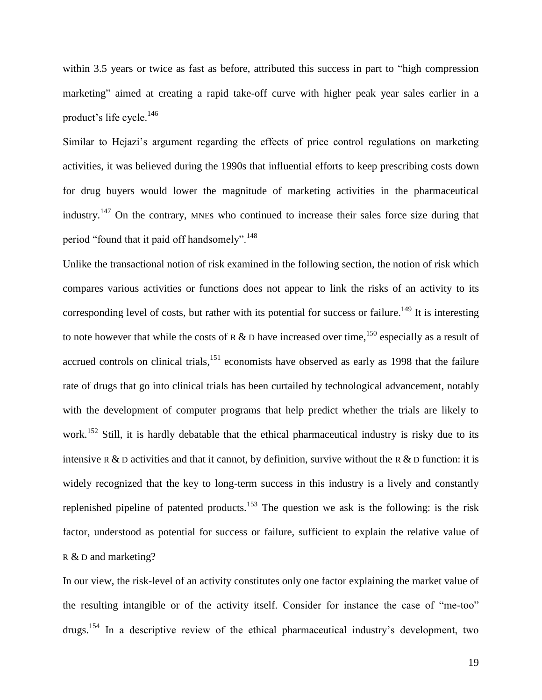within 3.5 years or twice as fast as before, attributed this success in part to "high compression marketing" aimed at creating a rapid take-off curve with higher peak year sales earlier in a product's life cycle.<sup>146</sup>

Similar to Hejazi"s argument regarding the effects of price control regulations on marketing activities, it was believed during the 1990s that influential efforts to keep prescribing costs down for drug buyers would lower the magnitude of marketing activities in the pharmaceutical industry.<sup>147</sup> On the contrary, MNEs who continued to increase their sales force size during that period "found that it paid off handsomely".<sup>148</sup>

Unlike the transactional notion of risk examined in the following section, the notion of risk which compares various activities or functions does not appear to link the risks of an activity to its corresponding level of costs, but rather with its potential for success or failure.<sup>149</sup> It is interesting to note however that while the costs of R & D have increased over time,<sup>150</sup> especially as a result of accrued controls on clinical trials, <sup>151</sup> economists have observed as early as 1998 that the failure rate of drugs that go into clinical trials has been curtailed by technological advancement, notably with the development of computer programs that help predict whether the trials are likely to work.<sup>152</sup> Still, it is hardly debatable that the ethical pharmaceutical industry is risky due to its intensive R & D activities and that it cannot, by definition, survive without the R & D function: it is widely recognized that the key to long-term success in this industry is a lively and constantly replenished pipeline of patented products.<sup>153</sup> The question we ask is the following: is the risk factor, understood as potential for success or failure, sufficient to explain the relative value of R & D and marketing?

In our view, the risk-level of an activity constitutes only one factor explaining the market value of the resulting intangible or of the activity itself. Consider for instance the case of "me-too" drugs.<sup>154</sup> In a descriptive review of the ethical pharmaceutical industry's development, two

19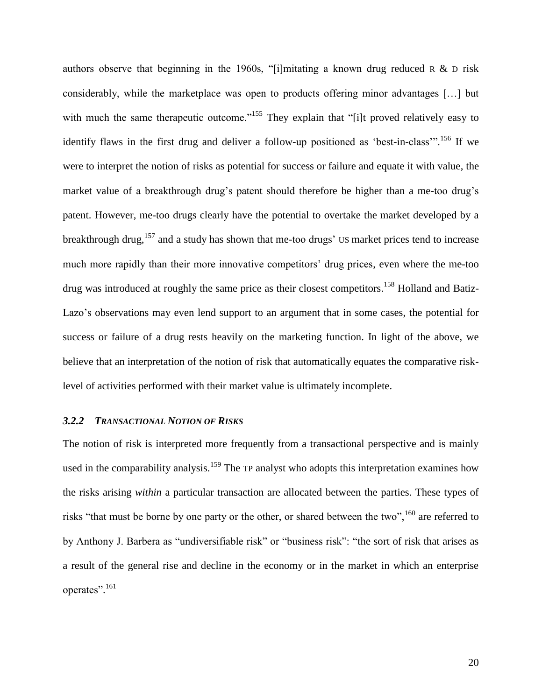authors observe that beginning in the 1960s, "[i]mitating a known drug reduced  $R \& D$  risk considerably, while the marketplace was open to products offering minor advantages […] but with much the same therapeutic outcome."<sup>155</sup> They explain that "[i]t proved relatively easy to identify flaws in the first drug and deliver a follow-up positioned as 'best-in-class'".<sup>156</sup> If we were to interpret the notion of risks as potential for success or failure and equate it with value, the market value of a breakthrough drug's patent should therefore be higher than a me-too drug's patent. However, me-too drugs clearly have the potential to overtake the market developed by a breakthrough drug,<sup>157</sup> and a study has shown that me-too drugs' US market prices tend to increase much more rapidly than their more innovative competitors' drug prices, even where the me-too drug was introduced at roughly the same price as their closest competitors.<sup>158</sup> Holland and Batiz-Lazo's observations may even lend support to an argument that in some cases, the potential for success or failure of a drug rests heavily on the marketing function. In light of the above, we believe that an interpretation of the notion of risk that automatically equates the comparative risklevel of activities performed with their market value is ultimately incomplete.

#### <span id="page-23-0"></span>*3.2.2 TRANSACTIONAL NOTION OF RISKS*

The notion of risk is interpreted more frequently from a transactional perspective and is mainly used in the comparability analysis.<sup>159</sup> The TP analyst who adopts this interpretation examines how the risks arising *within* a particular transaction are allocated between the parties. These types of risks "that must be borne by one party or the other, or shared between the two",<sup>160</sup> are referred to by Anthony J. Barbera as "undiversifiable risk" or "business risk": "the sort of risk that arises as a result of the general rise and decline in the economy or in the market in which an enterprise operates". 161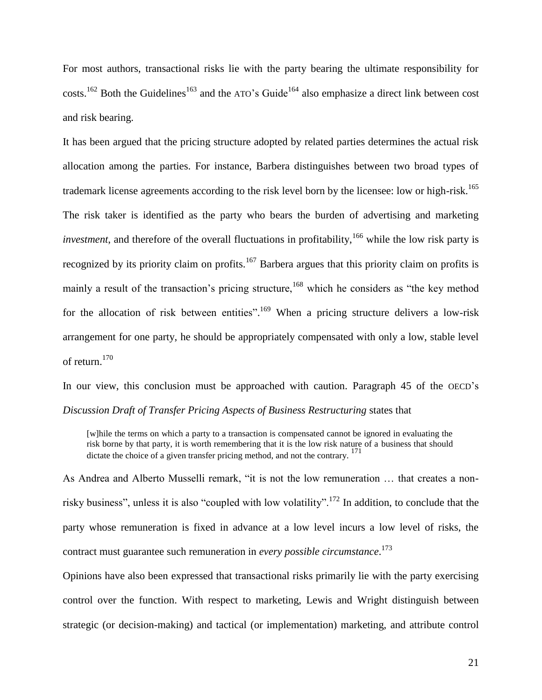For most authors, transactional risks lie with the party bearing the ultimate responsibility for  $costs.<sup>162</sup>$  Both the Guidelines<sup>163</sup> and the ATO's Guide<sup>164</sup> also emphasize a direct link between cost and risk bearing.

It has been argued that the pricing structure adopted by related parties determines the actual risk allocation among the parties. For instance, Barbera distinguishes between two broad types of trademark license agreements according to the risk level born by the licensee: low or high-risk.<sup>165</sup> The risk taker is identified as the party who bears the burden of advertising and marketing *investment*, and therefore of the overall fluctuations in profitability,<sup>166</sup> while the low risk party is recognized by its priority claim on profits.<sup>167</sup> Barbera argues that this priority claim on profits is mainly a result of the transaction's pricing structure,<sup>168</sup> which he considers as "the key method for the allocation of risk between entities".<sup>169</sup> When a pricing structure delivers a low-risk arrangement for one party, he should be appropriately compensated with only a low, stable level of return.<sup>170</sup>

In our view, this conclusion must be approached with caution. Paragraph 45 of the OECD's *Discussion Draft of Transfer Pricing Aspects of Business Restructuring* states that

[w]hile the terms on which a party to a transaction is compensated cannot be ignored in evaluating the risk borne by that party, it is worth remembering that it is the low risk nature of a business that should dictate the choice of a given transfer pricing method, and not the contrary.<sup>171</sup>

As Andrea and Alberto Musselli remark, "it is not the low remuneration … that creates a nonrisky business", unless it is also "coupled with low volatility".<sup>172</sup> In addition, to conclude that the party whose remuneration is fixed in advance at a low level incurs a low level of risks, the contract must guarantee such remuneration in *every possible circumstance*. 173

Opinions have also been expressed that transactional risks primarily lie with the party exercising control over the function. With respect to marketing, Lewis and Wright distinguish between strategic (or decision-making) and tactical (or implementation) marketing, and attribute control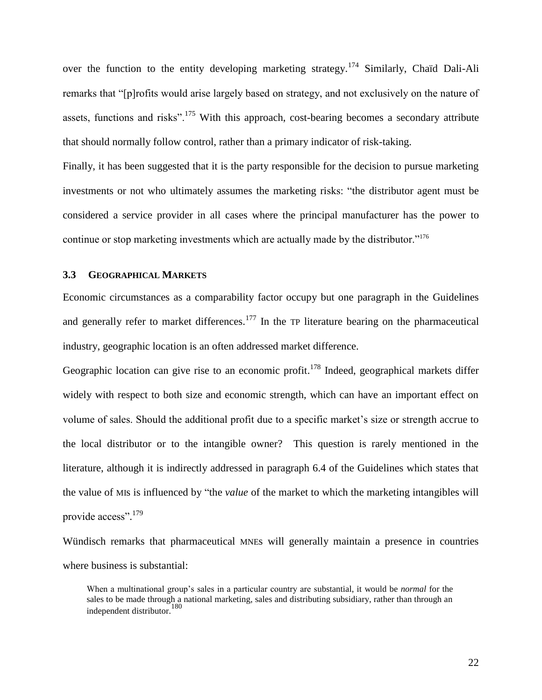over the function to the entity developing marketing strategy.<sup>174</sup> Similarly, Chaïd Dali-Ali remarks that "[p]rofits would arise largely based on strategy, and not exclusively on the nature of assets, functions and risks".<sup>175</sup> With this approach, cost-bearing becomes a secondary attribute that should normally follow control, rather than a primary indicator of risk-taking.

Finally, it has been suggested that it is the party responsible for the decision to pursue marketing investments or not who ultimately assumes the marketing risks: "the distributor agent must be considered a service provider in all cases where the principal manufacturer has the power to continue or stop marketing investments which are actually made by the distributor."<sup>176</sup>

## <span id="page-25-0"></span>**3.3 GEOGRAPHICAL MARKETS**

Economic circumstances as a comparability factor occupy but one paragraph in the Guidelines and generally refer to market differences.<sup>177</sup> In the TP literature bearing on the pharmaceutical industry, geographic location is an often addressed market difference.

Geographic location can give rise to an economic profit.<sup>178</sup> Indeed, geographical markets differ widely with respect to both size and economic strength, which can have an important effect on volume of sales. Should the additional profit due to a specific market's size or strength accrue to the local distributor or to the intangible owner? This question is rarely mentioned in the literature, although it is indirectly addressed in paragraph 6.4 of the Guidelines which states that the value of MIs is influenced by "the *value* of the market to which the marketing intangibles will provide access".<sup>179</sup>

Wündisch remarks that pharmaceutical MNEs will generally maintain a presence in countries where business is substantial:

When a multinational group"s sales in a particular country are substantial, it would be *normal* for the sales to be made through a national marketing, sales and distributing subsidiary, rather than through an independent distributor.<sup>180</sup>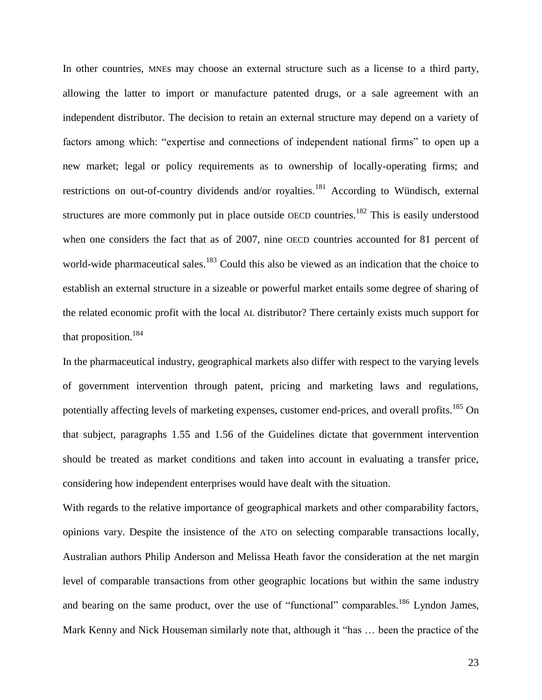In other countries, MNEs may choose an external structure such as a license to a third party, allowing the latter to import or manufacture patented drugs, or a sale agreement with an independent distributor. The decision to retain an external structure may depend on a variety of factors among which: "expertise and connections of independent national firms" to open up a new market; legal or policy requirements as to ownership of locally-operating firms; and restrictions on out-of-country dividends and/or royalties.<sup>181</sup> According to Wündisch, external structures are more commonly put in place outside OECD countries.<sup>182</sup> This is easily understood when one considers the fact that as of 2007, nine OECD countries accounted for 81 percent of world-wide pharmaceutical sales.<sup>183</sup> Could this also be viewed as an indication that the choice to establish an external structure in a sizeable or powerful market entails some degree of sharing of the related economic profit with the local AL distributor? There certainly exists much support for that proposition.<sup>184</sup>

In the pharmaceutical industry, geographical markets also differ with respect to the varying levels of government intervention through patent, pricing and marketing laws and regulations, potentially affecting levels of marketing expenses, customer end-prices, and overall profits.<sup>185</sup> On that subject, paragraphs 1.55 and 1.56 of the Guidelines dictate that government intervention should be treated as market conditions and taken into account in evaluating a transfer price, considering how independent enterprises would have dealt with the situation.

With regards to the relative importance of geographical markets and other comparability factors, opinions vary. Despite the insistence of the ATO on selecting comparable transactions locally, Australian authors Philip Anderson and Melissa Heath favor the consideration at the net margin level of comparable transactions from other geographic locations but within the same industry and bearing on the same product, over the use of "functional" comparables.<sup>186</sup> Lyndon James, Mark Kenny and Nick Houseman similarly note that, although it "has … been the practice of the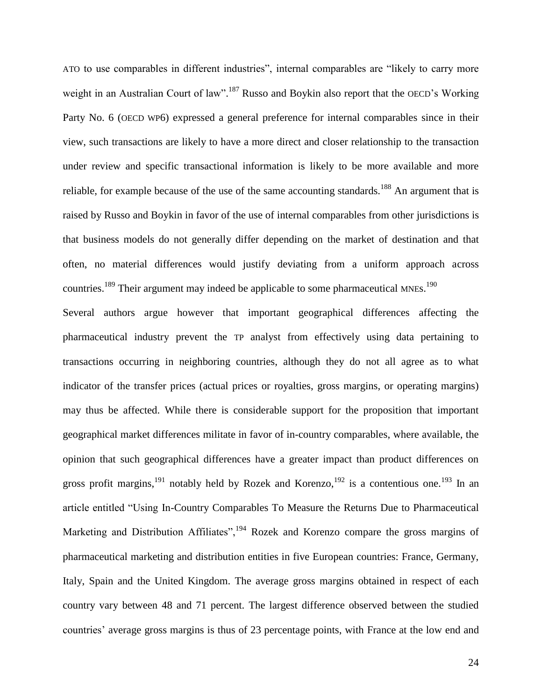ATO to use comparables in different industries", internal comparables are "likely to carry more weight in an Australian Court of law".<sup>187</sup> Russo and Boykin also report that the OECD's Working Party No. 6 (OECD WP6) expressed a general preference for internal comparables since in their view, such transactions are likely to have a more direct and closer relationship to the transaction under review and specific transactional information is likely to be more available and more reliable, for example because of the use of the same accounting standards.<sup>188</sup> An argument that is raised by Russo and Boykin in favor of the use of internal comparables from other jurisdictions is that business models do not generally differ depending on the market of destination and that often, no material differences would justify deviating from a uniform approach across countries.<sup>189</sup> Their argument may indeed be applicable to some pharmaceutical MNEs.<sup>190</sup>

Several authors argue however that important geographical differences affecting the pharmaceutical industry prevent the TP analyst from effectively using data pertaining to transactions occurring in neighboring countries, although they do not all agree as to what indicator of the transfer prices (actual prices or royalties, gross margins, or operating margins) may thus be affected. While there is considerable support for the proposition that important geographical market differences militate in favor of in-country comparables, where available, the opinion that such geographical differences have a greater impact than product differences on gross profit margins,  $^{191}$  notably held by Rozek and Korenzo,  $^{192}$  is a contentious one.  $^{193}$  In an article entitled "Using In-Country Comparables To Measure the Returns Due to Pharmaceutical Marketing and Distribution Affiliates",  $194$  Rozek and Korenzo compare the gross margins of pharmaceutical marketing and distribution entities in five European countries: France, Germany, Italy, Spain and the United Kingdom. The average gross margins obtained in respect of each country vary between 48 and 71 percent. The largest difference observed between the studied countries' average gross margins is thus of 23 percentage points, with France at the low end and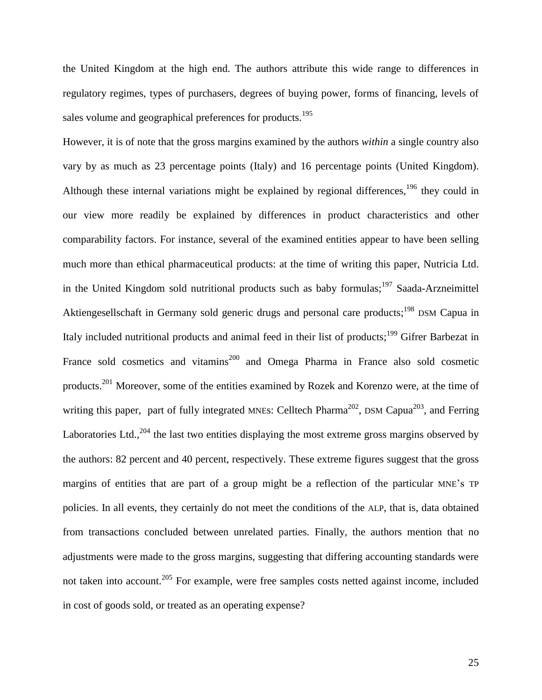the United Kingdom at the high end. The authors attribute this wide range to differences in regulatory regimes, types of purchasers, degrees of buying power, forms of financing, levels of sales volume and geographical preferences for products.<sup>195</sup>

However, it is of note that the gross margins examined by the authors *within* a single country also vary by as much as 23 percentage points (Italy) and 16 percentage points (United Kingdom). Although these internal variations might be explained by regional differences,  $196$  they could in our view more readily be explained by differences in product characteristics and other comparability factors. For instance, several of the examined entities appear to have been selling much more than ethical pharmaceutical products: at the time of writing this paper, Nutricia Ltd. in the United Kingdom sold nutritional products such as baby formulas;<sup>197</sup> Saada-Arzneimittel Aktiengesellschaft in Germany sold generic drugs and personal care products;<sup>198</sup> DSM Capua in Italy included nutritional products and animal feed in their list of products;<sup>199</sup> Gifrer Barbezat in France sold cosmetics and vitamins<sup>200</sup> and Omega Pharma in France also sold cosmetic products.<sup>201</sup> Moreover, some of the entities examined by Rozek and Korenzo were, at the time of writing this paper, part of fully integrated MNEs: Celltech Pharma<sup>202</sup>, DSM Capua<sup>203</sup>, and Ferring Laboratories Ltd.,  $204$  the last two entities displaying the most extreme gross margins observed by the authors: 82 percent and 40 percent, respectively. These extreme figures suggest that the gross margins of entities that are part of a group might be a reflection of the particular MNE"s TP policies. In all events, they certainly do not meet the conditions of the ALP, that is, data obtained from transactions concluded between unrelated parties. Finally, the authors mention that no adjustments were made to the gross margins, suggesting that differing accounting standards were not taken into account.<sup>205</sup> For example, were free samples costs netted against income, included in cost of goods sold, or treated as an operating expense?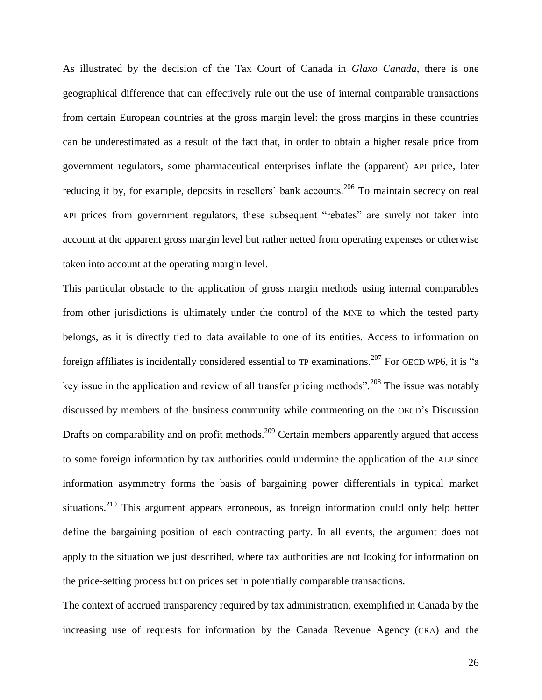As illustrated by the decision of the Tax Court of Canada in *Glaxo Canada*, there is one geographical difference that can effectively rule out the use of internal comparable transactions from certain European countries at the gross margin level: the gross margins in these countries can be underestimated as a result of the fact that, in order to obtain a higher resale price from government regulators, some pharmaceutical enterprises inflate the (apparent) API price, later reducing it by, for example, deposits in resellers' bank accounts.<sup>206</sup> To maintain secrecy on real API prices from government regulators, these subsequent "rebates" are surely not taken into account at the apparent gross margin level but rather netted from operating expenses or otherwise taken into account at the operating margin level.

This particular obstacle to the application of gross margin methods using internal comparables from other jurisdictions is ultimately under the control of the MNE to which the tested party belongs, as it is directly tied to data available to one of its entities. Access to information on foreign affiliates is incidentally considered essential to TP examinations.<sup>207</sup> For OECD WP6, it is "a key issue in the application and review of all transfer pricing methods".<sup>208</sup> The issue was notably discussed by members of the business community while commenting on the OECD"s Discussion Drafts on comparability and on profit methods.<sup>209</sup> Certain members apparently argued that access to some foreign information by tax authorities could undermine the application of the ALP since information asymmetry forms the basis of bargaining power differentials in typical market situations.<sup>210</sup> This argument appears erroneous, as foreign information could only help better define the bargaining position of each contracting party. In all events, the argument does not apply to the situation we just described, where tax authorities are not looking for information on the price-setting process but on prices set in potentially comparable transactions.

The context of accrued transparency required by tax administration, exemplified in Canada by the increasing use of requests for information by the Canada Revenue Agency (CRA) and the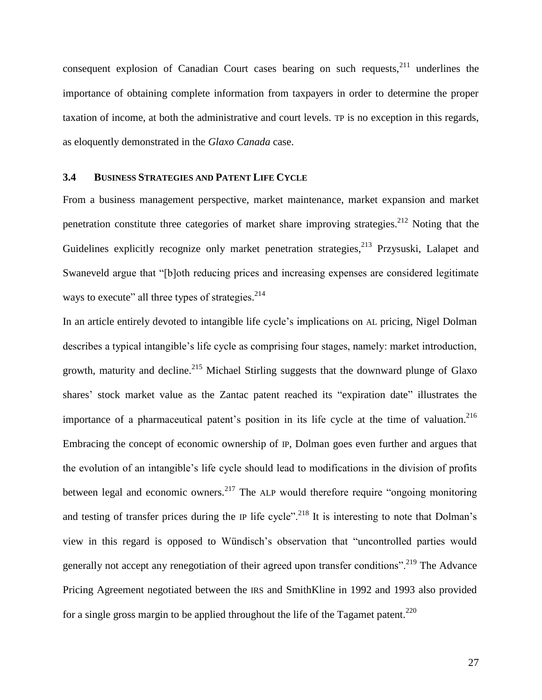consequent explosion of Canadian Court cases bearing on such requests,  $2^{11}$  underlines the importance of obtaining complete information from taxpayers in order to determine the proper taxation of income, at both the administrative and court levels. TP is no exception in this regards, as eloquently demonstrated in the *Glaxo Canada* case.

## <span id="page-30-0"></span>**3.4 BUSINESS STRATEGIES AND PATENT LIFE CYCLE**

From a business management perspective, market maintenance, market expansion and market penetration constitute three categories of market share improving strategies.<sup>212</sup> Noting that the Guidelines explicitly recognize only market penetration strategies,<sup>213</sup> Przysuski, Lalapet and Swaneveld argue that "[b]oth reducing prices and increasing expenses are considered legitimate ways to execute" all three types of strategies.<sup>214</sup>

In an article entirely devoted to intangible life cycle's implications on AL pricing, Nigel Dolman describes a typical intangible's life cycle as comprising four stages, namely: market introduction, growth, maturity and decline.<sup>215</sup> Michael Stirling suggests that the downward plunge of Glaxo shares' stock market value as the Zantac patent reached its "expiration date" illustrates the importance of a pharmaceutical patent's position in its life cycle at the time of valuation.<sup>216</sup> Embracing the concept of economic ownership of IP, Dolman goes even further and argues that the evolution of an intangible"s life cycle should lead to modifications in the division of profits between legal and economic owners.<sup>217</sup> The ALP would therefore require "ongoing monitoring and testing of transfer prices during the IP life cycle".<sup>218</sup> It is interesting to note that Dolman's view in this regard is opposed to Wündisch"s observation that "uncontrolled parties would generally not accept any renegotiation of their agreed upon transfer conditions".<sup>219</sup> The Advance Pricing Agreement negotiated between the IRS and SmithKline in 1992 and 1993 also provided for a single gross margin to be applied throughout the life of the Tagamet patent.<sup>220</sup>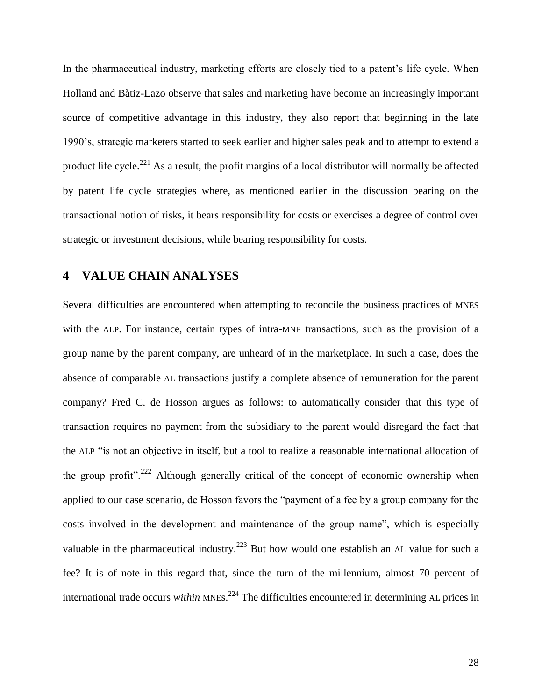In the pharmaceutical industry, marketing efforts are closely tied to a patent"s life cycle. When Holland and Bàtiz-Lazo observe that sales and marketing have become an increasingly important source of competitive advantage in this industry, they also report that beginning in the late 1990"s, strategic marketers started to seek earlier and higher sales peak and to attempt to extend a product life cycle.<sup>221</sup> As a result, the profit margins of a local distributor will normally be affected by patent life cycle strategies where, as mentioned earlier in the discussion bearing on the transactional notion of risks, it bears responsibility for costs or exercises a degree of control over strategic or investment decisions, while bearing responsibility for costs.

## <span id="page-31-0"></span>**4 VALUE CHAIN ANALYSES**

Several difficulties are encountered when attempting to reconcile the business practices of MNES with the ALP. For instance, certain types of intra-MNE transactions, such as the provision of a group name by the parent company, are unheard of in the marketplace. In such a case, does the absence of comparable AL transactions justify a complete absence of remuneration for the parent company? Fred C. de Hosson argues as follows: to automatically consider that this type of transaction requires no payment from the subsidiary to the parent would disregard the fact that the ALP "is not an objective in itself, but a tool to realize a reasonable international allocation of the group profit".<sup>222</sup> Although generally critical of the concept of economic ownership when applied to our case scenario, de Hosson favors the "payment of a fee by a group company for the costs involved in the development and maintenance of the group name", which is especially valuable in the pharmaceutical industry.<sup>223</sup> But how would one establish an AL value for such a fee? It is of note in this regard that, since the turn of the millennium, almost 70 percent of international trade occurs *within* MNEs. <sup>224</sup> The difficulties encountered in determining AL prices in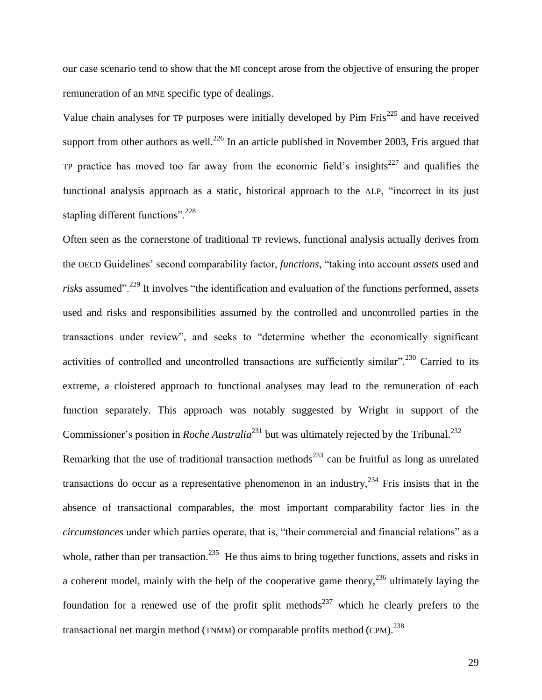our case scenario tend to show that the MI concept arose from the objective of ensuring the proper remuneration of an MNE specific type of dealings.

Value chain analyses for TP purposes were initially developed by Pim  $First^{225}$  and have received support from other authors as well.<sup>226</sup> In an article published in November 2003, Fris argued that TP practice has moved too far away from the economic field's insights<sup>227</sup> and qualifies the functional analysis approach as a static, historical approach to the ALP, "incorrect in its just stapling different functions".<sup>228</sup>

Often seen as the cornerstone of traditional TP reviews, functional analysis actually derives from the OECD Guidelines" second comparability factor, *functions*, "taking into account *assets* used and risks assumed".<sup>229</sup> It involves "the identification and evaluation of the functions performed, assets used and risks and responsibilities assumed by the controlled and uncontrolled parties in the transactions under review", and seeks to "determine whether the economically significant activities of controlled and uncontrolled transactions are sufficiently similar".<sup>230</sup> Carried to its extreme, a cloistered approach to functional analyses may lead to the remuneration of each function separately. This approach was notably suggested by Wright in support of the Commissioner's position in *Roche Australia*<sup>231</sup> but was ultimately rejected by the Tribunal.<sup>232</sup>

Remarking that the use of traditional transaction methods<sup>233</sup> can be fruitful as long as unrelated transactions do occur as a representative phenomenon in an industry,  $234$  Fris insists that in the absence of transactional comparables, the most important comparability factor lies in the *circumstances* under which parties operate, that is, "their commercial and financial relations" as a whole, rather than per transaction.<sup>235</sup> He thus aims to bring together functions, assets and risks in a coherent model, mainly with the help of the cooperative game theory,  $236$  ultimately laying the foundation for a renewed use of the profit split methods<sup>237</sup> which he clearly prefers to the transactional net margin method (TNMM) or comparable profits method (CPM). $^{238}$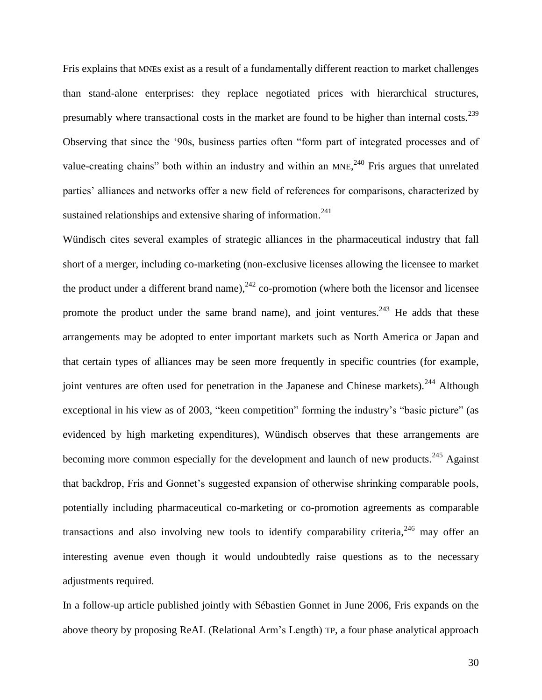Fris explains that MNEs exist as a result of a fundamentally different reaction to market challenges than stand-alone enterprises: they replace negotiated prices with hierarchical structures, presumably where transactional costs in the market are found to be higher than internal costs.<sup>239</sup> Observing that since the "90s, business parties often "form part of integrated processes and of value-creating chains" both within an industry and within an MNE,  $240$  Fris argues that unrelated parties" alliances and networks offer a new field of references for comparisons, characterized by sustained relationships and extensive sharing of information. $241$ 

Wündisch cites several examples of strategic alliances in the pharmaceutical industry that fall short of a merger, including co-marketing (non-exclusive licenses allowing the licensee to market the product under a different brand name),  $242$  co-promotion (where both the licensor and licensee promote the product under the same brand name), and joint ventures.<sup>243</sup> He adds that these arrangements may be adopted to enter important markets such as North America or Japan and that certain types of alliances may be seen more frequently in specific countries (for example, joint ventures are often used for penetration in the Japanese and Chinese markets).<sup>244</sup> Although exceptional in his view as of 2003, "keen competition" forming the industry"s "basic picture" (as evidenced by high marketing expenditures), Wündisch observes that these arrangements are becoming more common especially for the development and launch of new products.<sup>245</sup> Against that backdrop, Fris and Gonnet"s suggested expansion of otherwise shrinking comparable pools, potentially including pharmaceutical co-marketing or co-promotion agreements as comparable transactions and also involving new tools to identify comparability criteria,<sup>246</sup> may offer an interesting avenue even though it would undoubtedly raise questions as to the necessary adjustments required.

In a follow-up article published jointly with Sébastien Gonnet in June 2006, Fris expands on the above theory by proposing ReAL (Relational Arm"s Length) TP, a four phase analytical approach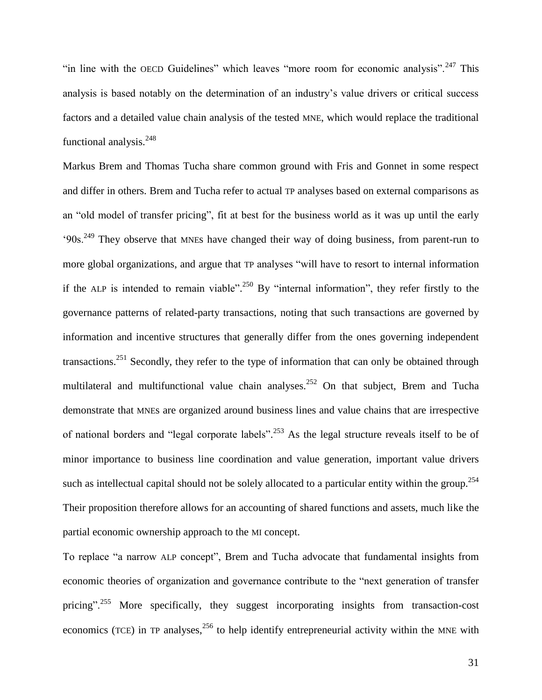"in line with the OECD Guidelines" which leaves "more room for economic analysis".<sup>247</sup> This analysis is based notably on the determination of an industry"s value drivers or critical success factors and a detailed value chain analysis of the tested MNE, which would replace the traditional functional analysis.<sup>248</sup>

Markus Brem and Thomas Tucha share common ground with Fris and Gonnet in some respect and differ in others. Brem and Tucha refer to actual TP analyses based on external comparisons as an "old model of transfer pricing", fit at best for the business world as it was up until the early  $90s<sup>249</sup>$  They observe that MNEs have changed their way of doing business, from parent-run to more global organizations, and argue that TP analyses "will have to resort to internal information if the ALP is intended to remain viable".<sup>250</sup> By "internal information", they refer firstly to the governance patterns of related-party transactions, noting that such transactions are governed by information and incentive structures that generally differ from the ones governing independent transactions.<sup>251</sup> Secondly, they refer to the type of information that can only be obtained through multilateral and multifunctional value chain analyses.<sup>252</sup> On that subject, Brem and Tucha demonstrate that MNEs are organized around business lines and value chains that are irrespective of national borders and "legal corporate labels".<sup>253</sup> As the legal structure reveals itself to be of minor importance to business line coordination and value generation, important value drivers such as intellectual capital should not be solely allocated to a particular entity within the group.<sup>254</sup> Their proposition therefore allows for an accounting of shared functions and assets, much like the partial economic ownership approach to the MI concept.

To replace "a narrow ALP concept", Brem and Tucha advocate that fundamental insights from economic theories of organization and governance contribute to the "next generation of transfer pricing".<sup>255</sup> More specifically, they suggest incorporating insights from transaction-cost economics (TCE) in TP analyses,  $256$  to help identify entrepreneurial activity within the MNE with

31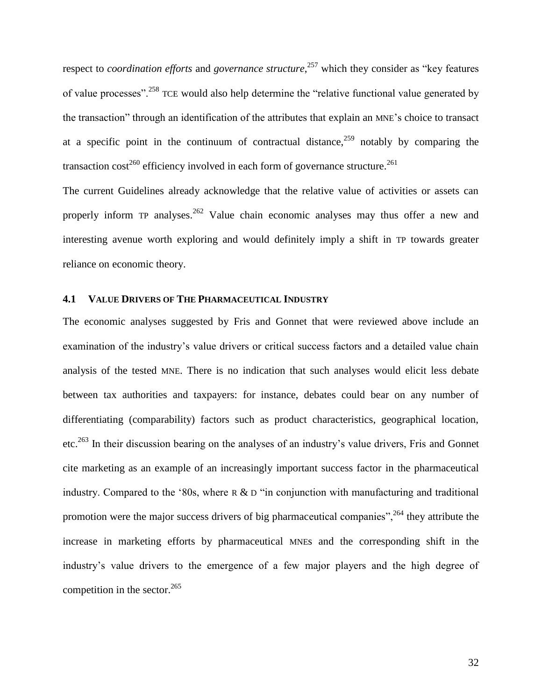respect to *coordination efforts* and *governance structure*, <sup>257</sup> which they consider as "key features of value processes".<sup>258</sup> TCE would also help determine the "relative functional value generated by the transaction" through an identification of the attributes that explain an MNE"s choice to transact at a specific point in the continuum of contractual distance,  $259$  notably by comparing the transaction cost<sup>260</sup> efficiency involved in each form of governance structure.<sup>261</sup>

The current Guidelines already acknowledge that the relative value of activities or assets can properly inform TP analyses.<sup>262</sup> Value chain economic analyses may thus offer a new and interesting avenue worth exploring and would definitely imply a shift in TP towards greater reliance on economic theory.

### <span id="page-35-0"></span>**4.1 VALUE DRIVERS OF THE PHARMACEUTICAL INDUSTRY**

The economic analyses suggested by Fris and Gonnet that were reviewed above include an examination of the industry"s value drivers or critical success factors and a detailed value chain analysis of the tested MNE. There is no indication that such analyses would elicit less debate between tax authorities and taxpayers: for instance, debates could bear on any number of differentiating (comparability) factors such as product characteristics, geographical location, etc.<sup>263</sup> In their discussion bearing on the analyses of an industry"s value drivers, Fris and Gonnet cite marketing as an example of an increasingly important success factor in the pharmaceutical industry. Compared to the '80s, where  $R \& D$  "in conjunction with manufacturing and traditional promotion were the major success drivers of big pharmaceutical companies",  $^{264}$  they attribute the increase in marketing efforts by pharmaceutical MNEs and the corresponding shift in the industry"s value drivers to the emergence of a few major players and the high degree of competition in the sector. $265$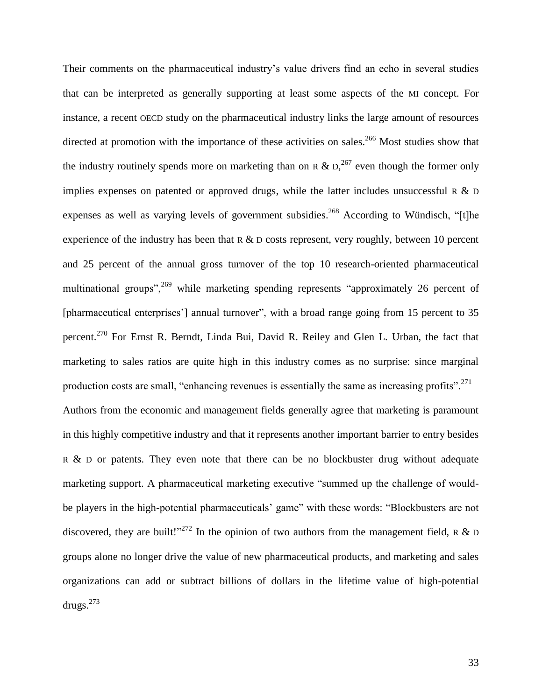<span id="page-36-1"></span><span id="page-36-0"></span>Their comments on the pharmaceutical industry"s value drivers find an echo in several studies that can be interpreted as generally supporting at least some aspects of the MI concept. For instance, a recent OECD study on the pharmaceutical industry links the large amount of resources directed at promotion with the importance of these activities on sales.<sup>266</sup> Most studies show that the industry routinely spends more on marketing than on R &  $D<sub>1</sub><sup>267</sup>$  even though the former only implies expenses on patented or approved drugs, while the latter includes unsuccessful R  $\&$  D expenses as well as varying levels of government subsidies.<sup>268</sup> According to Wündisch, "[t]he experience of the industry has been that  $R \& D$  costs represent, very roughly, between 10 percent and 25 percent of the annual gross turnover of the top 10 research-oriented pharmaceutical multinational groups",<sup>269</sup> while marketing spending represents "approximately 26 percent of [pharmaceutical enterprises'] annual turnover", with a broad range going from 15 percent to 35 percent.<sup>270</sup> For Ernst R. Berndt, Linda Bui, David R. Reiley and Glen L. Urban, the fact that marketing to sales ratios are quite high in this industry comes as no surprise: since marginal production costs are small, "enhancing revenues is essentially the same as increasing profits".<sup>271</sup> Authors from the economic and management fields generally agree that marketing is paramount in this highly competitive industry and that it represents another important barrier to entry besides R & D or patents. They even note that there can be no blockbuster drug without adequate marketing support. A pharmaceutical marketing executive "summed up the challenge of wouldbe players in the high-potential pharmaceuticals' game" with these words: "Blockbusters are not discovered, they are built!"<sup>272</sup> In the opinion of two authors from the management field, R & D groups alone no longer drive the value of new pharmaceutical products, and marketing and sales organizations can add or subtract billions of dollars in the lifetime value of high-potential drugs.<sup>273</sup>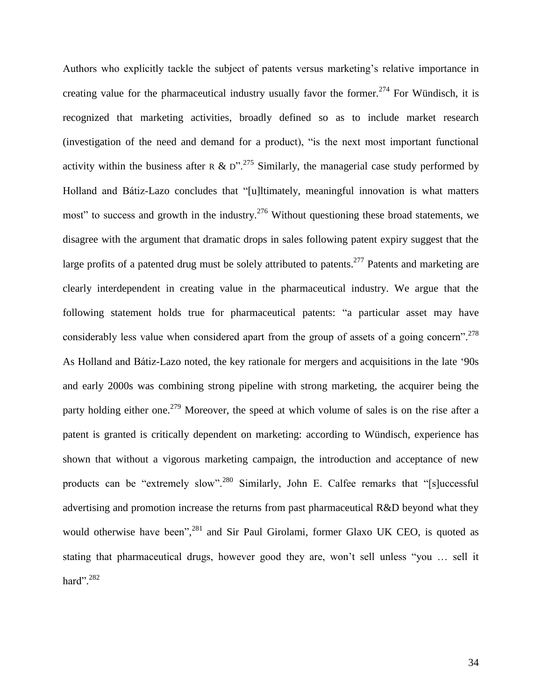<span id="page-37-1"></span><span id="page-37-0"></span>Authors who explicitly tackle the subject of patents versus marketing"s relative importance in creating value for the pharmaceutical industry usually favor the former.<sup>274</sup> For Wündisch, it is recognized that marketing activities, broadly defined so as to include market research (investigation of the need and demand for a product), "is the next most important functional activity within the business after R & D".<sup>275</sup> Similarly, the managerial case study performed by Holland and Bátiz-Lazo concludes that "[u]ltimately, meaningful innovation is what matters most" to success and growth in the industry.<sup>276</sup> Without questioning these broad statements, we disagree with the argument that dramatic drops in sales following patent expiry suggest that the large profits of a patented drug must be solely attributed to patents.<sup>277</sup> Patents and marketing are clearly interdependent in creating value in the pharmaceutical industry. We argue that the following statement holds true for pharmaceutical patents: "a particular asset may have considerably less value when considered apart from the group of assets of a going concern".<sup>278</sup> As Holland and Bátiz-Lazo noted, the key rationale for mergers and acquisitions in the late '90s and early 2000s was combining strong pipeline with strong marketing, the acquirer being the party holding either one.<sup>279</sup> Moreover, the speed at which volume of sales is on the rise after a patent is granted is critically dependent on marketing: according to Wündisch, experience has shown that without a vigorous marketing campaign, the introduction and acceptance of new products can be "extremely slow".<sup>280</sup> Similarly, John E. Calfee remarks that "[s]uccessful advertising and promotion increase the returns from past pharmaceutical R&D beyond what they would otherwise have been",<sup>281</sup> and Sir Paul Girolami, former Glaxo UK CEO, is quoted as stating that pharmaceutical drugs, however good they are, won"t sell unless "you … sell it hard". 282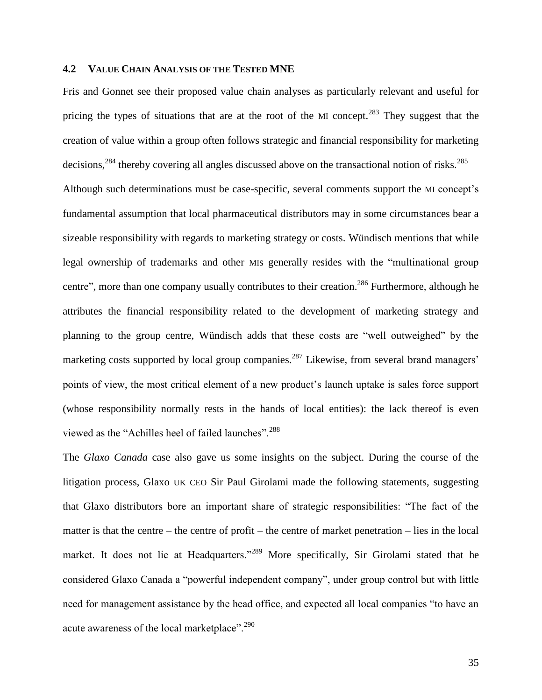#### **4.2 VALUE CHAIN ANALYSIS OF THE TESTED MNE**

Fris and Gonnet see their proposed value chain analyses as particularly relevant and useful for pricing the types of situations that are at the root of the MI concept.<sup>283</sup> They suggest that the creation of value within a group often follows strategic and financial responsibility for marketing decisions,<sup>284</sup> thereby covering all angles discussed above on the transactional notion of risks.<sup>285</sup> Although such determinations must be case-specific, several comments support the MI concept's fundamental assumption that local pharmaceutical distributors may in some circumstances bear a sizeable responsibility with regards to marketing strategy or costs. Wündisch mentions that while legal ownership of trademarks and other MIs generally resides with the "multinational group centre", more than one company usually contributes to their creation.<sup>286</sup> Furthermore, although he attributes the financial responsibility related to the development of marketing strategy and planning to the group centre, Wündisch adds that these costs are "well outweighed" by the marketing costs supported by local group companies.<sup>287</sup> Likewise, from several brand managers' points of view, the most critical element of a new product's launch uptake is sales force support (whose responsibility normally rests in the hands of local entities): the lack thereof is even viewed as the "Achilles heel of failed launches".<sup>288</sup>

The *Glaxo Canada* case also gave us some insights on the subject. During the course of the litigation process, Glaxo UK CEO Sir Paul Girolami made the following statements, suggesting that Glaxo distributors bore an important share of strategic responsibilities: "The fact of the matter is that the centre – the centre of profit – the centre of market penetration – lies in the local market. It does not lie at Headquarters."<sup>289</sup> More specifically, Sir Girolami stated that he considered Glaxo Canada a "powerful independent company", under group control but with little need for management assistance by the head office, and expected all local companies "to have an acute awareness of the local marketplace".<sup>290</sup>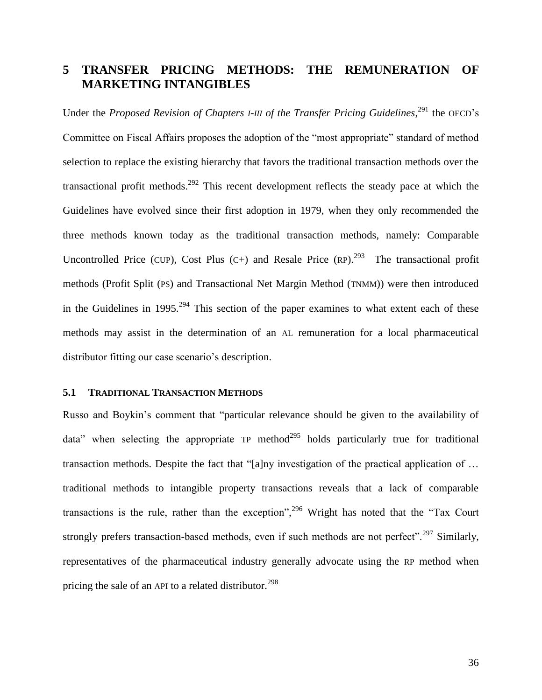# **5 TRANSFER PRICING METHODS: THE REMUNERATION OF MARKETING INTANGIBLES**

<span id="page-39-1"></span>Under the *Proposed Revision of Chapters I-III of the Transfer Pricing Guidelines,<sup>291</sup> the OECD's* Committee on Fiscal Affairs proposes the adoption of the "most appropriate" standard of method selection to replace the existing hierarchy that favors the traditional transaction methods over the transactional profit methods.<sup>292</sup> This recent development reflects the steady pace at which the Guidelines have evolved since their first adoption in 1979, when they only recommended the three methods known today as the traditional transaction methods, namely: Comparable Uncontrolled Price (CUP), Cost Plus  $(C+)$  and Resale Price (RP).<sup>293</sup> The transactional profit methods (Profit Split (PS) and Transactional Net Margin Method (TNMM)) were then introduced in the Guidelines in 1995.<sup>294</sup> This section of the paper examines to what extent each of these methods may assist in the determination of an AL remuneration for a local pharmaceutical distributor fitting our case scenario's description.

#### <span id="page-39-2"></span><span id="page-39-0"></span>**5.1 TRADITIONAL TRANSACTION METHODS**

Russo and Boykin"s comment that "particular relevance should be given to the availability of data" when selecting the appropriate  $TP$  method<sup>295</sup> holds particularly true for traditional transaction methods. Despite the fact that "[a]ny investigation of the practical application of … traditional methods to intangible property transactions reveals that a lack of comparable transactions is the rule, rather than the exception",<sup>296</sup> Wright has noted that the "Tax Court" strongly prefers transaction-based methods, even if such methods are not perfect".<sup>297</sup> Similarly, representatives of the pharmaceutical industry generally advocate using the RP method when pricing the sale of an API to a related distributor.<sup>298</sup>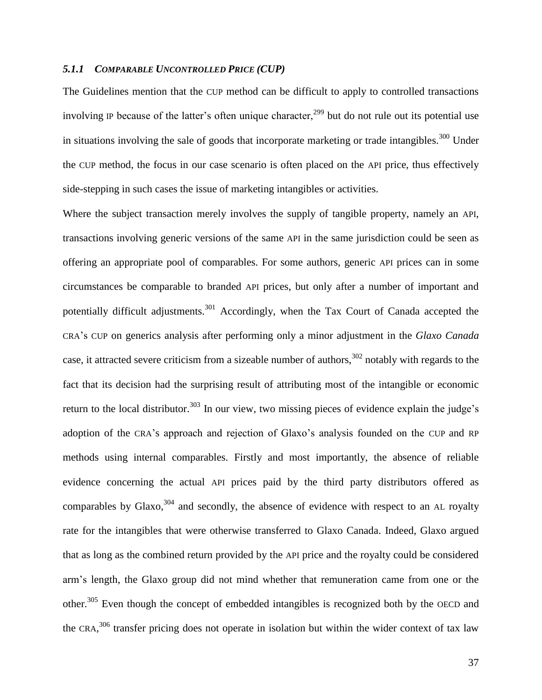### *5.1.1 COMPARABLE UNCONTROLLED PRICE (CUP)*

The Guidelines mention that the CUP method can be difficult to apply to controlled transactions involving IP because of the latter's often unique character,<sup>299</sup> but do not rule out its potential use in situations involving the sale of goods that incorporate marketing or trade intangibles.<sup>300</sup> Under the CUP method, the focus in our case scenario is often placed on the API price, thus effectively side-stepping in such cases the issue of marketing intangibles or activities.

<span id="page-40-0"></span>Where the subject transaction merely involves the supply of tangible property, namely an API, transactions involving generic versions of the same API in the same jurisdiction could be seen as offering an appropriate pool of comparables. For some authors, generic API prices can in some circumstances be comparable to branded API prices, but only after a number of important and potentially difficult adjustments.<sup>301</sup> Accordingly, when the Tax Court of Canada accepted the CRA"s CUP on generics analysis after performing only a minor adjustment in the *Glaxo Canada* case, it attracted severe criticism from a sizeable number of authors,  $302$  notably with regards to the fact that its decision had the surprising result of attributing most of the intangible or economic return to the local distributor.<sup>303</sup> In our view, two missing pieces of evidence explain the judge's adoption of the CRA"s approach and rejection of Glaxo"s analysis founded on the CUP and RP methods using internal comparables. Firstly and most importantly, the absence of reliable evidence concerning the actual API prices paid by the third party distributors offered as comparables by Glaxo, $304$  and secondly, the absence of evidence with respect to an AL royalty rate for the intangibles that were otherwise transferred to Glaxo Canada. Indeed, Glaxo argued that as long as the combined return provided by the API price and the royalty could be considered arm"s length, the Glaxo group did not mind whether that remuneration came from one or the other.<sup>305</sup> Even though the concept of embedded intangibles is recognized both by the OECD and the CRA,  $306$  transfer pricing does not operate in isolation but within the wider context of tax law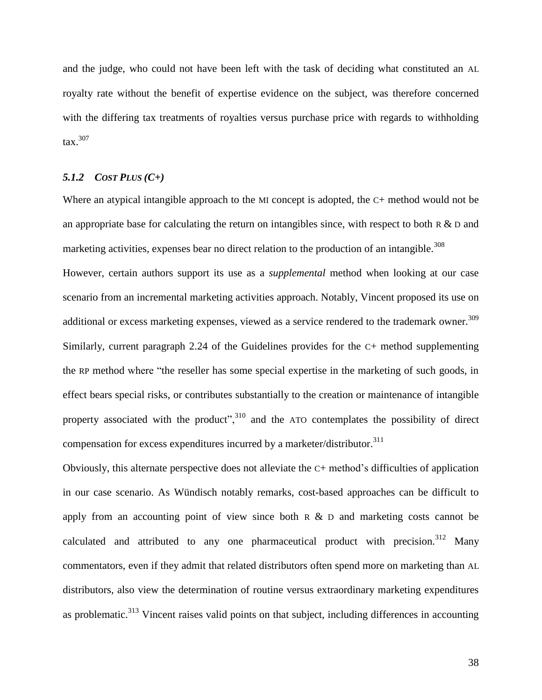and the judge, who could not have been left with the task of deciding what constituted an AL royalty rate without the benefit of expertise evidence on the subject, was therefore concerned with the differing tax treatments of royalties versus purchase price with regards to withholding  $\arctan^{307}$ 

#### <span id="page-41-0"></span>*5.1.2 COST PLUS (C+)*

Where an atypical intangible approach to the MI concept is adopted, the C+ method would not be an appropriate base for calculating the return on intangibles since, with respect to both R  $\&$  D and marketing activities, expenses bear no direct relation to the production of an intangible.<sup>308</sup>

However, certain authors support its use as a *supplemental* method when looking at our case scenario from an incremental marketing activities approach. Notably, Vincent proposed its use on additional or excess marketing expenses, viewed as a service rendered to the trademark owner.<sup>309</sup> Similarly, current paragraph 2.24 of the Guidelines provides for the C+ method supplementing the RP method where "the reseller has some special expertise in the marketing of such goods, in effect bears special risks, or contributes substantially to the creation or maintenance of intangible property associated with the product",  $310$  and the ATO contemplates the possibility of direct compensation for excess expenditures incurred by a marketer/distributor.<sup>311</sup>

<span id="page-41-1"></span>Obviously, this alternate perspective does not alleviate the C+ method"s difficulties of application in our case scenario. As Wündisch notably remarks, cost-based approaches can be difficult to apply from an accounting point of view since both  $R \& D$  and marketing costs cannot be calculated and attributed to any one pharmaceutical product with precision.<sup>312</sup> Many commentators, even if they admit that related distributors often spend more on marketing than AL distributors, also view the determination of routine versus extraordinary marketing expenditures as problematic.<sup>313</sup> Vincent raises valid points on that subject, including differences in accounting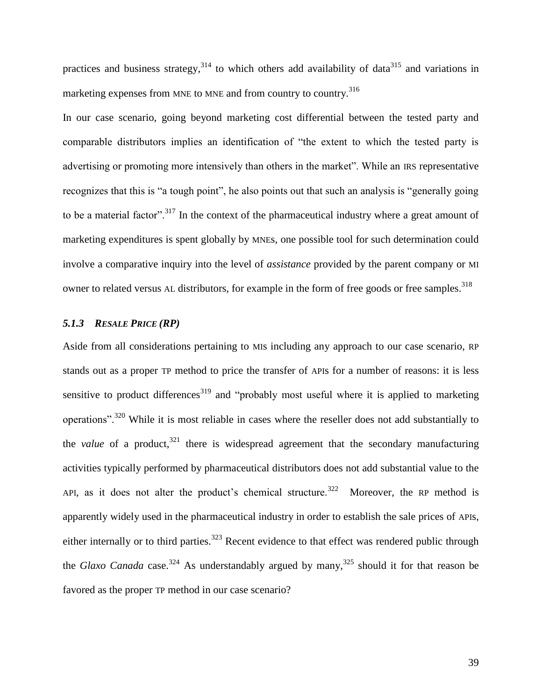practices and business strategy,  $314$  to which others add availability of data  $315$  and variations in marketing expenses from MNE to MNE and from country to country.<sup>316</sup>

<span id="page-42-0"></span>In our case scenario, going beyond marketing cost differential between the tested party and comparable distributors implies an identification of "the extent to which the tested party is advertising or promoting more intensively than others in the market". While an IRS representative recognizes that this is "a tough point", he also points out that such an analysis is "generally going to be a material factor".<sup>317</sup> In the context of the pharmaceutical industry where a great amount of marketing expenditures is spent globally by MNEs, one possible tool for such determination could involve a comparative inquiry into the level of *assistance* provided by the parent company or MI owner to related versus AL distributors, for example in the form of free goods or free samples.<sup>318</sup>

## *5.1.3 RESALE PRICE (RP)*

<span id="page-42-2"></span><span id="page-42-1"></span>Aside from all considerations pertaining to MIs including any approach to our case scenario, RP stands out as a proper TP method to price the transfer of APIs for a number of reasons: it is less sensitive to product differences<sup>319</sup> and "probably most useful where it is applied to marketing operations".<sup>320</sup> While it is most reliable in cases where the reseller does not add substantially to the *value* of a product, <sup>321</sup> there is widespread agreement that the secondary manufacturing activities typically performed by pharmaceutical distributors does not add substantial value to the API, as it does not alter the product's chemical structure.<sup>322</sup> Moreover, the RP method is apparently widely used in the pharmaceutical industry in order to establish the sale prices of APIs, either internally or to third parties.<sup>323</sup> Recent evidence to that effect was rendered public through the *Glaxo Canada* case.<sup>324</sup> As understandably argued by many,<sup>325</sup> should it for that reason be favored as the proper TP method in our case scenario?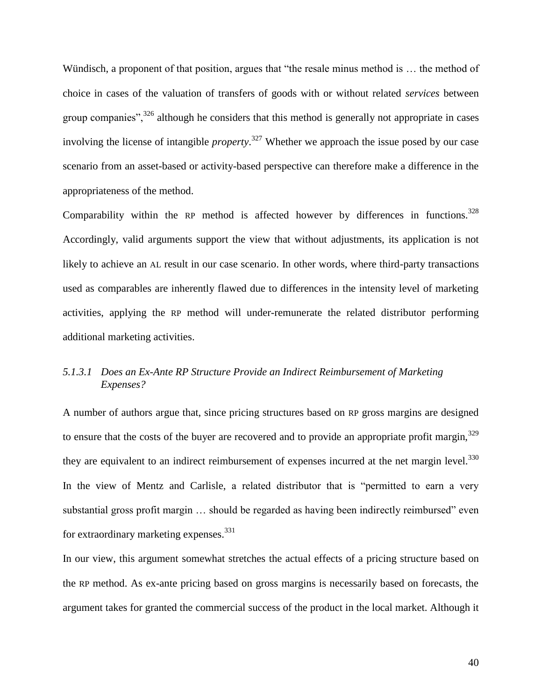Wündisch, a proponent of that position, argues that "the resale minus method is … the method of choice in cases of the valuation of transfers of goods with or without related *services* between group companies",<sup>326</sup> although he considers that this method is generally not appropriate in cases involving the license of intangible *property*. <sup>327</sup> Whether we approach the issue posed by our case scenario from an asset-based or activity-based perspective can therefore make a difference in the appropriateness of the method.

Comparability within the RP method is affected however by differences in functions.<sup>328</sup> Accordingly, valid arguments support the view that without adjustments, its application is not likely to achieve an AL result in our case scenario. In other words, where third-party transactions used as comparables are inherently flawed due to differences in the intensity level of marketing activities, applying the RP method will under-remunerate the related distributor performing additional marketing activities.

## <span id="page-43-0"></span>*5.1.3.1 Does an Ex-Ante RP Structure Provide an Indirect Reimbursement of Marketing Expenses?*

A number of authors argue that, since pricing structures based on RP gross margins are designed to ensure that the costs of the buyer are recovered and to provide an appropriate profit margin,  $329$ they are equivalent to an indirect reimbursement of expenses incurred at the net margin level. $^{330}$ In the view of Mentz and Carlisle, a related distributor that is "permitted to earn a very substantial gross profit margin … should be regarded as having been indirectly reimbursed" even for extraordinary marketing expenses.<sup>331</sup>

In our view, this argument somewhat stretches the actual effects of a pricing structure based on the RP method. As ex-ante pricing based on gross margins is necessarily based on forecasts, the argument takes for granted the commercial success of the product in the local market. Although it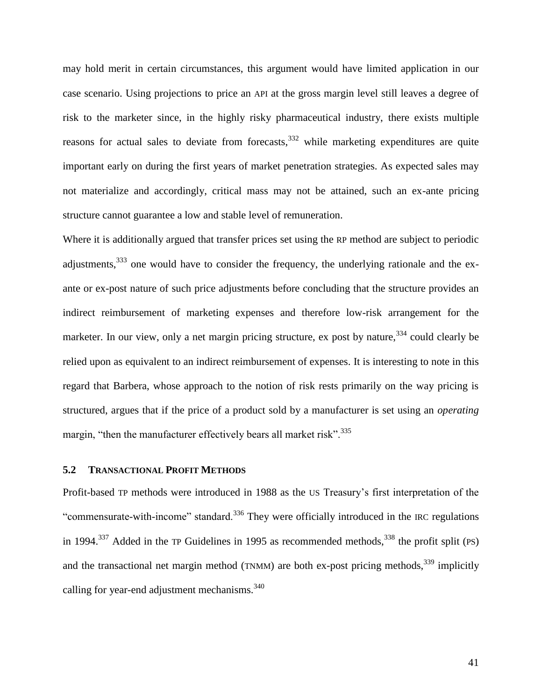may hold merit in certain circumstances, this argument would have limited application in our case scenario. Using projections to price an API at the gross margin level still leaves a degree of risk to the marketer since, in the highly risky pharmaceutical industry, there exists multiple reasons for actual sales to deviate from forecasts,  $332$  while marketing expenditures are quite important early on during the first years of market penetration strategies. As expected sales may not materialize and accordingly, critical mass may not be attained, such an ex-ante pricing structure cannot guarantee a low and stable level of remuneration.

Where it is additionally argued that transfer prices set using the RP method are subject to periodic adjustments,  $333$  one would have to consider the frequency, the underlying rationale and the exante or ex-post nature of such price adjustments before concluding that the structure provides an indirect reimbursement of marketing expenses and therefore low-risk arrangement for the marketer. In our view, only a net margin pricing structure, ex post by nature,<sup>334</sup> could clearly be relied upon as equivalent to an indirect reimbursement of expenses. It is interesting to note in this regard that Barbera, whose approach to the notion of risk rests primarily on the way pricing is structured, argues that if the price of a product sold by a manufacturer is set using an *operating* margin, "then the manufacturer effectively bears all market risk".<sup>335</sup>

#### **5.2 TRANSACTIONAL PROFIT METHODS**

Profit-based TP methods were introduced in 1988 as the US Treasury"s first interpretation of the "commensurate-with-income" standard.<sup>336</sup> They were officially introduced in the IRC regulations in 1994.<sup>337</sup> Added in the TP Guidelines in 1995 as recommended methods,<sup>338</sup> the profit split (PS) and the transactional net margin method (TNMM) are both ex-post pricing methods,  $339$  implicitly calling for year-end adjustment mechanisms. $340$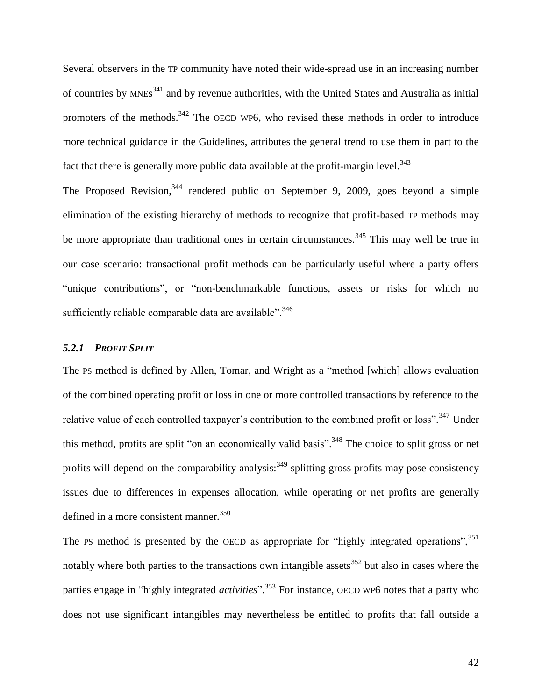Several observers in the TP community have noted their wide-spread use in an increasing number of countries by MNEs<sup>341</sup> and by revenue authorities, with the United States and Australia as initial promoters of the methods.<sup>342</sup> The OECD WP6, who revised these methods in order to introduce more technical guidance in the Guidelines, attributes the general trend to use them in part to the fact that there is generally more public data available at the profit-margin level. $343$ 

The Proposed Revision, <sup>344</sup> rendered public on September 9, 2009, goes beyond a simple elimination of the existing hierarchy of methods to recognize that profit-based TP methods may be more appropriate than traditional ones in certain circumstances.<sup>345</sup> This may well be true in our case scenario: transactional profit methods can be particularly useful where a party offers "unique contributions", or "non-benchmarkable functions, assets or risks for which no sufficiently reliable comparable data are available".  $346$ 

## *5.2.1 PROFIT SPLIT*

The PS method is defined by Allen, Tomar, and Wright as a "method [which] allows evaluation of the combined operating profit or loss in one or more controlled transactions by reference to the relative value of each controlled taxpayer's contribution to the combined profit or loss".<sup>347</sup> Under this method, profits are split "on an economically valid basis".<sup>348</sup> The choice to split gross or net profits will depend on the comparability analysis:  $349$  splitting gross profits may pose consistency issues due to differences in expenses allocation, while operating or net profits are generally defined in a more consistent manner.<sup>350</sup>

The PS method is presented by the OECD as appropriate for "highly integrated operations",  $351$ notably where both parties to the transactions own intangible assets<sup>352</sup> but also in cases where the parties engage in "highly integrated *activities*". <sup>353</sup> For instance, OECD WP6 notes that a party who does not use significant intangibles may nevertheless be entitled to profits that fall outside a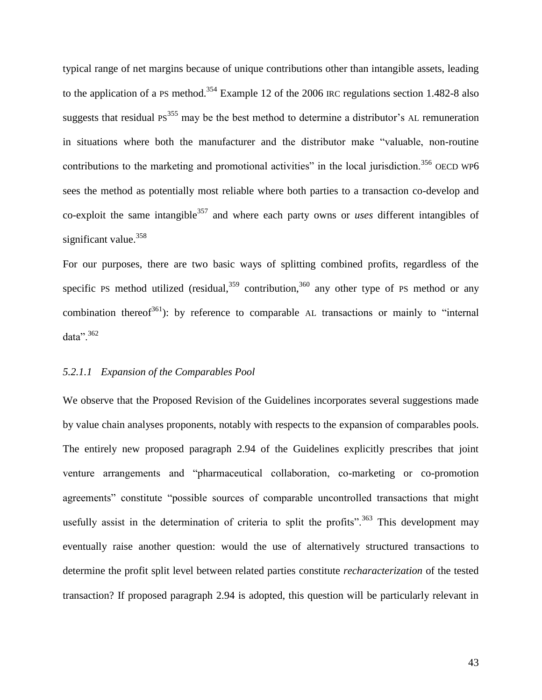typical range of net margins because of unique contributions other than intangible assets, leading to the application of a PS method.<sup>354</sup> Example 12 of the 2006 IRC regulations section 1.482-8 also suggests that residual  $PS^{355}$  may be the best method to determine a distributor's AL remuneration in situations where both the manufacturer and the distributor make "valuable, non-routine contributions to the marketing and promotional activities" in the local jurisdiction.<sup>356</sup> OECD WP6 sees the method as potentially most reliable where both parties to a transaction co-develop and co-exploit the same intangible<sup>357</sup> and where each party owns or *uses* different intangibles of significant value.<sup>358</sup>

For our purposes, there are two basic ways of splitting combined profits, regardless of the specific PS method utilized (residual,  $359$  contribution,  $360$  any other type of PS method or any combination thereof<sup>361</sup>): by reference to comparable AL transactions or mainly to "internal" data". 362

#### *5.2.1.1 Expansion of the Comparables Pool*

We observe that the Proposed Revision of the Guidelines incorporates several suggestions made by value chain analyses proponents, notably with respects to the expansion of comparables pools. The entirely new proposed paragraph 2.94 of the Guidelines explicitly prescribes that joint venture arrangements and "pharmaceutical collaboration, co-marketing or co-promotion agreements" constitute "possible sources of comparable uncontrolled transactions that might usefully assist in the determination of criteria to split the profits".<sup>363</sup> This development may eventually raise another question: would the use of alternatively structured transactions to determine the profit split level between related parties constitute *recharacterization* of the tested transaction? If proposed paragraph 2.94 is adopted, this question will be particularly relevant in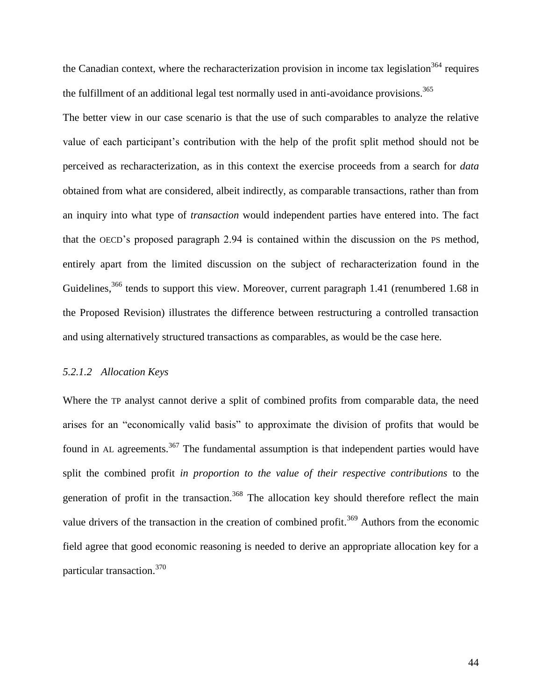the Canadian context, where the recharacterization provision in income tax legislation<sup>364</sup> requires the fulfillment of an additional legal test normally used in anti-avoidance provisions.<sup>365</sup>

The better view in our case scenario is that the use of such comparables to analyze the relative value of each participant"s contribution with the help of the profit split method should not be perceived as recharacterization, as in this context the exercise proceeds from a search for *data* obtained from what are considered, albeit indirectly, as comparable transactions, rather than from an inquiry into what type of *transaction* would independent parties have entered into. The fact that the OECD"s proposed paragraph 2.94 is contained within the discussion on the PS method, entirely apart from the limited discussion on the subject of recharacterization found in the Guidelines,<sup>366</sup> tends to support this view. Moreover, current paragraph 1.41 (renumbered 1.68 in the Proposed Revision) illustrates the difference between restructuring a controlled transaction and using alternatively structured transactions as comparables, as would be the case here.

#### *5.2.1.2 Allocation Keys*

Where the TP analyst cannot derive a split of combined profits from comparable data, the need arises for an "economically valid basis" to approximate the division of profits that would be found in AL agreements.<sup>367</sup> The fundamental assumption is that independent parties would have split the combined profit *in proportion to the value of their respective contributions* to the generation of profit in the transaction.<sup>368</sup> The allocation key should therefore reflect the main value drivers of the transaction in the creation of combined profit.<sup>369</sup> Authors from the economic field agree that good economic reasoning is needed to derive an appropriate allocation key for a particular transaction.<sup>370</sup>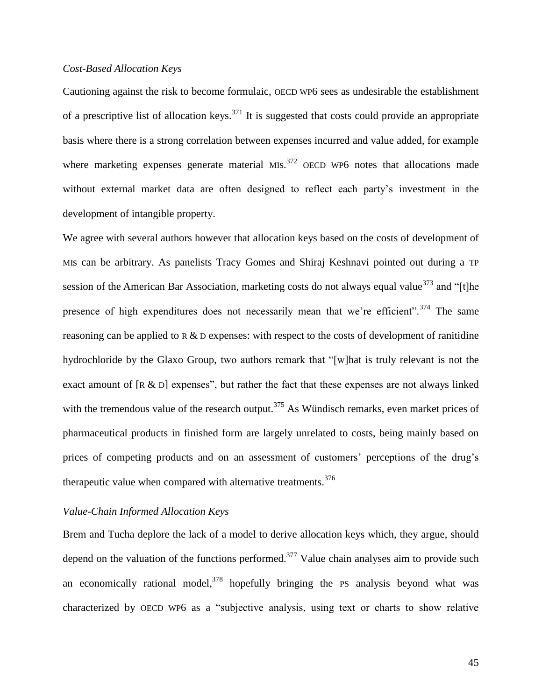## *Cost-Based Allocation Keys*

Cautioning against the risk to become formulaic, OECD WP6 sees as undesirable the establishment of a prescriptive list of allocation keys.<sup>371</sup> It is suggested that costs could provide an appropriate basis where there is a strong correlation between expenses incurred and value added, for example where marketing expenses generate material MIs. $^{372}$  OECD WP6 notes that allocations made without external market data are often designed to reflect each party"s investment in the development of intangible property.

We agree with several authors however that allocation keys based on the costs of development of MIs can be arbitrary. As panelists Tracy Gomes and Shiraj Keshnavi pointed out during a TP session of the American Bar Association, marketing costs do not always equal value<sup>373</sup> and "[t]he presence of high expenditures does not necessarily mean that we're efficient".<sup>374</sup> The same reasoning can be applied to R & D expenses: with respect to the costs of development of ranitidine hydrochloride by the Glaxo Group, two authors remark that "[w]hat is truly relevant is not the exact amount of  $[R \& D]$  expenses", but rather the fact that these expenses are not always linked with the tremendous value of the research output.<sup>375</sup> As Wündisch remarks, even market prices of pharmaceutical products in finished form are largely unrelated to costs, being mainly based on prices of competing products and on an assessment of customers' perceptions of the drug's therapeutic value when compared with alternative treatments.<sup>376</sup>

## *Value-Chain Informed Allocation Keys*

Brem and Tucha deplore the lack of a model to derive allocation keys which, they argue, should depend on the valuation of the functions performed.<sup>377</sup> Value chain analyses aim to provide such an economically rational model,  $378$  hopefully bringing the PS analysis beyond what was characterized by OECD WP6 as a "subjective analysis, using text or charts to show relative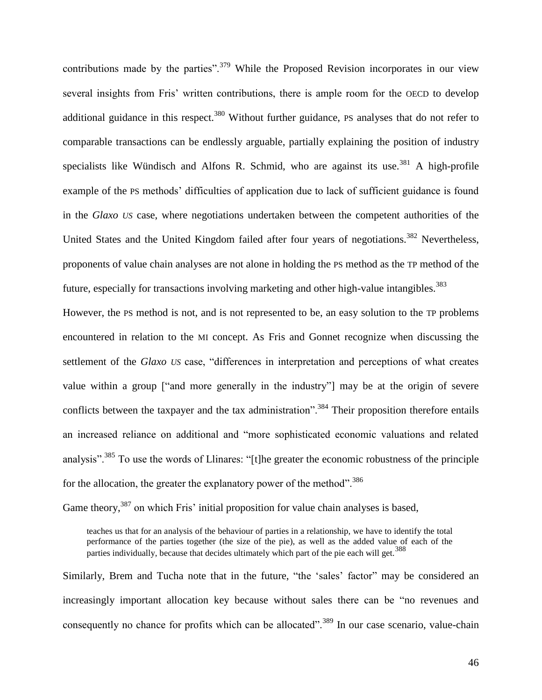contributions made by the parties".<sup>379</sup> While the Proposed Revision incorporates in our view several insights from Fris' written contributions, there is ample room for the OECD to develop additional guidance in this respect.<sup>380</sup> Without further guidance, PS analyses that do not refer to comparable transactions can be endlessly arguable, partially explaining the position of industry specialists like Wündisch and Alfons R. Schmid, who are against its use.<sup>381</sup> A high-profile example of the PS methods" difficulties of application due to lack of sufficient guidance is found in the *Glaxo US* case, where negotiations undertaken between the competent authorities of the United States and the United Kingdom failed after four years of negotiations.<sup>382</sup> Nevertheless, proponents of value chain analyses are not alone in holding the PS method as the TP method of the future, especially for transactions involving marketing and other high-value intangibles.<sup>383</sup>

However, the PS method is not, and is not represented to be, an easy solution to the TP problems encountered in relation to the MI concept. As Fris and Gonnet recognize when discussing the settlement of the *Glaxo US* case, "differences in interpretation and perceptions of what creates value within a group ["and more generally in the industry"] may be at the origin of severe conflicts between the taxpayer and the tax administration".<sup>384</sup> Their proposition therefore entails an increased reliance on additional and "more sophisticated economic valuations and related analysis".<sup>385</sup> To use the words of Llinares: "[t]he greater the economic robustness of the principle for the allocation, the greater the explanatory power of the method".<sup>386</sup>

Game theory,  $387$  on which Fris' initial proposition for value chain analyses is based,

teaches us that for an analysis of the behaviour of parties in a relationship, we have to identify the total performance of the parties together (the size of the pie), as well as the added value of each of the parties individually, because that decides ultimately which part of the pie each will get.<sup>388</sup>

Similarly, Brem and Tucha note that in the future, "the 'sales' factor" may be considered an increasingly important allocation key because without sales there can be "no revenues and consequently no chance for profits which can be allocated".<sup>389</sup> In our case scenario, value-chain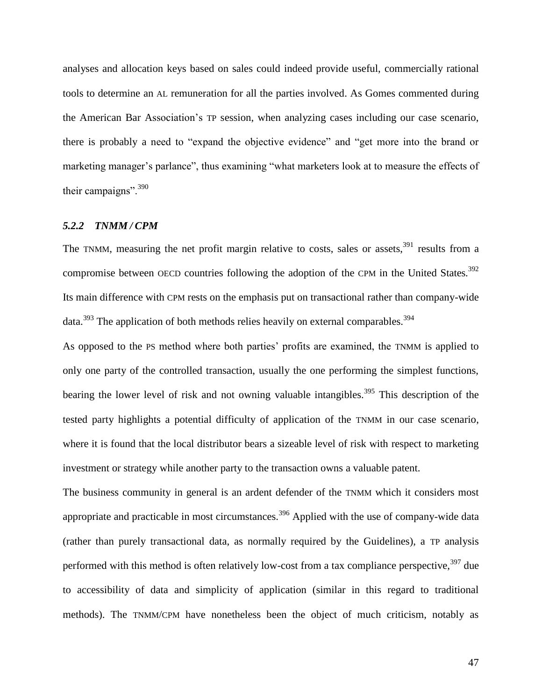analyses and allocation keys based on sales could indeed provide useful, commercially rational tools to determine an AL remuneration for all the parties involved. As Gomes commented during the American Bar Association"s TP session, when analyzing cases including our case scenario, there is probably a need to "expand the objective evidence" and "get more into the brand or marketing manager's parlance", thus examining "what marketers look at to measure the effects of their campaigns".<sup>390</sup>

## *5.2.2 TNMM / CPM*

The TNMM, measuring the net profit margin relative to costs, sales or assets,  $391$  results from a compromise between OECD countries following the adoption of the CPM in the United States.<sup>392</sup> Its main difference with CPM rests on the emphasis put on transactional rather than company-wide  $data.<sup>393</sup>$  The application of both methods relies heavily on external comparables.<sup>394</sup>

As opposed to the PS method where both parties' profits are examined, the TNMM is applied to only one party of the controlled transaction, usually the one performing the simplest functions, bearing the lower level of risk and not owning valuable intangibles.<sup>395</sup> This description of the tested party highlights a potential difficulty of application of the TNMM in our case scenario, where it is found that the local distributor bears a sizeable level of risk with respect to marketing investment or strategy while another party to the transaction owns a valuable patent.

The business community in general is an ardent defender of the TNMM which it considers most appropriate and practicable in most circumstances.<sup>396</sup> Applied with the use of company-wide data (rather than purely transactional data, as normally required by the Guidelines), a TP analysis performed with this method is often relatively low-cost from a tax compliance perspective,  $397$  due to accessibility of data and simplicity of application (similar in this regard to traditional methods). The TNMM/CPM have nonetheless been the object of much criticism, notably as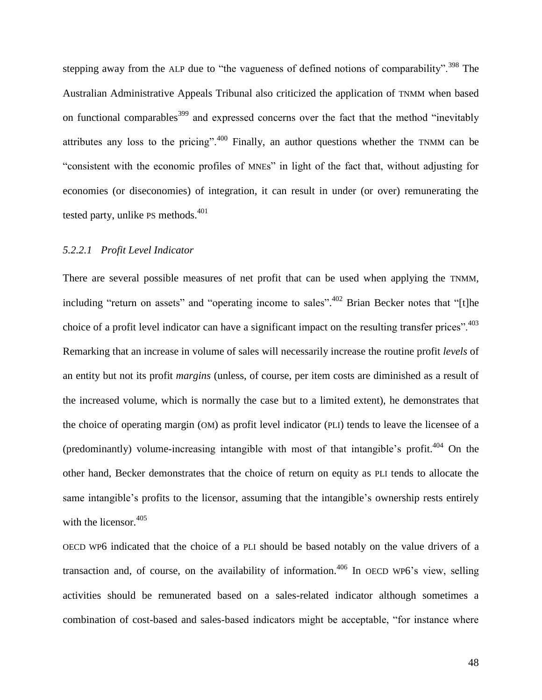<span id="page-51-0"></span>stepping away from the ALP due to "the vagueness of defined notions of comparability".<sup>398</sup> The Australian Administrative Appeals Tribunal also criticized the application of TNMM when based on functional comparables<sup>399</sup> and expressed concerns over the fact that the method "inevitably" attributes any loss to the pricing".<sup>400</sup> Finally, an author questions whether the TNMM can be "consistent with the economic profiles of MNEs" in light of the fact that, without adjusting for economies (or diseconomies) of integration, it can result in under (or over) remunerating the tested party, unlike PS methods.<sup>401</sup>

#### *5.2.2.1 Profit Level Indicator*

There are several possible measures of net profit that can be used when applying the TNMM, including "return on assets" and "operating income to sales".<sup>402</sup> Brian Becker notes that "[t]he choice of a profit level indicator can have a significant impact on the resulting transfer prices".<sup>403</sup> Remarking that an increase in volume of sales will necessarily increase the routine profit *levels* of an entity but not its profit *margins* (unless, of course, per item costs are diminished as a result of the increased volume, which is normally the case but to a limited extent), he demonstrates that the choice of operating margin (OM) as profit level indicator (PLI) tends to leave the licensee of a (predominantly) volume-increasing intangible with most of that intangible's profit.<sup>404</sup> On the other hand, Becker demonstrates that the choice of return on equity as PLI tends to allocate the same intangible's profits to the licensor, assuming that the intangible's ownership rests entirely with the licensor.<sup>405</sup>

OECD WP6 indicated that the choice of a PLI should be based notably on the value drivers of a transaction and, of course, on the availability of information.<sup>406</sup> In OECD WP6's view, selling activities should be remunerated based on a sales-related indicator although sometimes a combination of cost-based and sales-based indicators might be acceptable, "for instance where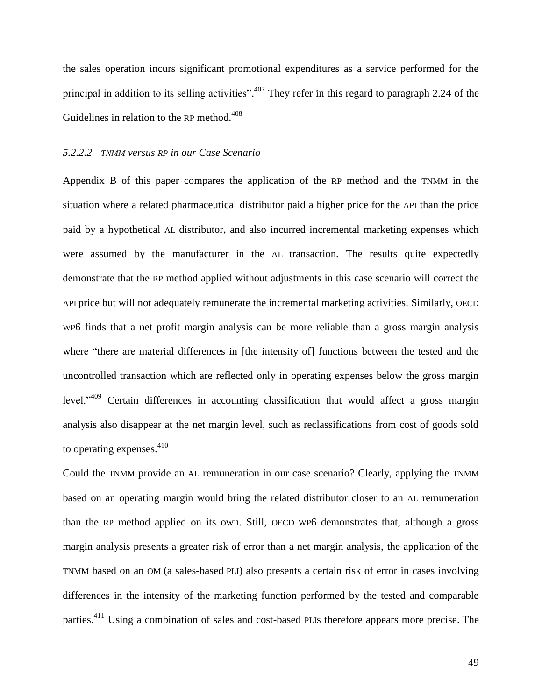the sales operation incurs significant promotional expenditures as a service performed for the principal in addition to its selling activities".<sup>407</sup> They refer in this regard to paragraph 2.24 of the Guidelines in relation to the RP method.<sup>408</sup>

#### *5.2.2.2 TNMM versus RP in our Case Scenario*

Appendix B of this paper compares the application of the RP method and the TNMM in the situation where a related pharmaceutical distributor paid a higher price for the API than the price paid by a hypothetical AL distributor, and also incurred incremental marketing expenses which were assumed by the manufacturer in the AL transaction. The results quite expectedly demonstrate that the RP method applied without adjustments in this case scenario will correct the API price but will not adequately remunerate the incremental marketing activities. Similarly, OECD WP6 finds that a net profit margin analysis can be more reliable than a gross margin analysis where "there are material differences in [the intensity of] functions between the tested and the uncontrolled transaction which are reflected only in operating expenses below the gross margin level."<sup>409</sup> Certain differences in accounting classification that would affect a gross margin analysis also disappear at the net margin level, such as reclassifications from cost of goods sold to operating expenses.<sup>410</sup>

Could the TNMM provide an AL remuneration in our case scenario? Clearly, applying the TNMM based on an operating margin would bring the related distributor closer to an AL remuneration than the RP method applied on its own. Still, OECD WP6 demonstrates that, although a gross margin analysis presents a greater risk of error than a net margin analysis, the application of the TNMM based on an OM (a sales-based PLI) also presents a certain risk of error in cases involving differences in the intensity of the marketing function performed by the tested and comparable parties.<sup>411</sup> Using a combination of sales and cost-based PLIs therefore appears more precise. The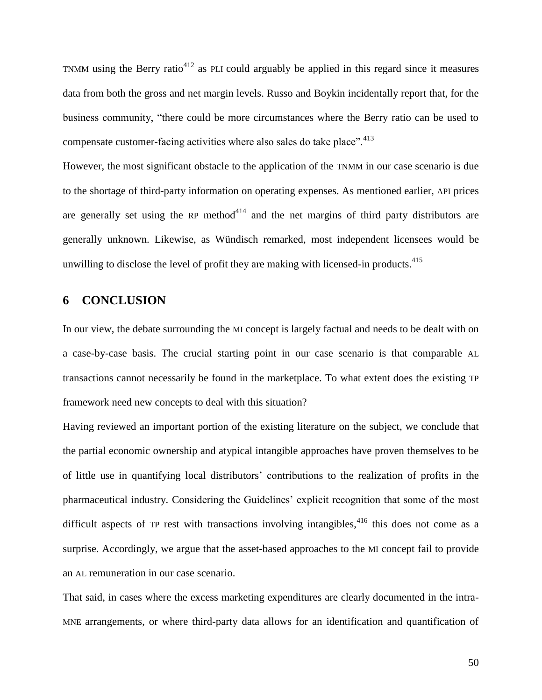TNMM using the Berry ratio<sup>412</sup> as PLI could arguably be applied in this regard since it measures data from both the gross and net margin levels. Russo and Boykin incidentally report that, for the business community, "there could be more circumstances where the Berry ratio can be used to compensate customer-facing activities where also sales do take place".<sup>413</sup>

However, the most significant obstacle to the application of the TNMM in our case scenario is due to the shortage of third-party information on operating expenses. As mentioned earlier, API prices are generally set using the RP method<sup>414</sup> and the net margins of third party distributors are generally unknown. Likewise, as Wündisch remarked, most independent licensees would be unwilling to disclose the level of profit they are making with licensed-in products.<sup>415</sup>

## <span id="page-53-0"></span>**6 CONCLUSION**

In our view, the debate surrounding the MI concept is largely factual and needs to be dealt with on a case-by-case basis. The crucial starting point in our case scenario is that comparable AL transactions cannot necessarily be found in the marketplace. To what extent does the existing TP framework need new concepts to deal with this situation?

Having reviewed an important portion of the existing literature on the subject, we conclude that the partial economic ownership and atypical intangible approaches have proven themselves to be of little use in quantifying local distributors" contributions to the realization of profits in the pharmaceutical industry. Considering the Guidelines" explicit recognition that some of the most difficult aspects of  $TP$  rest with transactions involving intangibles,<sup>416</sup> this does not come as a surprise. Accordingly, we argue that the asset-based approaches to the MI concept fail to provide an AL remuneration in our case scenario.

That said, in cases where the excess marketing expenditures are clearly documented in the intra-MNE arrangements, or where third-party data allows for an identification and quantification of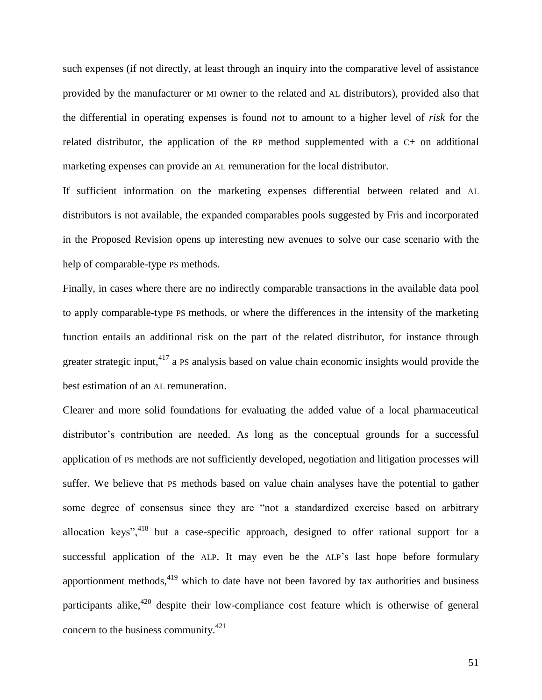such expenses (if not directly, at least through an inquiry into the comparative level of assistance provided by the manufacturer or MI owner to the related and AL distributors), provided also that the differential in operating expenses is found *not* to amount to a higher level of *risk* for the related distributor, the application of the RP method supplemented with a C+ on additional marketing expenses can provide an AL remuneration for the local distributor.

If sufficient information on the marketing expenses differential between related and AL distributors is not available, the expanded comparables pools suggested by Fris and incorporated in the Proposed Revision opens up interesting new avenues to solve our case scenario with the help of comparable-type PS methods.

Finally, in cases where there are no indirectly comparable transactions in the available data pool to apply comparable-type PS methods, or where the differences in the intensity of the marketing function entails an additional risk on the part of the related distributor, for instance through greater strategic input,  $417$  a PS analysis based on value chain economic insights would provide the best estimation of an AL remuneration.

Clearer and more solid foundations for evaluating the added value of a local pharmaceutical distributor's contribution are needed. As long as the conceptual grounds for a successful application of PS methods are not sufficiently developed, negotiation and litigation processes will suffer. We believe that PS methods based on value chain analyses have the potential to gather some degree of consensus since they are "not a standardized exercise based on arbitrary allocation keys",  $418$  but a case-specific approach, designed to offer rational support for a successful application of the ALP. It may even be the ALP's last hope before formulary apportionment methods, $419$  which to date have not been favored by tax authorities and business participants alike,  $420$  despite their low-compliance cost feature which is otherwise of general concern to the business community. $421$ 

51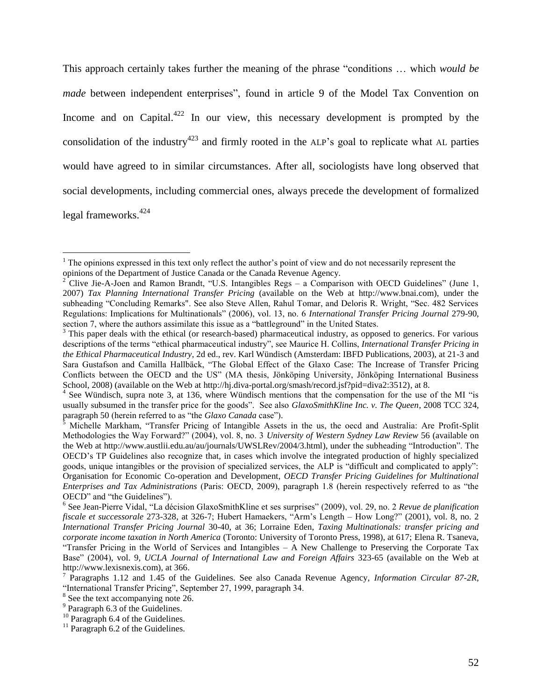This approach certainly takes further the meaning of the phrase "conditions … which *would be made* between independent enterprises", found in article 9 of the Model Tax Convention on Income and on Capital.<sup>422</sup> In our view, this necessary development is prompted by the consolidation of the industry<sup>423</sup> and firmly rooted in the ALP's goal to replicate what AL parties would have agreed to in similar circumstances. After all, sociologists have long observed that social developments, including commercial ones, always precede the development of formalized legal frameworks.<sup>424</sup>

 $\overline{a}$ 

 $1$  The opinions expressed in this text only reflect the author's point of view and do not necessarily represent the opinions of the Department of Justice Canada or the Canada Revenue Agency.

<sup>&</sup>lt;sup>2</sup> Clive Jie-A-Joen and Ramon Brandt, "U.S. Intangibles Regs – a Comparison with OECD Guidelines" (June 1, 2007) *Tax Planning International Transfer Pricing* (available on the Web at [http://www.bnai.com\)](http://www.bnai.com/), under the subheading "Concluding Remarks". See also Steve Allen, Rahul Tomar, and Deloris R. Wright, "Sec. 482 Services Regulations: Implications for Multinationals" (2006), vol. 13, no. 6 *International Transfer Pricing Journal* 279-90, section 7, where the authors assimilate this issue as a "battleground" in the United States.

 $3$  This paper deals with the ethical (or research-based) pharmaceutical industry, as opposed to generics. For various descriptions of the terms "ethical pharmaceutical industry", see Maurice H. Collins, *International Transfer Pricing in the Ethical Pharmaceutical Industry*, 2d ed., rev. Karl Wündisch (Amsterdam: IBFD Publications, 2003), at 21-3 and Sara Gustafson and Camilla Hallbäck, "The Global Effect of the Glaxo Case: The Increase of Transfer Pricing Conflicts between the OECD and the US" (MA thesis, Jönköping University, Jönköping International Business School, 2008) (available on the Web at http://hj.diva-portal.org/smash/record.jsf?pid=diva2:3512), at 8.

<sup>&</sup>lt;sup>4</sup> See Wündisch, supra note [3,](#page-4-0) at 136, where Wündisch mentions that the compensation for the use of the MI "is usually subsumed in the transfer price for the goods". See also *GlaxoSmithKline Inc. v. The Queen*, 2008 TCC 324, paragraph 50 (herein referred to as "the *Glaxo Canada* case").<sup>5</sup> Michalla Marth (*m*)

<sup>5</sup> Michelle Markham, "Transfer Pricing of Intangible Assets in the us, the oecd and Australia: Are Profit-Split Methodologies the Way Forward?" (2004), vol. 8, no. 3 *University of Western Sydney Law Review* 56 (available on the Web at [http://www.austlii.edu.au/au/journals/UWSLRev/2004/3.html\)](http://www.austlii.edu.au/au/journals/UWSLRev/2004/3.html), under the subheading "Introduction". The OECD"s TP Guidelines also recognize that, in cases which involve the integrated production of highly specialized goods, unique intangibles or the provision of specialized services, the ALP is "difficult and complicated to apply": Organisation for Economic Co-operation and Development, *OECD Transfer Pricing Guidelines for Multinational Enterprises and Tax Administrations* (Paris: OECD, 2009), paragraph 1.8 (herein respectively referred to as "the OECD" and "the Guidelines").

<sup>6</sup> See Jean-Pierre Vidal, "La décision GlaxoSmithKline et ses surprises" (2009), vol. 29, no. 2 *Revue de planification fiscale et successorale* 273-328, at 326-7; Hubert Hamaekers, "Arm"s Length – How Long?" (2001), vol. 8, no. 2 *International Transfer Pricing Journal* 30-40, at 36; Lorraine Eden, *Taxing Multinationals: transfer pricing and corporate income taxation in North America* (Toronto: University of Toronto Press, 1998), at 617; Elena R. Tsaneva, "Transfer Pricing in the World of Services and Intangibles – A New Challenge to Preserving the Corporate Tax Base" (2004), vol. 9, *UCLA Journal of International Law and Foreign Affairs* 323-65 (available on the Web at [http://www.lexisnexis.com\)](http://www.lexisnexis.com/), at 366.

<sup>7</sup> Paragraphs 1.12 and 1.45 of the Guidelines. See also Canada Revenue Agency, *Information Circular 87-2R*, "International Transfer Pricing", September 27, 1999, paragraph 34.

<sup>&</sup>lt;sup>8</sup> See the text accompanying note [26.](#page-7-0)

<sup>&</sup>lt;sup>9</sup> Paragraph 6.3 of the Guidelines.

 $10$  Paragraph 6.4 of the Guidelines.

 $11$  Paragraph 6.2 of the Guidelines.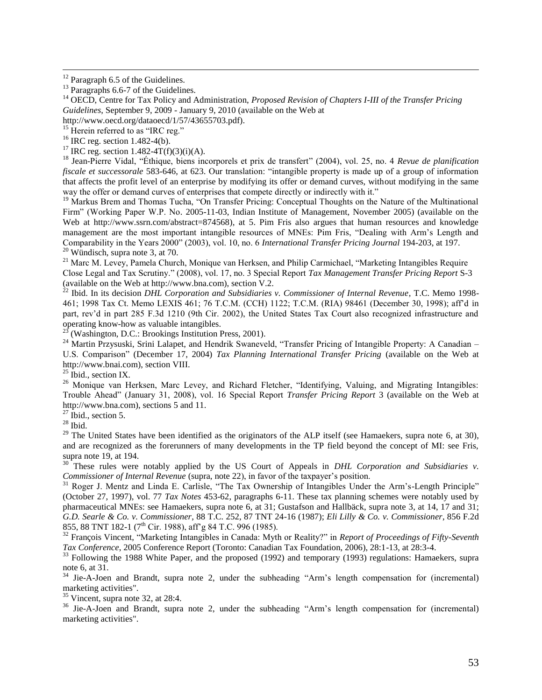$\overline{a}$ 

<sup>18</sup> Jean-Pierre Vidal, "Éthique, biens incorporels et prix de transfert" (2004), vol. 25, no. 4 *Revue de planification fiscale et successorale* 583-646, at 623. Our translation: "intangible property is made up of a group of information that affects the profit level of an enterprise by modifying its offer or demand curves, without modifying in the same way the offer or demand curves of enterprises that compete directly or indirectly with it."

<sup>19</sup> Markus Brem and Thomas Tucha, "On Transfer Pricing: Conceptual Thoughts on the Nature of the Multinational Firm" (Working Paper W.P. No. 2005-11-03, Indian Institute of Management, November 2005) (available on the Web at [http://www.ssrn.com/abstract=874568\)](http://www.ssrn.com/abstract=874568), at 5. Pim Fris also argues that human resources and knowledge management are the most important intangible resources of MNEs: Pim Fris, "Dealing with Arm"s Length and Comparability in the Years 2000" (2003), vol. 10, no. 6 *International Transfer Pricing Journal* 194-203, at 197.  $20$  Wündisch, supra note [3,](#page-4-0) at 70.

<sup>21</sup> Marc M. Levey, Pamela Church, Monique van Herksen, and Philip Carmichael, "Marketing Intangibles Require Close Legal and Tax Scrutiny." (2008), vol. 17, no. 3 Special Report *Tax Management Transfer Pricing Report* S-3 (available on the Web at http://www.bna.com), section V.2.

 $^{22}$  Ibid. In its decision *DHL Corporation and Subsidiaries v. Commissioner of Internal Revenue*, T.C. Memo 1998-461; 1998 Tax Ct. Memo LEXIS 461; 76 T.C.M. (CCH) 1122; T.C.M. (RIA) 98461 (December 30, 1998); aff"d in part, rev"d in part 285 F.3d 1210 (9th Cir. 2002), the United States Tax Court also recognized infrastructure and operating know-how as valuable intangibles.

(Washington, D.C.: Brookings Institution Press, 2001).

<sup>24</sup> Martin Przysuski, Srini Lalapet, and Hendrik Swaneveld, "Transfer Pricing of Intangible Property: A Canadian – U.S. Comparison" (December 17, 2004) *Tax Planning International Transfer Pricing* (available on the Web at [http://www.bnai.com\)](http://www.bnai.com/), section VIII.

 $25$  Ibid., section IX.

<sup>26</sup> Monique van Herksen, Marc Levey, and Richard Fletcher, "Identifying, Valuing, and Migrating Intangibles: Trouble Ahead" (January 31, 2008), vol. 16 Special Report *Transfer Pricing Report* 3 (available on the Web at [http://www.bna.com\)](http://www.bna.com/), sections 5 and 11.

 $27$  Ibid., section 5.

 $28$  Ibid.

 $29$  The United States have been identified as the originators of the ALP itself (see Hamaekers, supra note [6,](#page-5-0) at 30), and are recognized as the forerunners of many developments in the TP field beyond the concept of MI: see Fris, supra note [19,](#page-7-1) at 194.

<sup>30</sup> These rules were notably applied by the US Court of Appeals in *DHL Corporation and Subsidiaries v. Commissioner of Internal Revenue* (supra, note [22\)](#page-7-2), in favor of the taxpayer's position.

<sup>31</sup> Roger J. Mentz and Linda E. Carlisle, "The Tax Ownership of Intangibles Under the Arm's-Length Principle" (October 27, 1997), vol. 77 *Tax Notes* 453-62, paragraphs 6-11. These tax planning schemes were notably used by pharmaceutical MNEs: see Hamaekers, supra note [6,](#page-5-0) at 31; Gustafson and Hallbäck, supra note [3,](#page-4-0) at 14, 17 and 31; *G.D. Searle & Co. v. Commissioner*, 88 T.C. 252, 87 TNT 24-16 (1987); *Eli Lilly & Co. v. Commissioner*, 856 F.2d 855, 88 TNT 182-1 (7<sup>th</sup> Cir. 1988), aff'g 84 T.C. 996 (1985).

<sup>32</sup> François Vincent, "Marketing Intangibles in Canada: Myth or Reality?" in *Report of Proceedings of Fifty-Seventh Tax Conference*, 2005 Conference Report (Toronto: Canadian Tax Foundation, 2006), 28:1-13, at 28:3-4.

<sup>33</sup> Following the 1988 White Paper, and the proposed (1992) and temporary (1993) regulations: Hamaekers, supra not[e 6,](#page-5-0) at 31.

<sup>34</sup> Jie-A-Joen and Brandt, supra note [2,](#page-4-1) under the subheading "Arm"s length compensation for (incremental) marketing activities".

<sup>35</sup> Vincent, supra note [32,](#page-8-0) at 28:4.

<sup>36</sup> Jie-A-Joen and Brandt, supra note [2,](#page-4-1) under the subheading "Arm's length compensation for (incremental) marketing activities".

 $12$  Paragraph 6.5 of the Guidelines.

 $^{13}$  Paragraphs 6.6-7 of the Guidelines.

<sup>14</sup> OECD, Centre for Tax Policy and Administration, *Proposed Revision of Chapters I-III of the Transfer Pricing Guidelines*, September 9, 2009 - January 9, 2010 (available on the Web at

http://www.oecd.org/dataoecd/1/57/43655703.pdf).

<sup>&</sup>lt;sup>15</sup> Herein referred to as "IRC reg."

 $16$  IRC reg. section 1.482-4(b).

<sup>&</sup>lt;sup>17</sup> IRC reg. section 1.482-4T(f)(3)(i)(A).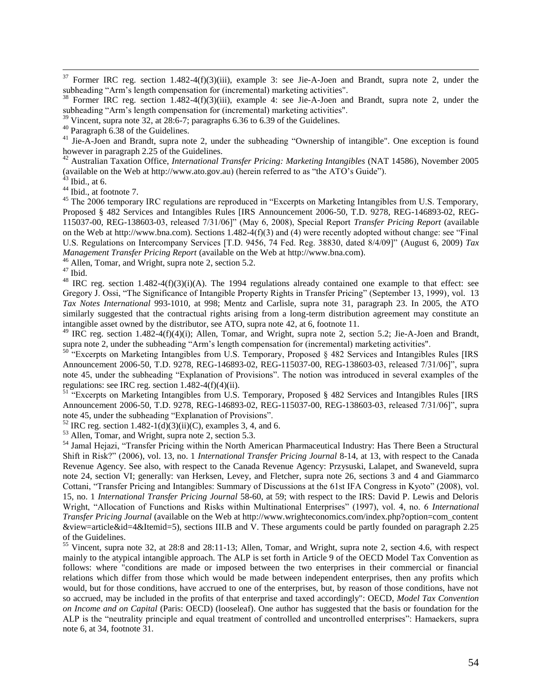$37$  Former IRC reg. section 1.482-4(f)(3)(iii), example 3: see Jie-A-Joen and Brandt, supra note [2,](#page-4-1) under the subheading "Arm"s length compensation for (incremental) marketing activities".

<sup>38</sup> Former IRC reg. section 1.482-4(f)(3)(iii), example 4: see Jie-A-Joen and Brandt, supra note [2,](#page-4-1) under the subheading "Arm"s length compensation for (incremental) marketing activities".

 $39$  Vincent, supra note [32,](#page-8-0) at 28:6-7; paragraphs 6.36 to 6.39 of the Guidelines.

<sup>41</sup> Jie-A-Joen and Brandt, supra note [2,](#page-4-1) under the subheading "Ownership of intangible". One exception is found however in paragraph 2.25 of the Guidelines.

<sup>42</sup> Australian Taxation Office, *International Transfer Pricing: Marketing Intangibles* (NAT 14586), November 2005 (available on the Web at [http://www.ato.gov.au\)](http://www.ato.gov.au/) (herein referred to as "the ATO"s Guide").

 $43$  Ibid., at 6.

 $\overline{a}$ 

<sup>44</sup> Ibid., at footnote 7.

<sup>45</sup> The 2006 temporary IRC regulations are reproduced in "Excerpts on Marketing Intangibles from U.S. Temporary, Proposed § 482 Services and Intangibles Rules [IRS Announcement 2006-50, T.D. 9278, REG-146893-02, REG-115037-00, REG-138603-03, released 7/31/06]" (May 6, 2008), Special Report *Transfer Pricing Report* (available on the Web at [http://www.bna.com\)](http://www.bna.com/). Sections 1.482-4(f)(3) and (4) were recently adopted without change: see "Final U.S. Regulations on Intercompany Services [T.D. 9456, 74 Fed. Reg. 38830, dated 8/4/09]" (August 6, 2009) *Tax Management Transfer Pricing Report* (available on the Web at [http://www.bna.com\)](http://www.bna.com/).

<sup>46</sup> Allen, Tomar, and Wright, supra note [2,](#page-4-1) section 5.2.

 $^{47}$  Ibid.

<sup>48</sup> IRC reg. section 1.482-4(f)(3)(i)(A). The 1994 regulations already contained one example to that effect: see Gregory J. Ossi, "The Significance of Intangible Property Rights in Transfer Pricing" (September 13, 1999), vol. 13 *Tax Notes International* 993-1010, at 998; Mentz and Carlisle, supra note [31,](#page-8-1) paragraph 23. In 2005, the ATO similarly suggested that the contractual rights arising from a long-term distribution agreement may constitute an intangible asset owned by the distributor, see ATO, supra note [42,](#page-9-0) at 6, footnote 11.

 $^{49}$  IRC reg. section 1.482-4(f)(4)(i); Allen, Tomar, and Wright, supra note [2,](#page-4-1) section 5.2; Jie-A-Joen and Brandt, supra note [2,](#page-4-1) under the subheading "Arm"s length compensation for (incremental) marketing activities".

<sup>50</sup> "Excerpts on Marketing Intangibles from U.S. Temporary, Proposed § 482 Services and Intangibles Rules [IRS Announcement 2006-50, T.D. 9278, REG-146893-02, REG-115037-00, REG-138603-03, released 7/31/06]", supra note [45,](#page-9-1) under the subheading "Explanation of Provisions". The notion was introduced in several examples of the regulations: see IRC reg. section  $1.482-4(f)(4)(ii)$ .

<sup>51</sup> "Excerpts on Marketing Intangibles from U.S. Temporary, Proposed § 482 Services and Intangibles Rules [IRS Announcement 2006-50, T.D. 9278, REG-146893-02, REG-115037-00, REG-138603-03, released 7/31/06]", supra not[e 45,](#page-9-1) under the subheading "Explanation of Provisions".

 $52$  IRC reg. section 1.482-1(d)(3)(ii)(C), examples 3, 4, and 6.

<sup>53</sup> Allen, Tomar, and Wright, supra note [2,](#page-4-1) section 5.3.

<sup>54</sup> Jamal Hejazi, "Transfer Pricing within the North American Pharmaceutical Industry: Has There Been a Structural Shift in Risk?" (2006), vol. 13, no. 1 *International Transfer Pricing Journal* 8-14, at 13, with respect to the Canada Revenue Agency. See also, with respect to the Canada Revenue Agency: Przysuski, Lalapet, and Swaneveld, supra note [24,](#page-7-3) section VI; generally: van Herksen, Levey, and Fletcher, supra note [26,](#page-7-0) sections 3 and 4 and Giammarco Cottani, "Transfer Pricing and Intangibles: Summary of Discussions at the 61st IFA Congress in Kyoto" (2008), vol. 15, no. 1 *International Transfer Pricing Journal* 58-60, at 59; with respect to the IRS: David P. Lewis and Deloris Wright, "Allocation of Functions and Risks within Multinational Enterprises" (1997), vol. 4, no. 6 *International Transfer Pricing Journal* (available on the Web at http://www.wrighteconomics.com/index.php?option=com\_content &view=article&id=4&Itemid=5), sections III.B and V. These arguments could be partly founded on paragraph 2.25 of the Guidelines.

<sup>55</sup> Vincent, supra note [32,](#page-8-0) at 28:8 and 28:11-13; Allen, Tomar, and Wright, supra note [2,](#page-4-1) section 4.6, with respect mainly to the atypical intangible approach. The ALP is set forth in Article 9 of the OECD Model Tax Convention as follows: where "conditions are made or imposed between the two enterprises in their commercial or financial relations which differ from those which would be made between independent enterprises, then any profits which would, but for those conditions, have accrued to one of the enterprises, but, by reason of those conditions, have not so accrued, may be included in the profits of that enterprise and taxed accordingly": OECD, *Model Tax Convention on Income and on Capital* (Paris: OECD) (looseleaf). One author has suggested that the basis or foundation for the ALP is the "neutrality principle and equal treatment of controlled and uncontrolled enterprises": Hamaekers, supra not[e 6,](#page-5-0) at 34, footnote 31.

 $40$  Paragraph 6.38 of the Guidelines.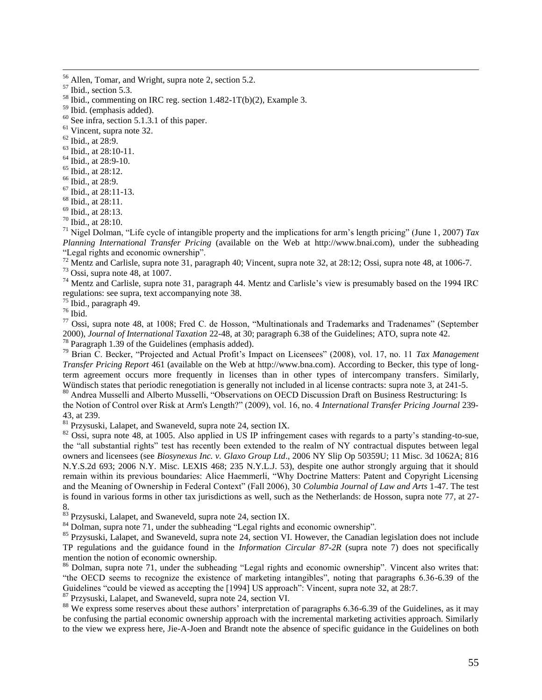$\overline{a}$ 

 $58$  Ibid., commenting on IRC reg. section  $1.482-1T(b)(2)$ , Example 3.

 $60$  See infra, section [5.1.3.1](#page-43-0) of this paper.

<sup>61</sup> Vincent, supra note [32.](#page-8-0)

<sup>62</sup> Ibid., at 28:9.

- <sup>63</sup> Ibid., at 28:10-11.
- <sup>64</sup> Ibid., at 28:9-10.
- <sup>65</sup> Ibid., at 28:12.
- <sup>66</sup> Ibid., at 28:9.
- <sup>67</sup> Ibid., at 28:11-13.
- <sup>68</sup> Ibid., at 28:11.
- $69$  Ibid., at 28:13.
- <sup>70</sup> Ibid., at 28:10.

<sup>71</sup> Nigel Dolman, "Life cycle of intangible property and the implications for arm"s length pricing" (June 1, 2007) *Tax Planning International Transfer Pricing* (available on the Web at [http://www.bnai.com\)](http://www.bnai.com/), under the subheading "Legal rights and economic ownership".

<sup>72</sup> Mentz and Carlisle, supra note [31,](#page-8-1) paragraph 40; Vincent, supra note [32,](#page-8-0) at 28:12; Ossi, supra note [48,](#page-9-2) at 1006-7.

 $73$  Ossi, supra note [48,](#page-9-2) at 1007.

<sup>74</sup> Mentz and Carlisle, supra note [31,](#page-8-1) paragraph 44. Mentz and Carlisle's view is presumably based on the 1994 IRC regulations: see supra, text accompanying note [38.](#page-8-2)

 $75$  Ibid., paragraph 49.

 $76$  Ibid.

<sup>77</sup> Ossi, supra note [48,](#page-9-2) at 1008; Fred C. de Hosson, "Multinationals and Trademarks and Tradenames" (September 2000), *Journal of International Taxation* 22-48, at 30; paragraph 6.38 of the Guidelines; ATO, supra note [42.](#page-9-0) <sup>78</sup> Paragraph 1.39 of the Guidelines (emphasis added).

<sup>79</sup> Brian C. Becker, "Projected and Actual Profit"s Impact on Licensees" (2008), vol. 17, no. 11 *Tax Management Transfer Pricing Report* 461 (available on the Web at [http://www.bna.com\)](http://www.bna.com/). According to Becker, this type of longterm agreement occurs more frequently in licenses than in other types of intercompany transfers. Similarly, Wündisch states that periodic renegotiation is generally not included in al license contracts: supra note [3,](#page-4-0) at 241-5.

80 Andrea Musselli and Alberto Musselli, "Observations on OECD Discussion Draft on Business Restructuring: Is the Notion of Control over Risk at Arm's Length?" (2009), vol. 16, no. 4 *International Transfer Pricing Journal* 239- 43, at 239.

<sup>81</sup> Przysuski, Lalapet, and Swaneveld, supra note [24,](#page-7-3) section IX.

 $82$  Ossi, supra note [48,](#page-9-2) at 1005. Also applied in US IP infringement cases with regards to a party's standing-to-sue, the "all substantial rights" test has recently been extended to the realm of NY contractual disputes between legal owners and licensees (see *Biosynexus Inc. v. Glaxo Group Ltd*., 2006 NY Slip Op 50359U; 11 Misc. 3d 1062A; 816 N.Y.S.2d 693; 2006 N.Y. Misc. LEXIS 468; 235 N.Y.L.J. 53), despite one author strongly arguing that it should remain within its previous boundaries: Alice Haemmerli, "Why Doctrine Matters: Patent and Copyright Licensing and the Meaning of Ownership in Federal Context" (Fall 2006), 30 *Columbia Journal of Law and Arts* 1-47. The test is found in various forms in other tax jurisdictions as well, such as the Netherlands: de Hosson, supra note [77,](#page-13-0) at 27- 8.

<sup>83</sup> Przysuski, Lalapet, and Swaneveld, supra note [24,](#page-7-3) section IX.

<sup>84</sup> Dolman, supra note [71,](#page-12-0) under the subheading "Legal rights and economic ownership".

<sup>85</sup> Przysuski, Lalapet, and Swaneveld, supra note [24,](#page-7-3) section VI. However, the Canadian legislation does not include TP regulations and the guidance found in the *Information Circular 87-2R* (supra note [7\)](#page-5-1) does not specifically mention the notion of economic ownership.

<sup>86</sup> Dolman, supra note [71,](#page-12-0) under the subheading "Legal rights and economic ownership". Vincent also writes that: "the OECD seems to recognize the existence of marketing intangibles", noting that paragraphs 6.36-6.39 of the Guidelines "could be viewed as accepting the [1994] US approach": Vincent, supra note [32,](#page-8-0) at 28:7.

<sup>87</sup> Przysuski, Lalapet, and Swaneveld, supra note [24,](#page-7-3) section VI.

<sup>88</sup> We express some reserves about these authors' interpretation of paragraphs 6.36-6.39 of the Guidelines, as it may be confusing the partial economic ownership approach with the incremental marketing activities approach. Similarly to the view we express here, Jie-A-Joen and Brandt note the absence of specific guidance in the Guidelines on both

<sup>&</sup>lt;sup>56</sup> Allen, Tomar, and Wright, supra note [2,](#page-4-1) section 5.2.

<sup>57</sup> Ibid., section 5.3.

<sup>59</sup> Ibid. (emphasis added).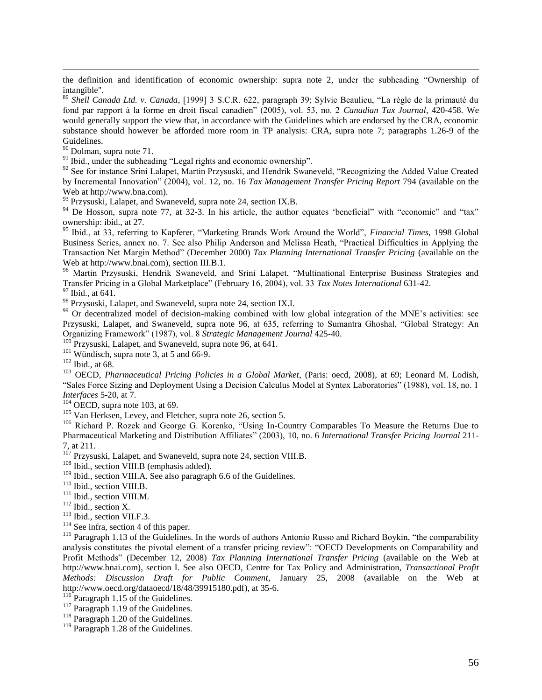the definition and identification of economic ownership: supra note [2,](#page-4-1) under the subheading "Ownership of intangible".

<sup>89</sup> *Shell Canada Ltd. v. Canada*, [1999] 3 S.C.R. 622, paragraph 39; Sylvie Beaulieu, "La règle de la primauté du fond par rapport à la forme en droit fiscal canadien" (2005), vol. 53, no. 2 *Canadian Tax Journal*, 420-458. We would generally support the view that, in accordance with the Guidelines which are endorsed by the CRA, economic substance should however be afforded more room in TP analysis: CRA, supra note [7;](#page-5-1) paragraphs 1.26-9 of the Guidelines.

<sup>90</sup> Dolman, supra note [71.](#page-12-0)

 $\overline{a}$ 

 $91$  Ibid., under the subheading "Legal rights and economic ownership".

<sup>92</sup> See for instance Srini Lalapet, Martin Przysuski, and Hendrik Swaneveld, "Recognizing the Added Value Created by Incremental Innovation" (2004), vol. 12, no. 16 *Tax Management Transfer Pricing Report* 794 (available on the Web at http://www.bna.com).

<sup>93</sup> Przysuski, Lalapet, and Swaneveld, supra note [24,](#page-7-3) section IX.B.

 $94$  De Hosson, supra note [77,](#page-13-0) at 32-3. In his article, the author equates 'beneficial'' with "economic" and "tax" ownership: ibid., at 27.

<sup>95</sup> Ibid., at 33, referring to Kapferer, "Marketing Brands Work Around the World", *Financial Times*, 1998 Global Business Series, annex no. 7. See also Philip Anderson and Melissa Heath, "Practical Difficulties in Applying the Transaction Net Margin Method" (December 2000) *Tax Planning International Transfer Pricing* (available on the Web at [http://www.bnai.com\)](http://www.bnai.com/), section III.B.1.

<sup>96</sup> Martin Przysuski, Hendrik Swaneveld, and Srini Lalapet, "Multinational Enterprise Business Strategies and Transfer Pricing in a Global Marketplace" (February 16, 2004), vol. 33 *Tax Notes International* 631-42.

<sup>97</sup> Ibid., at 641.

<sup>98</sup> Przysuski, Lalapet, and Swaneveld, supra note [24,](#page-7-3) section IX.I.

<sup>99</sup> Or decentralized model of decision-making combined with low global integration of the MNE's activities: see Przysuski, Lalapet, and Swaneveld, supra note [96,](#page-16-0) at 635, referring to Sumantra Ghoshal, "Global Strategy: An Organizing Framework" (1987), vol. 8 *Strategic Management Journal* 425-40.

 $100$  Przysuski, Lalapet, and Swaneveld, supra not[e 96,](#page-16-0) at 641.

 $101$  Wündisch, supra note [3,](#page-4-0) at 5 and 66-9.

<sup>102</sup> Ibid., at 68.

<sup>103</sup> OECD, *Pharmaceutical Pricing Policies in a Global Market*, (Paris: oecd, 2008), at 69; Leonard M. Lodish, "Sales Force Sizing and Deployment Using a Decision Calculus Model at Syntex Laboratories" (1988), vol. 18, no. 1 *Interfaces* 5-20, at 7.

 $104$  OECD, supra note [103,](#page-17-0) at 69.

<sup>105</sup> Van Herksen, Levey, and Fletcher, supra note [26,](#page-7-0) section 5.

<sup>106</sup> Richard P. Rozek and George G. Korenko, "Using In-Country Comparables To Measure the Returns Due to Pharmaceutical Marketing and Distribution Affiliates" (2003), 10, no. 6 *International Transfer Pricing Journal* 211- 7, at 211.

 $107$  Przysuski, Lalapet, and Swaneveld, supra note [24,](#page-7-3) section VIII.B.

<sup>108</sup> Ibid., section VIII.B (emphasis added).

 $109$  Ibid., section VIII.A. See also paragraph 6.6 of the Guidelines.

<sup>110</sup> Ibid., section VIII.B.

<sup>111</sup> Ibid., section VIII.M.

<sup>112</sup> Ibid., section X.

<sup>113</sup> Ibid., section VII.F.3.

 $114$  See infra, section [4](#page-31-0) of this paper.

<sup>115</sup> Paragraph 1.13 of the Guidelines. In the words of authors Antonio Russo and Richard Boykin, "the comparability analysis constitutes the pivotal element of a transfer pricing review": "OECD Developments on Comparability and Profit Methods" (December 12, 2008) *Tax Planning International Transfer Pricing* (available on the Web at http://www.bnai.com), section I. See also OECD, Centre for Tax Policy and Administration, *Transactional Profit Methods: Discussion Draft for Public Comment*, January 25, 2008 (available on the Web at [http://www.oecd.org/dataoecd/18/48/39915180.pdf\)](http://www.oecd.org/dataoecd/18/48/39915180.pdf), at 35-6.

<sup>116</sup> Paragraph 1.15 of the Guidelines.

 $^{117}$  Paragraph 1.19 of the Guidelines.

<sup>118</sup> Paragraph 1.20 of the Guidelines.

<sup>119</sup> Paragraph 1.28 of the Guidelines.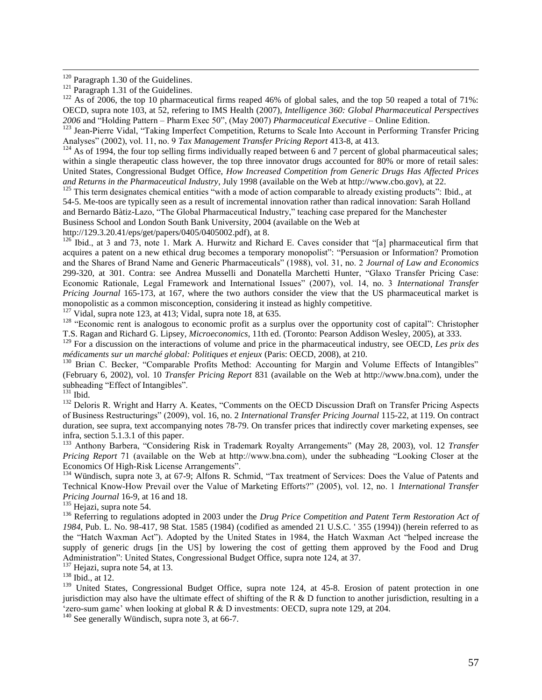<sup>120</sup> Paragraph 1.30 of the Guidelines.

 $\overline{a}$ 

<sup>122</sup> As of 2006, the top 10 pharmaceutical firms reaped 46% of global sales, and the top 50 reaped a total of 71%: OECD, supra note [103,](#page-17-1) at 52, refering to IMS Health (2007), *Intelligence 360: Global Pharmaceutical Perspectives 2006* and "Holding Pattern – Pharm Exec 50", (May 2007) *Pharmaceutical Executive* – Online Edition.

<sup>123</sup> Jean-Pierre Vidal, "Taking Imperfect Competition, Returns to Scale Into Account in Performing Transfer Pricing Analyses" (2002), vol. 11, no. 9 *Tax Management Transfer Pricing Report* 413-8, at 413.

 $124$  As of 1994, the four top selling firms individually reaped between 6 and 7 percent of global pharmaceutical sales; within a single therapeutic class however, the top three innovator drugs accounted for 80% or more of retail sales: United States, Congressional Budget Office, *How Increased Competition from Generic Drugs Has Affected Prices and Returns in the Pharmaceutical Industry*, July 1998 (available on the Web a[t http://www.cbo.gov\)](http://www.cbo.gov/), at 22.

<sup>125</sup> This term designates chemical entities "with a mode of action comparable to already existing products": Ibid., at 54-5. Me-toos are typically seen as a result of incremental innovation rather than radical innovation: Sarah Holland and Bernardo Bàtiz-Lazo, "The Global Pharmaceutical Industry," teaching case prepared for the Manchester Business School and London South Bank University, 2004 (available on the Web at

[http://129.3.20.41/eps/get/papers/0405/0405002.pdf\)](http://129.3.20.41/eps/get/papers/0405/0405002.pdf), at 8.

 $126$  Ibid., at 3 and 73, note 1. Mark A. Hurwitz and Richard E. Caves consider that "[a] pharmaceutical firm that acquires a patent on a new ethical drug becomes a temporary monopolist": "Persuasion or Information? Promotion and the Shares of Brand Name and Generic Pharmaceuticals" (1988), vol. 31, no. 2 *Journal of Law and Economics*  299-320, at 301. Contra: see Andrea Musselli and Donatella Marchetti Hunter, "Glaxo Transfer Pricing Case: Economic Rationale, Legal Framework and International Issues" (2007), vol. 14, no. 3 *International Transfer Pricing Journal* 165-173, at 167, where the two authors consider the view that the US pharmaceutical market is monopolistic as a common misconception, considering it instead as highly competitive.

<sup>127</sup> Vidal, supra note [123,](#page-19-0) at 413; Vidal, supra note [18,](#page-7-4) at 635.

<sup>128</sup> "Economic rent is analogous to economic profit as a surplus over the opportunity cost of capital": Christopher T.S. Ragan and Richard G. Lipsey, *Microeconomics*, 11th ed. (Toronto: Pearson Addison Wesley, 2005), at 333.

<sup>129</sup> For a discussion on the interactions of volume and price in the pharmaceutical industry, see OECD, *Les prix des médicaments sur un marché global: Politiques et enjeux* (Paris: OECD, 2008), at 210.

<sup>130</sup> Brian C. Becker, "Comparable Profits Method: Accounting for Margin and Volume Effects of Intangibles" (February 6, 2002), vol. 10 *Transfer Pricing Report* 831 (available on the Web at http://www.bna.com), under the subheading "Effect of Intangibles".

<sup>131</sup> Ibid.

<sup>132</sup> Deloris R. Wright and Harry A. Keates, "Comments on the OECD Discussion Draft on Transfer Pricing Aspects of Business Restructurings" (2009), vol. 16, no. 2 *International Transfer Pricing Journal* 115-22, at 119. On contract duration, see supra, text accompanying notes [78](#page-13-1)[-79.](#page-14-0) On transfer prices that indirectly cover marketing expenses, see infra, sectio[n 5.1.3.1](#page-43-0) of this paper.

<sup>133</sup> Anthony Barbera, "Considering Risk in Trademark Royalty Arrangements" (May 28, 2003), vol. 12 *Transfer Pricing Report* 71 (available on the Web at http://www.bna.com), under the subheading "Looking Closer at the Economics Of High-Risk License Arrangements".

<sup>134</sup> Wündisch, supra note [3,](#page-4-0) at 67-9; Alfons R. Schmid, "Tax treatment of Services: Does the Value of Patents and Technical Know-How Prevail over the Value of Marketing Efforts?" (2005), vol. 12, no. 1 *International Transfer Pricing Journal* 16-9, at 16 and 18.

<sup>135</sup> Hejazi, supra note [54.](#page-10-0)

<sup>136</sup> Referring to regulations adopted in 2003 under the *Drug Price Competition and Patent Term Restoration Act of 1984*, Pub. L. No. 98-417, 98 Stat. 1585 (1984) (codified as amended 21 U.S.C. ' 355 (1994)) (herein referred to as the "Hatch Waxman Act"). Adopted by the United States in 1984, the Hatch Waxman Act "helped increase the supply of generic drugs [in the US] by lowering the cost of getting them approved by the Food and Drug Administration": United States, Congressional Budget Office, supra note [124,](#page-19-1) at 37.

 $137$  Hejazi, supra note [54,](#page-10-0) at 13.

 $138$  Ibid., at 12.

<sup>139</sup> United States, Congressional Budget Office, supra note [124,](#page-19-1) at 45-8. Erosion of patent protection in one jurisdiction may also have the ultimate effect of shifting of the R & D function to another jurisdiction, resulting in a  $\epsilon$ zero-sum game' when looking at global R & D investments: OECD, supra note [129,](#page-19-2) at 204.

 $140$  See generally Wündisch, supra note [3,](#page-4-0) at 66-7.

 $^{121}$  Paragraph 1.31 of the Guidelines.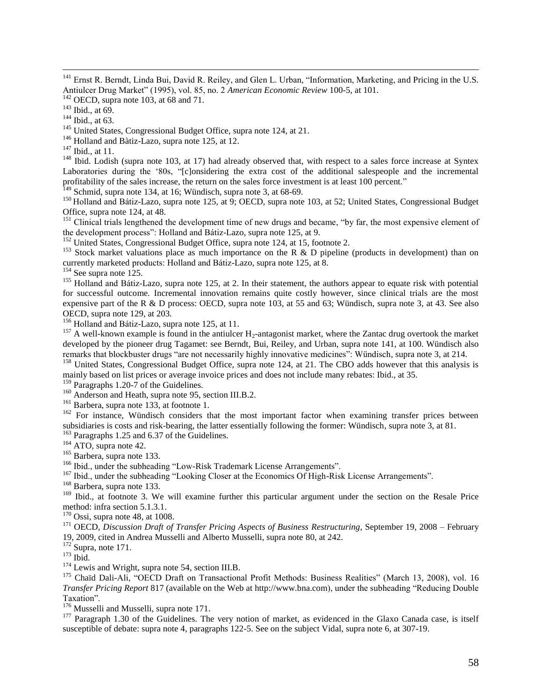<sup>141</sup> Ernst R. Berndt, Linda Bui, David R. Reiley, and Glen L. Urban, "Information, Marketing, and Pricing in the U.S. Antiulcer Drug Market" (1995), vol. 85, no. 2 *American Economic Review* 100-5, at 101.

 $142$  OECD, supra note [103,](#page-17-1) at 68 and 71.

<sup>143</sup> Ibid., at 69.

 $\overline{a}$ 

<sup>144</sup> Ibid., at 63.

<sup>145</sup> United States, Congressional Budget Office, supra note [124,](#page-19-1) at 21.

<sup>146</sup> Holland and Bàtiz-Lazo, supra note [125,](#page-19-3) at 12.

<sup>147</sup> Ibid., at 11.

<sup>148</sup> Ibid. Lodish (supra note [103,](#page-17-0) at 17) had already observed that, with respect to a sales force increase at Syntex Laboratories during the "80s, "[c]onsidering the extra cost of the additional salespeople and the incremental profitability of the sales increase, the return on the sales force investment is at least 100 percent."

 $149$  Schmid, supra note [134,](#page-20-0) at 16; Wündisch, supra note [3,](#page-4-0) at 68-69.

<sup>150</sup> Holland and Bátiz-Lazo, supra note [125,](#page-19-3) at 9; OECD, supra note [103,](#page-17-1) at 52; United States, Congressional Budget Office, supra note [124,](#page-19-1) at 48.

 $151$  Clinical trials lengthened the development time of new drugs and became, "by far, the most expensive element of the development process": Holland and Bátiz-Lazo, supra not[e 125,](#page-19-3) at 9.

 $^{152}$  United States, Congressional Budget Office, supra note [124,](#page-19-1) at 15, footnote 2.

<sup>153</sup> Stock market valuations place as much importance on the R & D pipeline (products in development) than on currently marketed products: Holland and Bátiz-Lazo, supra note [125,](#page-19-3) at 8.

<sup>154</sup> See supra note [125.](#page-19-3)

<sup>155</sup> Holland and Bátiz-Lazo, supra note [125,](#page-19-3) at 2. In their statement, the authors appear to equate risk with potential for successful outcome. Incremental innovation remains quite costly however, since clinical trials are the most expensive part of the R & D process: OECD, supra note [103,](#page-17-1) at 55 and 63; Wündisch, supra note [3,](#page-4-0) at 43. See also OECD, supra note [129,](#page-19-2) at 203.

 $\frac{156}{156}$  Holland and Bátiz-Lazo, supra note [125,](#page-19-3) at 11.

<sup>157</sup> A well-known example is found in the antiulcer  $H_2$ -antagonist market, where the Zantac drug overtook the market developed by the pioneer drug Tagamet: see Berndt, Bui, Reiley, and Urban, supra note [141,](#page-21-0) at 100. Wündisch also remarks that blockbuster drugs "are not necessarily highly innovative medicines": Wündisch, supra note [3,](#page-4-0) at 214.

<sup>158</sup> United States, Congressional Budget Office, supra note [124,](#page-19-1) at 21. The CBO adds however that this analysis is mainly based on list prices or average invoice prices and does not include many rebates: Ibid., at 35.

 $159$  Paragraphs 1.20-7 of the Guidelines.

<sup>160</sup> Anderson and Heath, supra note [95,](#page-16-1) section III.B.2.

<sup>161</sup> Barbera, supra not[e 133,](#page-20-1) at footnote 1.

<sup>162</sup> For instance, Wündisch considers that the most important factor when examining transfer prices between subsidiaries is costs and risk-bearing, the latter essentially following the former: Wündisch, supra note [3,](#page-4-0) at 81. <sup>163</sup> Paragraphs 1.25 and 6.37 of the Guidelines.

<sup>164</sup> ATO, supra note [42.](#page-9-0)

<sup>165</sup> Barbera, supra not[e 133.](#page-20-1)

<sup>166</sup> Ibid., under the subheading "Low-Risk Trademark License Arrangements".

<sup>167</sup> Ibid., under the subheading "Looking Closer at the Economics Of High-Risk License Arrangements".

<sup>168</sup> Barbera, supra not[e 133.](#page-20-1)

<sup>169</sup> Ibid., at footnote 3. We will examine further this particular argument under the section on the Resale Price method: infra section [5.1.3.1.](#page-43-0)

 $170$  Ossi, supra note [48,](#page-9-2) at 1008.

<sup>171</sup> OECD, *Discussion Draft of Transfer Pricing Aspects of Business Restructuring*, September 19, 2008 – February 19, 2009, cited in Andrea Musselli and Alberto Musselli, supra note [80,](#page-14-1) at 242.

 $172$  Supra, note [171.](#page-24-0)

 $173$  Ibid.

<sup>174</sup> Lewis and Wright, supra note [54,](#page-10-0) section III.B.

<sup>175</sup> Chaïd Dali-Ali, "OECD Draft on Transactional Profit Methods: Business Realities" (March 13, 2008), vol. 16 *Transfer Pricing Report* 817 (available on the Web at [http://www.bna.com\)](http://www.bna.com/), under the subheading "Reducing Double Taxation".

<sup>176</sup> Musselli and Musselli, supra note [171.](#page-24-0)

 $177$  Paragraph 1.30 of the Guidelines. The very notion of market, as evidenced in the Glaxo Canada case, is itself susceptible of debate: supra note [4,](#page-4-2) paragraphs 122-5. See on the subject Vidal, supra not[e 6,](#page-5-0) at 307-19.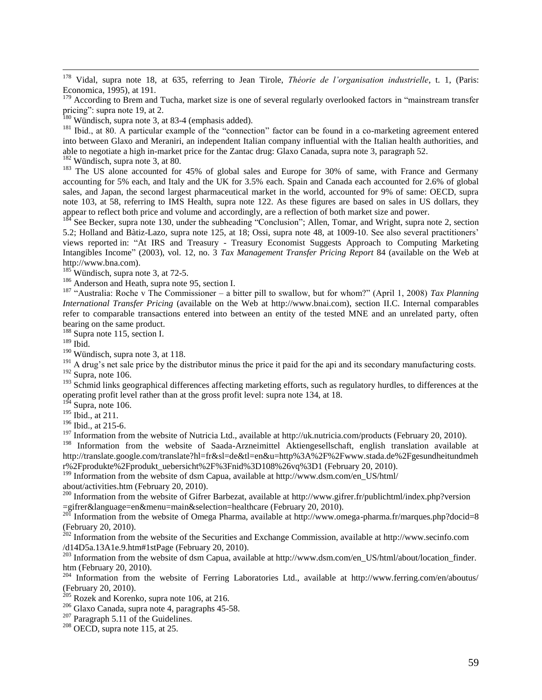<sup>178</sup> Vidal, supra note [18,](#page-7-4) at 635, referring to Jean Tirole, *Théorie de l'organisation industrielle*, t. 1, (Paris: Economica, 1995), at 191.

<sup>179</sup> According to Brem and Tucha, market size is one of several regularly overlooked factors in "mainstream transfer pricing": supra note [19,](#page-7-5) at 2.

<sup>180</sup> Wündisch, supra note [3,](#page-4-0) at 83-4 (emphasis added).

<sup>181</sup> Ibid., at 80. A particular example of the "connection" factor can be found in a co-marketing agreement entered into between Glaxo and Meraniri, an independent Italian company influential with the Italian health authorities, and able to negotiate a high in-market price for the Zantac drug: Glaxo Canada, supra note 3, paragraph 52.

<sup>182</sup> Wündisch, supra note [3,](#page-4-0) at 80.

<sup>183</sup> The US alone accounted for 45% of global sales and Europe for 30% of same, with France and Germany accounting for 5% each, and Italy and the UK for 3.5% each. Spain and Canada each accounted for 2.6% of global sales, and Japan, the second largest pharmaceutical market in the world, accounted for 9% of same: OECD, supra note [103,](#page-17-1) at 58, referring to IMS Health, supra note [122.](#page-19-4) As these figures are based on sales in US dollars, they appear to reflect both price and volume and accordingly, are a reflection of both market size and power.

<sup>184</sup> See Becker, supra note [130,](#page-19-5) under the subheading "Conclusion"; Allen, Tomar, and Wright, supra note [2,](#page-4-1) section 5.2; Holland and Bàtiz-Lazo, supra note [125,](#page-19-3) at 18; Ossi, supra note [48,](#page-9-2) at 1009-10. See also several practitioners" views reported in: "At IRS and Treasury - Treasury Economist Suggests Approach to Computing Marketing Intangibles Income" (2003), vol. 12, no. 3 *Tax Management Transfer Pricing Report* 84 (available on the Web at http://www.bna.com).

 $185$  Wündisch, supra note [3,](#page-4-0) at 72-5.

<sup>186</sup> Anderson and Heath, supra note [95,](#page-16-1) section I.

<sup>187</sup> "Australia: Roche v The Commissioner – a bitter pill to swallow, but for whom?" (April 1, 2008) *Tax Planning International Transfer Pricing* (available on the Web at [http://www.bnai.com\)](http://www.bnai.com/), section II.C. Internal comparables refer to comparable transactions entered into between an entity of the tested MNE and an unrelated party, often bearing on the same product.

<sup>188</sup> Supra not[e 115,](#page-18-0) section I.

 $^{189}$  Ibid.

 $\overline{a}$ 

<sup>190</sup> Wündisch, supra note [3,](#page-4-0) at 118.

 $191$  A drug's net sale price by the distributor minus the price it paid for the api and its secondary manufacturing costs.  $192$  Supra, note [106.](#page-17-2)

 $193$  Schmid links geographical differences affecting marketing efforts, such as regulatory hurdles, to differences at the operating profit level rather than at the gross profit level: supra not[e 134,](#page-20-0) at 18.

 $194$  Supra, note [106.](#page-17-2)

<sup>195</sup> Ibid., at 211.

<sup>196</sup> Ibid., at 215-6.

<sup>197</sup> Information from the website of Nutricia Ltd., available at http://uk.nutricia.com/products (February 20, 2010).

<sup>198</sup> Information from the website of Saada-Arzneimittel Aktiengesellschaft, english translation available at http://translate.google.com/translate?hl=fr&sl=de&tl=en&u=http%3A%2F%2Fwww.stada.de%2Fgesundheitundmeh r%2Fprodukte%2Fprodukt\_uebersicht%2F%3Fnid%3D108%26vq%3D1 (February 20, 2010).

<sup>199</sup> Information from the website of dsm Capua, available at http://www.dsm.com/en\_US/html/

about/activities.htm (February 20, 2010).

<sup>200</sup> Information from the website of Gifrer Barbezat, available at http://www.gifrer.fr/publichtml/index.php?version =gifrer&language=en&menu=main&selection=healthcare (February 20, 2010).

<sup>201</sup> Information from the website of Omega Pharma, available at http://www.omega-pharma.fr/marques.php?docid=8 (February 20, 2010).

 $^{202}$  Information from the website of the Securities and Exchange Commission, available at http://www.secinfo.com /d14D5a.13A1e.9.htm#1stPage (February 20, 2010).

<sup>203</sup> Information from the website of dsm Capua, available at http://www.dsm.com/en\_US/html/about/location\_finder. htm (February 20, 2010).

<sup>204</sup> Information from the website of Ferring Laboratories Ltd., available at http://www.ferring.com/en/aboutus/ (February 20, 2010).

 $205$  Rozek and Korenko, supra note [106,](#page-17-2) at 216.

<sup>206</sup> Glaxo Canada, supra note [4,](#page-4-2) paragraphs 45-58.

 $207$  Paragraph 5.11 of the Guidelines.

 $208$  OECD, supra note [115,](#page-18-0) at 25.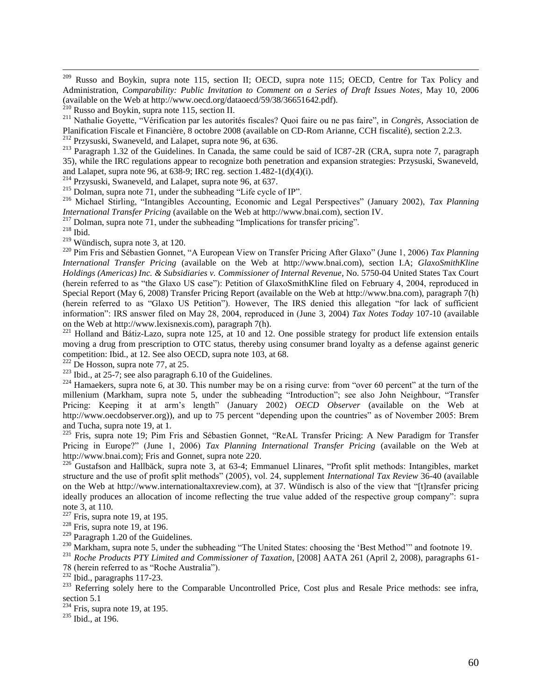$209\,$ Russo and Boykin, supra note [115,](#page-18-0) section II; OECD, supra note [115;](#page-18-0) OECD, Centre for Tax Policy and Administration, *Comparability: Public Invitation to Comment on a Series of Draft Issues Notes*, May 10, 2006 (available on the Web at http://www.oecd.org/dataoecd/59/38/36651642.pdf).

<sup>211</sup> Nathalie Goyette, "Vérification par les autorités fiscales? Quoi faire ou ne pas faire", in *Congrès*, Association de Planification Fiscale et Financière, 8 octobre 2008 (available on CD-Rom Arianne, CCH fiscalité), section 2.2.3.

<sup>213</sup> Paragraph 1.32 of the Guidelines. In Canada, the same could be said of IC87-2R (CRA, supra note [7,](#page-5-1) paragraph 35), while the IRC regulations appear to recognize both penetration and expansion strategies: Przysuski, Swaneveld, and Lalapet, supra not[e 96,](#page-16-0) at 638-9; IRC reg. section 1.482-1(d)(4)(i).

<sup>214</sup> Przysuski, Swaneveld, and Lalapet, supra note [96,](#page-16-0) at 637.

<sup>215</sup> Dolman, supra note [71,](#page-12-0) under the subheading "Life cycle of IP".

<sup>216</sup> Michael Stirling, "Intangibles Accounting, Economic and Legal Perspectives" (January 2002), *Tax Planning International Transfer Pricing* (available on the Web at [http://www.bnai.com\)](http://www.bnai.com/), section IV.

 $2^{17}$  Dolman, supra note [71,](#page-12-0) under the subheading "Implications for transfer pricing".

<sup>218</sup> Ibid.

 $219$  Wündisch, supra note [3,](#page-4-0) at 120.

<sup>220</sup> Pim Fris and Sébastien Gonnet, "A European View on Transfer Pricing After Glaxo" (June 1, 2006) *Tax Planning International Transfer Pricing* (available on the Web at [http://www.bnai.com\)](http://www.bnai.com/), section I.A; *GlaxoSmithKline Holdings (Americas) Inc. & Subsidiaries v. Commissioner of Internal Revenue*, No. 5750-04 United States Tax Court (herein referred to as "the Glaxo US case"): Petition of GlaxoSmithKline filed on February 4, 2004, reproduced in Special Report (May 6, 2008) Transfer Pricing Report (available on the Web at [http://www.bna.com\)](http://www.bna.com/), paragraph 7(h) (herein referred to as "Glaxo US Petition"). However, The IRS denied this allegation "for lack of sufficient information": IRS answer filed on May 28, 2004, reproduced in (June 3, 2004) *Tax Notes Today* 107-10 (available on the Web at [http://www.lexisnexis.com\)](http://www.lexisnexis.com/), paragraph 7(h).

 $^{221}$  Holland and Bátiz-Lazo, supra note [125,](#page-19-3) at 10 and 12. One possible strategy for product life extension entails moving a drug from prescription to OTC status, thereby using consumer brand loyalty as a defense against generic competition: Ibid., at 12. See also OECD, supra note [103,](#page-17-1) at 68.

 $222$  De Hosson, supra note [77,](#page-13-0) at 25.

 $223$  Ibid., at 25-7; see also paragraph 6.10 of the Guidelines.

 $^{224}$  Hamaekers, supra note [6,](#page-5-0) at 30. This number may be on a rising curve: from "over 60 percent" at the turn of the millenium (Markham, supra note [5,](#page-5-2) under the subheading "Introduction"; see also John Neighbour, "Transfer Pricing: Keeping it at arm"s length" (January 2002) *OECD Observer* (available on the Web at [http://www.oecdobserver.org\)](http://www.oecdobserver.org/)), and up to 75 percent "depending upon the countries" as of November 2005: Brem and Tucha, supra not[e 19,](#page-7-5) at 1.

<sup>225</sup> Fris, supra note [19;](#page-7-5) Pim Fris and Sébastien Gonnet, "ReAL Transfer Pricing: A New Paradigm for Transfer Pricing in Europe?" (June 1, 2006) *Tax Planning International Transfer Pricing* (available on the Web at [http://www.bnai.com\)](http://www.bnai.com/); Fris and Gonnet, supra note [220.](#page-30-0)

<sup>226</sup> Gustafson and Hallbäck, supra note [3,](#page-4-0) at 63-4; Emmanuel Llinares, "Profit split methods: Intangibles, market structure and the use of profit split methods" (2005), vol. 24, supplement *International Tax Review* 36-40 (available on the Web at [http://www.internationaltaxreview.com\),](http://www.internationaltaxreview.com)/) at 37. Wündisch is also of the view that "[t]ransfer pricing ideally produces an allocation of income reflecting the true value added of the respective group company": supra not[e 3,](#page-4-0) at 110.

 $227$  Fris, supra note [19,](#page-7-5) at 195.

 $228$  Fris, supra note [19,](#page-7-5) at 196.

 $229$  Paragraph 1.20 of the Guidelines.

<sup>230</sup> Markham, supra note [5,](#page-5-2) under the subheading "The United States: choosing the 'Best Method'" and footnote 19.

<sup>231</sup> *Roche Products PTY Limited and Commissioner of Taxation*, [2008] AATA 261 (April 2, 2008), paragraphs 61-

78 (herein referred to as "Roche Australia").

 $^{232}$  Ibid., paragraphs 117-23.

<sup>233</sup> Referring solely here to the Comparable Uncontrolled Price, Cost plus and Resale Price methods: see infra, sectio[n 5.1](#page-39-0)

 $234$  Fris, supra note [19,](#page-7-5) at 195.

 $235$  Ibid., at 196.

 $^{210}$  Russo and Boykin, supra note [115,](#page-18-0) section II.

<sup>212</sup> Przysuski, Swaneveld, and Lalapet, supra note [96,](#page-16-0) at 636.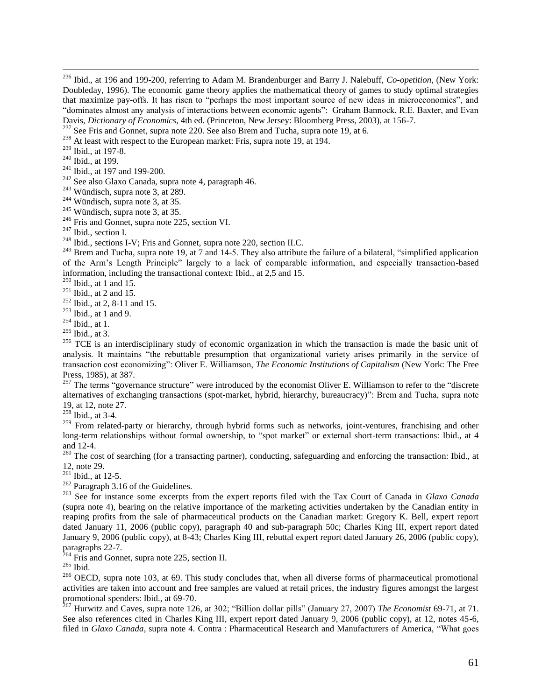<sup>237</sup> See Fris and Gonnet, supra note [220.](#page-30-0) See also Brem and Tucha, supra note [19,](#page-7-5) at 6.

<sup>238</sup> At least with respect to the European market: Fris, supra note [19,](#page-7-5) at 194.

<sup>239</sup> Ibid., at 197-8.

<sup>240</sup> Ibid., at 199.

 $\overline{a}$ 

 $241$  Ibid., at 197 and 199-200.

<sup>242</sup> See also Glaxo Canada, supra note [4,](#page-4-2) paragraph 46.

<sup>243</sup> Wündisch, supra note [3,](#page-4-0) at 289.

<sup>244</sup> Wündisch, supra note [3,](#page-4-0) at 35.

 $245$  Wündisch, supra note [3,](#page-4-0) at 35.

<sup>246</sup> Fris and Gonnet, supra note [225,](#page-32-0) section VI.

<sup>247</sup> Ibid., section I.

<sup>248</sup> Ibid., section I.<br><sup>248</sup> Ibid., sections I-V; Fris and Gonnet, supra note [220,](#page-30-0) section II.C.

<sup>249</sup> Brem and Tucha, supra note [19,](#page-7-5) at 7 and 14-5. They also attribute the failure of a bilateral, "simplified application of the Arm"s Length Principle" largely to a lack of comparable information, and especially transaction-based information, including the transactional context: Ibid., at 2,5 and 15.

 $250$  Ibid., at 1 and 15.

 $251$  Ibid., at 2 and 15.

 $252$  Ibid., at 2, 8-11 and 15.

<sup>253</sup> Ibid., at 1 and 9.

 $254$  Ibid., at 1.

 $^{255}$  Ibid., at 3.

<sup>256</sup> TCE is an interdisciplinary study of economic organization in which the transaction is made the basic unit of analysis. It maintains "the rebuttable presumption that organizational variety arises primarily in the service of transaction cost economizing": Oliver E. Williamson, *The Economic Institutions of Capitalism* (New York: The Free Press, 1985), at 387.

 $257$  The terms "governance structure" were introduced by the economist Oliver E. Williamson to refer to the "discrete" alternatives of exchanging transactions (spot-market, hybrid, hierarchy, bureaucracy)": Brem and Tucha, supra note [19,](#page-7-5) at 12, note 27.

 $258$  Ibid., at 3-4.

 $259$  From related-party or hierarchy, through hybrid forms such as networks, joint-ventures, franchising and other long-term relationships without formal ownership, to "spot market" or external short-term transactions: Ibid., at 4 and 12-4.

 $^{260}$  The cost of searching (for a transacting partner), conducting, safeguarding and enforcing the transaction: Ibid., at 12, note 29.

 $^{261}$  Ibid., at 12-5.

 $262$  Paragraph 3.16 of the Guidelines.

<sup>263</sup> See for instance some excerpts from the expert reports filed with the Tax Court of Canada in *Glaxo Canada* (supra note [4\)](#page-4-2), bearing on the relative importance of the marketing activities undertaken by the Canadian entity in reaping profits from the sale of pharmaceutical products on the Canadian market: Gregory K. Bell, expert report dated January 11, 2006 (public copy), paragraph 40 and sub-paragraph 50c; Charles King III, expert report dated January 9, 2006 (public copy), at 8-43; Charles King III, rebuttal expert report dated January 26, 2006 (public copy), paragraphs 22-7.

<sup>264</sup> Fris and Gonnet, supra note [225,](#page-32-0) section II.

<sup>265</sup> Ibid.

 $^{266}$  OECD, supra note [103,](#page-17-1) at 69. This study concludes that, when all diverse forms of pharmaceutical promotional activities are taken into account and free samples are valued at retail prices, the industry figures amongst the largest promotional spenders: Ibid., at 69-70.

<sup>267</sup> Hurwitz and Caves, supra note [126,](#page-19-6) at 302; "Billion dollar pills" (January 27, 2007) *The Economist* 69-71, at 71. See also references cited in Charles King III, expert report dated January 9, 2006 (public copy), at 12, notes 45-6, filed in *Glaxo Canada*, supra note [4.](#page-4-2) Contra : Pharmaceutical Research and Manufacturers of America, "What goes

<sup>236</sup> Ibid., at 196 and 199-200, referring to Adam M. Brandenburger and Barry J. Nalebuff, *Co-opetition*, (New York: Doubleday, 1996). The economic game theory applies the mathematical theory of games to study optimal strategies that maximize pay-offs. It has risen to "perhaps the most important source of new ideas in microeconomics", and "dominates almost any analysis of interactions between economic agents": Graham Bannock, R.E. Baxter, and Evan Davis, *Dictionary of Economics*, 4th ed. (Princeton, New Jersey: Bloomberg Press, 2003), at 156-7.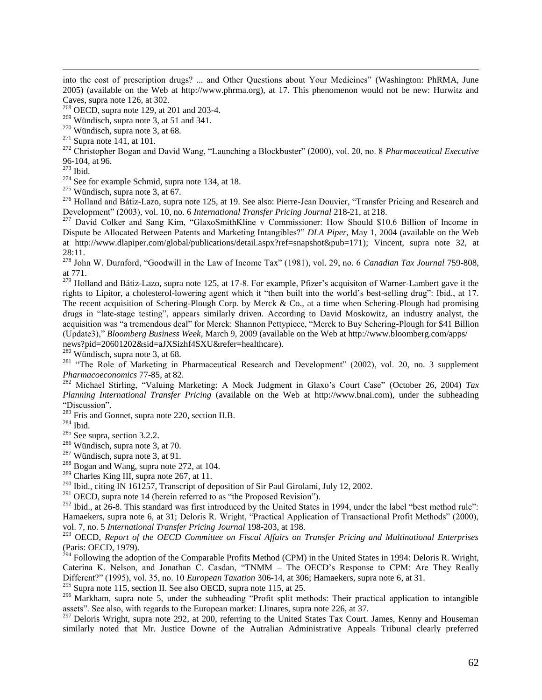into the cost of prescription drugs? ... and Other Questions about Your Medicines" (Washington: PhRMA, June 2005) (available on the Web at [http://www.phrma.org\)](http://www.phrma.org/), at 17. This phenomenon would not be new: Hurwitz and Caves, supra note [126,](#page-19-6) at 302.

 $268$  OECD, supra note [129,](#page-19-2) at 201 and 203-4.

 $269$  Wündisch, supra not[e 3,](#page-4-0) at 51 and 341.

<sup>270</sup> Wündisch, supra note [3,](#page-4-0) at 68.

 $271$  Supra not[e 141,](#page-21-0) at 101.

<sup>272</sup> Christopher Bogan and David Wang, "Launching a Blockbuster" (2000), vol. 20, no. 8 *Pharmaceutical Executive* 96-104, at 96.

<sup>273</sup> Ibid.

 $\overline{a}$ 

 $274$  See for example Schmid, supra note [134,](#page-20-0) at 18.

 $275$  Wündisch, supra note [3,](#page-4-0) at 67.

<sup>276</sup> Holland and Bátiz-Lazo, supra note [125,](#page-19-3) at 19. See also: Pierre-Jean Douvier, "Transfer Pricing and Research and Development" (2003), vol. 10, no. 6 *International Transfer Pricing Journal* 218-21, at 218.

<sup>277</sup> David Colker and Sang Kim, "GlaxoSmithKline v Commissioner: How Should \$10.6 Billion of Income in Dispute be Allocated Between Patents and Marketing Intangibles?" *DLA Piper*, May 1, 2004 (available on the Web at [http://www.dlapiper.com/global/publications/detail.aspx?ref=snapshot&pub=171\)](http://www.dlapiper.com/global/publications/detail.aspx?ref=snapshot&pub=171); Vincent, supra note [32,](#page-8-0) at 28:11.

<sup>278</sup> John W. Durnford, "Goodwill in the Law of Income Tax" (1981), vol. 29, no. 6 *Canadian Tax Journal* 759-808, at 771.

 $279$  Holland and Bátiz-Lazo, supra note [125,](#page-19-3) at 17-8. For example, Pfizer's acquisiton of Warner-Lambert gave it the rights to Lipitor, a cholesterol-lowering agent which it "then built into the world"s best-selling drug": Ibid., at 17. The recent acquisition of Schering-Plough Corp. by Merck & Co., at a time when Schering-Plough had promising drugs in "late-stage testing", appears similarly driven. According to David Moskowitz, an industry analyst, the acquisition was "a tremendous deal" for Merck: Shannon Pettypiece, "Merck to Buy Schering-Plough for \$41 Billion (Update3)," *Bloomberg Business Week*, March 9, 2009 (available on the Web at http://www.bloomberg.com/apps/ news?pid=20601202&sid=aJXSizhf4SXU&refer=healthcare).

<sup>280</sup> Wündisch, supra note [3,](#page-4-0) at 68.

<sup>281</sup> "The Role of Marketing in Pharmaceutical Research and Development" (2002), vol. 20, no. 3 supplement *Pharmacoeconomics* 77-85, at 82.

<sup>282</sup> Michael Stirling, "Valuing Marketing: A Mock Judgment in Glaxo"s Court Case" (October 26, 2004) *Tax Planning International Transfer Pricing* (available on the Web at http://www.bnai.com), under the subheading "Discussion".

 $283$  Fris and Gonnet, supra note [220,](#page-30-0) section II.B.

 $284$  Ibid.

<sup>285</sup> See supra, section [3.2.2.](#page-23-0)

<sup>286</sup> Wündisch, supra note [3,](#page-4-0) at 70.

<sup>287</sup> Wündisch, supra note [3,](#page-4-0) at 91.

<sup>288</sup> Bogan and Wang, supra note [272,](#page-36-0) at 104.

<sup>289</sup> Charles King III, supra note [267,](#page-36-1) at 11.

<sup>290</sup> Ibid., citing IN 161257, Transcript of deposition of Sir Paul Girolami, July 12, 2002.

 $291$  OECD, supra note [14](#page-6-0) (herein referred to as "the Proposed Revision").

<sup>292</sup> Ibid., at 26-8. This standard was first introduced by the United States in 1994, under the label "best method rule": Hamaekers, supra note [6,](#page-5-0) at 31; Deloris R. Wright, "Practical Application of Transactional Profit Methods" (2000), vol. 7, no. 5 *International Transfer Pricing Journal* 198-203, at 198.

<sup>293</sup> OECD, *Report of the OECD Committee on Fiscal Affairs on Transfer Pricing and Multinational Enterprises* (Paris: OECD, 1979).

 $^{294}$  Following the adoption of the Comparable Profits Method (CPM) in the United States in 1994: Deloris R. Wright, Caterina K. Nelson, and Jonathan C. Casdan, "TNMM – The OECD"s Response to CPM: Are They Really Different?" (1995), vol. 35, no. 10 *European Taxation* 306-14, at 306; Hamaekers, supra note [6,](#page-5-0) at 31.

 $295$  Supra not[e 115,](#page-18-0) section II. See also OECD, supra note [115,](#page-18-0) at 25.

<sup>296</sup> Markham, supra note [5,](#page-5-2) under the subheading "Profit split methods: Their practical application to intangible assets". See also, with regards to the European market: Llinares, supra note [226,](#page-32-1) at 37.

 $^{297}$  Deloris Wright, supra note [292,](#page-39-1) at 200, referring to the United States Tax Court. James, Kenny and Houseman similarly noted that Mr. Justice Downe of the Autralian Administrative Appeals Tribunal clearly preferred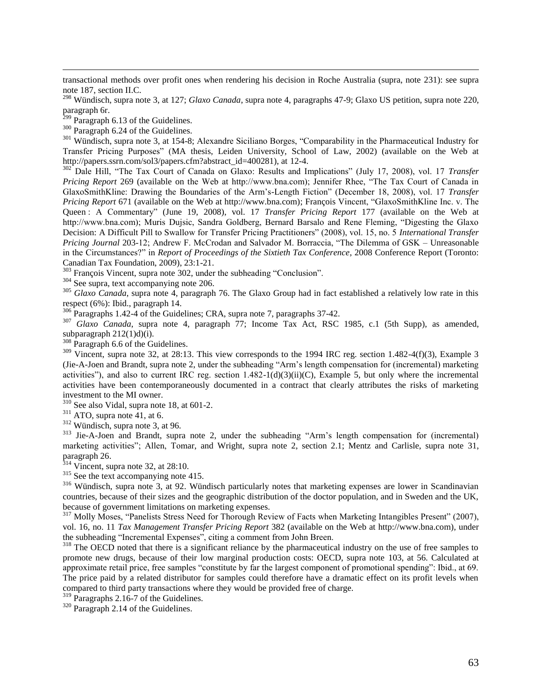transactional methods over profit ones when rendering his decision in Roche Australia (supra, note [231\)](#page-32-2): see supra not[e 187,](#page-27-0) section II.C.

<sup>298</sup> Wündisch, supra note [3,](#page-4-0) at 127; *Glaxo Canada*, supra note [4,](#page-4-2) paragraphs 47-9; Glaxo US petition, supra note [220,](#page-30-0) paragraph 6r.

 $299$  Paragraph 6.13 of the Guidelines.

 $\overline{a}$ 

<sup>300</sup> Paragraph 6.24 of the Guidelines.

<sup>301</sup> Wündisch, supra note [3,](#page-4-0) at 154-8; Alexandre Siciliano Borges, "Comparability in the Pharmaceutical Industry for Transfer Pricing Purposes" (MA thesis, Leiden University, School of Law, 2002) (available on the Web at http://papers.ssrn.com/sol3/papers.cfm?abstract\_id=400281), at 12-4.

<sup>302</sup> Dale Hill, "The Tax Court of Canada on Glaxo: Results and Implications" (July 17, 2008), vol. 17 *Transfer Pricing Report* 269 (available on the Web at http://www.bna.com); Jennifer Rhee, "The Tax Court of Canada in GlaxoSmithKline: Drawing the Boundaries of the Arm"s-Length Fiction" (December 18, 2008), vol. 17 *Transfer Pricing Report* 671 (available on the Web at http://www.bna.com); François Vincent, "GlaxoSmithKline Inc. v. The Queen : A Commentary" (June 19, 2008), vol. 17 *Transfer Pricing Report* 177 (available on the Web at http://www.bna.com); Muris Dujsic, Sandra Goldberg, Bernard Barsalo and Rene Fleming, "Digesting the Glaxo Decision: A Difficult Pill to Swallow for Transfer Pricing Practitioners" (2008), vol. 15, no. 5 *International Transfer Pricing Journal* 203-12; Andrew F. McCrodan and Salvador M. Borraccia, "The Dilemma of GSK – Unreasonable in the Circumstances?" in *Report of Proceedings of the Sixtieth Tax Conference*, 2008 Conference Report (Toronto: Canadian Tax Foundation, 2009), 23:1-21.

<sup>303</sup> François Vincent, supra note [302,](#page-40-0) under the subheading "Conclusion".

<sup>304</sup> See supra, text accompanying note [206.](#page-29-0)

<sup>305</sup> *Glaxo Canada*, supra note [4,](#page-4-2) paragraph 76. The Glaxo Group had in fact established a relatively low rate in this respect (6%): Ibid., paragraph 14.

 $\frac{306}{306}$  Paragraphs 1.42-4 of the Guidelines; CRA, supra note [7,](#page-5-1) paragraphs 37-42.

<sup>307</sup> *Glaxo Canada*, supra note [4,](#page-4-2) paragraph 77; Income Tax Act, RSC 1985, c.1 (5th Supp), as amended, subparagraph 212(1)d)(i).

<sup>308</sup> Paragraph 6.6 of the Guidelines.

 $309$  Vincent, supra note [32,](#page-8-0) at 28:13. This view corresponds to the 1994 IRC reg. section 1.482-4(f)(3), Example 3 (Jie-A-Joen and Brandt, supra note [2,](#page-4-1) under the subheading "Arm"s length compensation for (incremental) marketing activities"), and also to current IRC reg. section 1.482-1(d)(3)(ii)(C), Example 5, but only where the incremental activities have been contemporaneously documented in a contract that clearly attributes the risks of marketing investment to the MI owner.

<sup>310</sup> See also Vidal, supra note [18,](#page-7-4) at 601-2.

 $311$  ATO, supra note 41, at 6.

<sup>312</sup> Wündisch, supra note [3,](#page-4-0) at 96.

<sup>313</sup> Jie-A-Joen and Brandt, supra note [2,](#page-4-1) under the subheading "Arm's length compensation for (incremental) marketing activities"; Allen, Tomar, and Wright, supra note [2,](#page-4-1) section 2.1; Mentz and Carlisle, supra note [31,](#page-8-1) paragraph 26.

 $314$  Vincent, supra note [32,](#page-8-0) at 28:10.

<sup>315</sup> See the text accompanying note [415.](#page-53-0)

<sup>316</sup> Wündisch, supra note [3,](#page-4-0) at 92. Wündisch particularly notes that marketing expenses are lower in Scandinavian countries, because of their sizes and the geographic distribution of the doctor population, and in Sweden and the UK, because of government limitations on marketing expenses.

<sup>317</sup> Molly Moses, "Panelists Stress Need for Thorough Review of Facts when Marketing Intangibles Present" (2007), vol. 16, no. 11 *Tax Management Transfer Pricing Report* 382 (available on the Web at [http://www.bna.com\)](http://www.bna.com/), under the subheading "Incremental Expenses", citing a comment from John Breen.

<sup>318</sup> The OECD noted that there is a significant reliance by the pharmaceutical industry on the use of free samples to promote new drugs, because of their low marginal production costs: OECD, supra note [103,](#page-17-1) at 56. Calculated at approximate retail price, free samples "constitute by far the largest component of promotional spending": Ibid., at 69. The price paid by a related distributor for samples could therefore have a dramatic effect on its profit levels when compared to third party transactions where they would be provided free of charge.

<sup>319</sup> Paragraphs 2.16-7 of the Guidelines.

 $320$  Paragraph 2.14 of the Guidelines.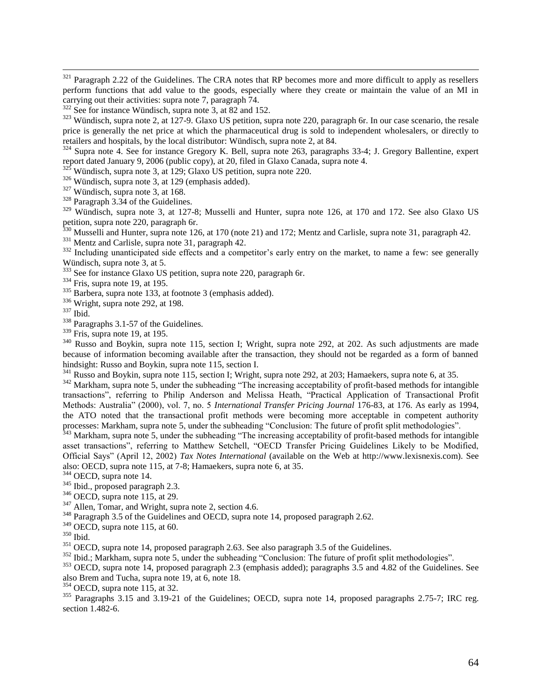$321$  Paragraph 2.22 of the Guidelines. The CRA notes that RP becomes more and more difficult to apply as resellers perform functions that add value to the goods, especially where they create or maintain the value of an MI in carrying out their activities: supra note [7,](#page-5-1) paragraph 74.

 $322$  See for instance Wündisch, supra note [3,](#page-4-0) at 82 and 152.

 $323$  Wündisch, supra note 2, at 127-9. Glaxo US petition, supra note [220,](#page-30-0) paragraph 6r. In our case scenario, the resale price is generally the net price at which the pharmaceutical drug is sold to independent wholesalers, or directly to retailers and hospitals, by the local distributor: Wündisch, supra note 2, at 84.

<sup>324</sup> Supra note [4.](#page-4-2) See for instance Gregory K. Bell, supra note [263,](#page-35-0) paragraphs 33-4; J. Gregory Ballentine, expert report dated January 9, 2006 (public copy), at 20, filed in Glaxo Canada, supra note [4.](#page-4-2)

 $325$  Wündisch, supra note [3,](#page-4-0) at 129; Glaxo US petition, supra note [220.](#page-30-0)

<sup>326</sup> Wündisch, supra note [3,](#page-4-0) at 129 (emphasis added).

<sup>327</sup> Wündisch, supra note [3,](#page-4-0) at 168.

<sup>328</sup> Paragraph 3.34 of the Guidelines.

<sup>329</sup> Wündisch, supra note [3,](#page-4-0) at 127-8; Musselli and Hunter, supra note [126,](#page-19-6) at 170 and 172. See also Glaxo US petition, supra note [220,](#page-30-0) paragraph 6r.

 $330$  Musselli and Hunter, supra not[e 126,](#page-19-6) at 170 (note 21) and 172; Mentz and Carlisle, supra note [31,](#page-8-1) paragraph 42.

<sup>331</sup> Mentz and Carlisle, supra note [31,](#page-8-1) paragraph 42.

<sup>332</sup> Including unanticipated side effects and a competitor's early entry on the market, to name a few: see generally Wündisch, supra note [3,](#page-4-0) at 5.

<sup>333</sup> See for instance Glaxo US petition, supra note [220,](#page-30-0) paragraph 6r.

 $334$  Fris, supra note [19,](#page-7-5) at 195.

 $335$  Barbera, supra not[e 133,](#page-20-1) at footnote 3 (emphasis added).

 $336$  Wright, supra note [292,](#page-39-1) at 198.

<sup>337</sup> Ibid.

 $\overline{a}$ 

<sup>338</sup> Paragraphs 3.1-57 of the Guidelines.

 $339$  Fris, supra note [19,](#page-7-5) at 195.

<sup>340</sup> Russo and Boykin, supra note [115,](#page-18-0) section I; Wright, supra note [292,](#page-39-1) at 202. As such adjustments are made because of information becoming available after the transaction, they should not be regarded as a form of banned hindsight: Russo and Boykin, supra note [115,](#page-18-0) section I.

 $\frac{341}{200}$  Russo and Boykin, supra note [115,](#page-18-0) section I; Wright, supra note [292,](#page-39-1) at 203; Hamaekers, supra note [6,](#page-5-0) at 35.

 $342$  Markham, supra note [5,](#page-5-2) under the subheading "The increasing acceptability of profit-based methods for intangible transactions", referring to Philip Anderson and Melissa Heath, "Practical Application of Transactional Profit Methods: Australia" (2000), vol. 7, no. 5 *International Transfer Pricing Journal* 176-83, at 176. As early as 1994, the ATO noted that the transactional profit methods were becoming more acceptable in competent authority processes: Markham, supra note [5,](#page-5-2) under the subheading "Conclusion: The future of profit split methodologies".

<sup>343</sup> Markham, supra note [5,](#page-5-2) under the subheading "The increasing acceptability of profit-based methods for intangible asset transactions", referring to Matthew Setchell, "OECD Transfer Pricing Guidelines Likely to be Modified, Official Says" (April 12, 2002) *Tax Notes International* (available on the Web at http://www.lexisnexis.com). See also: OECD, supra note [115,](#page-18-0) at 7-8; Hamaekers, supra note [6,](#page-5-0) at 35.

<sup>344</sup> OECD, supra note [14.](#page-6-0)

<sup>345</sup> Ibid., proposed paragraph 2.3.

 $346$  OECD, supra note [115,](#page-18-0) at 29.

 $347$  Allen, Tomar, and Wright, supra note [2,](#page-4-1) section 4.6.

<sup>348</sup> Paragraph 3.5 of the Guidelines and OECD, supra not[e 14,](#page-6-0) proposed paragraph 2.62.

 $349$  OECD, supra note [115,](#page-18-0) at 60.

<sup>350</sup> Ibid.

<sup>351</sup> OECD, supra note [14,](#page-6-0) proposed paragraph 2.63. See also paragraph 3.5 of the Guidelines.

<sup>352</sup> Ibid.; Markham, supra note [5,](#page-5-2) under the subheading "Conclusion: The future of profit split methodologies".

<sup>353</sup> OECD, supra note [14,](#page-6-0) proposed paragraph 2.3 (emphasis added); paragraphs 3.5 and 4.82 of the Guidelines. See also Brem and Tucha, supra note [19,](#page-7-5) at 6, note 18.

 $354$  OECD, supra note [115,](#page-18-0) at 32.

<sup>355</sup> Paragraphs 3.15 and 3.19-21 of the Guidelines; OECD, supra note [14,](#page-6-0) proposed paragraphs 2.75-7; IRC reg. section 1.482-6.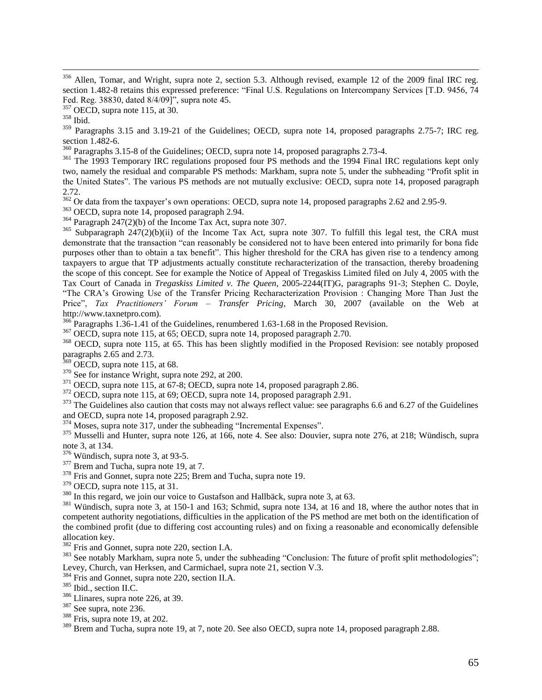<sup>356</sup> Allen, Tomar, and Wright, supra note [2,](#page-4-1) section 5.3. Although revised, example 12 of the 2009 final IRC reg. section 1.482-8 retains this expressed preference: "Final U.S. Regulations on Intercompany Services [T.D. 9456, 74] Fed. Reg. 38830, dated 8/4/09]", supra note [45.](#page-9-1)

 $\overline{a}$ 

<sup>359</sup> Paragraphs 3.15 and 3.19-21 of the Guidelines; OECD, supra note [14,](#page-6-0) proposed paragraphs 2.75-7; IRC reg. section 1.482-6.

 $360$  Paragraphs 3.15-8 of the Guidelines; OECD, supra not[e 14,](#page-6-0) proposed paragraphs 2.73-4.

<sup>361</sup> The 1993 Temporary IRC regulations proposed four PS methods and the 1994 Final IRC regulations kept only two, namely the residual and comparable PS methods: Markham, supra note [5,](#page-5-2) under the subheading "Profit split in the United States". The various PS methods are not mutually exclusive: OECD, supra note [14,](#page-6-0) proposed paragraph 2.72.

 $\frac{2.72}{362}$  Or data from the taxpayer's own operations: OECD, supra note [14,](#page-6-0) proposed paragraphs 2.62 and 2.95-9.

<sup>363</sup> OECD, supra note [14,](#page-6-0) proposed paragraph 2.94.

 $364$  Paragraph 247(2)(b) of the Income Tax Act, supra note [307.](#page-41-0)

<sup>365</sup> Subparagraph  $247(2)(b)(ii)$  of the Income Tax Act, supra note [307.](#page-41-0) To fulfill this legal test, the CRA must demonstrate that the transaction "can reasonably be considered not to have been entered into primarily for bona fide purposes other than to obtain a tax benefit". This higher threshold for the CRA has given rise to a tendency among taxpayers to argue that TP adjustments actually constitute recharacterization of the transaction, thereby broadening the scope of this concept. See for example the Notice of Appeal of Tregaskiss Limited filed on July 4, 2005 with the Tax Court of Canada in *Tregaskiss Limited v. The Queen*, 2005-2244(IT)G, paragraphs 91-3; Stephen C. Doyle, "The CRA"s Growing Use of the Transfer Pricing Recharacterization Provision : Changing More Than Just the Price", *Tax Practitioners' Forum – Transfer Pricing*, March 30, 2007 (available on the Web at [http://www.taxnetpro.com\)](http://www.taxnetpro.com/).

 $^{366}$ Paragraphs 1.36-1.41 of the Guidelines, renumbered 1.63-1.68 in the Proposed Revision.

<sup>367</sup> OECD, supra note [115,](#page-18-0) at 65; OECD, supra note [14,](#page-6-0) proposed paragraph 2.70.

<sup>368</sup> OECD, supra note [115,](#page-18-0) at 65. This has been slightly modified in the Proposed Revision: see notably proposed paragraphs 2.65 and 2.73.

 $369$  OECD, supra note [115,](#page-18-0) at 68.

 $370$  See for instance Wright, supra not[e 292,](#page-39-1) at 200.

 $371$  OECD, supra note [115,](#page-18-0) at 67-8; OECD, supra not[e 14,](#page-6-0) proposed paragraph 2.86.

 $372$  OECD, supra note [115,](#page-18-0) at 69; OECD, supra note [14,](#page-6-0) proposed paragraph 2.91.

<sup>373</sup> The Guidelines also caution that costs may not always reflect value: see paragraphs 6.6 and 6.27 of the Guidelines and OECD, supra note [14,](#page-6-0) proposed paragraph 2.92.

<sup>374</sup> Moses, supra note [317,](#page-42-0) under the subheading "Incremental Expenses".

 $375$  Musselli and Hunter, supra note [126,](#page-19-6) at 166, note 4. See also: Douvier, supra note [276,](#page-37-0) at 218; Wündisch, supra not[e 3,](#page-4-0) at 134.

 $376$  Wündisch, supra note [3,](#page-4-0) at 93-5.

<sup>377</sup> Brem and Tucha, supra note [19,](#page-7-5) at 7.

 $378$  Fris and Gonnet, supra note [225;](#page-32-0) Brem and Tucha, supra note [19.](#page-7-5)

 $379$  OECD, supra note [115,](#page-18-0) at 31.

<sup>380</sup> In this regard, we join our voice to Gustafson and Hallbäck, supra note [3,](#page-4-0) at 63.

 $381$  Wündisch, supra note [3,](#page-4-0) at 150-1 and 163; Schmid, supra note [134,](#page-20-0) at 16 and 18, where the author notes that in competent authority negotiations, difficulties in the application of the PS method are met both on the identification of the combined profit (due to differing cost accounting rules) and on fixing a reasonable and economically defensible allocation key.

<sup>382</sup> Fris and Gonnet, supra note [220,](#page-30-0) section I.A.

<sup>383</sup> See notably Markham, supra note [5,](#page-5-2) under the subheading "Conclusion: The future of profit split methodologies"; Levey, Church, van Herksen, and Carmichael, supra note [21,](#page-7-6) section V.3.

<sup>384</sup> Fris and Gonnet, supra note [220,](#page-30-0) section II.A.

<sup>385</sup> Ibid., section II.C.

<sup>386</sup> Llinares, supra note [226,](#page-32-1) at 39.

<sup>387</sup> See supra, note [236.](#page-32-3)

<sup>388</sup> Fris, supra note [19,](#page-7-5) at 202.

<sup>389</sup> Brem and Tucha, supra note [19,](#page-7-5) at 7, note 20. See also OECD, supra note [14,](#page-6-0) proposed paragraph 2.88.

 $357$  OECD, supra note [115,](#page-18-0) at 30.

<sup>358</sup> Ibid.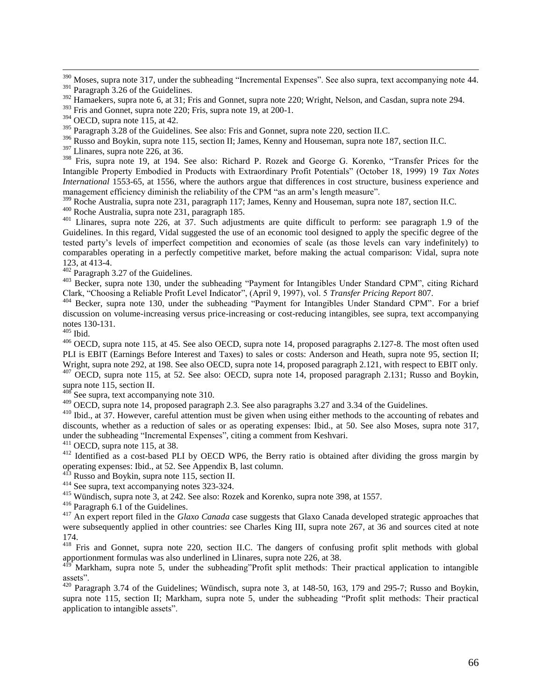$390$  Moses, supra note [317,](#page-42-0) under the subheading "Incremental Expenses". See also supra, text accompanying note [44.](#page-9-3)

<sup>392</sup> Hamaekers, supra note [6,](#page-5-0) at 31; Fris and Gonnet, supra note [220;](#page-30-0) Wright, Nelson, and Casdan, supra note [294.](#page-39-2)

<sup>393</sup> Fris and Gonnet, supra note [220;](#page-30-0) Fris, supra note [19,](#page-7-5) at 200-1.

<sup>395</sup> Paragraph 3.28 of the Guidelines. See also: Fris and Gonnet, supra note [220,](#page-30-0) section II.C.

<sup>396</sup> Russo and Boykin, supra note [115,](#page-18-0) section II; James, Kenny and Houseman, supra note [187,](#page-27-0) section II.C.

<sup>397</sup> Llinares, supra note [226,](#page-32-1) at 36.

<sup>398</sup> Fris, supra note [19,](#page-7-5) at 194. See also: Richard P. Rozek and George G. Korenko, "Transfer Prices for the Intangible Property Embodied in Products with Extraordinary Profit Potentials" (October 18, 1999) 19 *Tax Notes International* 1553-65, at 1556, where the authors argue that differences in cost structure, business experience and management efficiency diminish the reliability of the CPM "as an arm"s length measure".

<sup>399</sup> Roche Australia, supra not[e 231,](#page-32-2) paragraph 117; James, Kenny and Houseman, supra not[e 187,](#page-27-0) section II.C.

<sup>400</sup> Roche Australia, supra not[e 231,](#page-32-2) paragraph 185.

401 Llinares, supra note [226,](#page-32-1) at 37. Such adjustments are quite difficult to perform: see paragraph 1.9 of the Guidelines. In this regard, Vidal suggested the use of an economic tool designed to apply the specific degree of the tested party"s levels of imperfect competition and economies of scale (as those levels can vary indefinitely) to comparables operating in a perfectly competitive market, before making the actual comparison: Vidal, supra note [123,](#page-19-0) at 413-4.

 $402$  Paragraph 3.27 of the Guidelines.

<sup>403</sup> Becker, supra note [130,](#page-19-5) under the subheading "Payment for Intangibles Under Standard CPM", citing Richard Clark, "Choosing a Reliable Profit Level Indicator", (April 9, 1997), vol. 5 *Transfer Pricing Report* 807.

<sup>404</sup> Becker, supra note [130,](#page-19-5) under the subheading "Payment for Intangibles Under Standard CPM". For a brief discussion on volume-increasing versus price-increasing or cost-reducing intangibles, see supra, text accompanying notes [130-](#page-19-5)[131.](#page-19-7)

 $405$  Ibid.

 $\overline{a}$ 

<sup>406</sup> OECD, supra note [115,](#page-18-0) at 45. See also OECD, supra note [14,](#page-6-0) proposed paragraphs 2.127-8. The most often used PLI is EBIT (Earnings Before Interest and Taxes) to sales or costs: Anderson and Heath, supra note [95,](#page-16-1) section II; Wright, supra note [292,](#page-39-1) at 198. See also OECD, supra note [14,](#page-6-0) proposed paragraph 2.121, with respect to EBIT only. <sup>407</sup> OECD, supra note [115,](#page-18-0) at 52. See also: OECD, supra note [14,](#page-6-0) proposed paragraph 2.131; Russo and Boykin, supra note [115,](#page-18-0) section II.

 $408$  See supra, text accompanying note [310.](#page-41-1)

<sup>409</sup> OECD, supra note [14,](#page-6-0) proposed paragraph 2.3. See also paragraphs 3.27 and 3.34 of the Guidelines.

<sup>410</sup> Ibid., at 37. However, careful attention must be given when using either methods to the accounting of rebates and discounts, whether as a reduction of sales or as operating expenses: Ibid., at 50. See also Moses, supra note [317,](#page-42-0) under the subheading "Incremental Expenses", citing a comment from Keshvari.

<sup>411</sup> OECD, supra note [115,](#page-18-0) at 38.

412 Identified as a cost-based PLI by OECD WP6, the Berry ratio is obtained after dividing the gross margin by operating expenses: Ibid., at 52. See Appendix B, last column.

Russo and Boykin, supra note [115,](#page-18-0) section II.

<sup>414</sup> See supra, text accompanying notes [323-](#page-42-1)[324.](#page-42-2)

<sup>415</sup> Wündisch, supra note [3,](#page-4-0) at 242. See also: Rozek and Korenko, supra note [398,](#page-51-0) at 1557.

<sup>416</sup> Paragraph 6.1 of the Guidelines.

<sup>417</sup> An expert report filed in the *Glaxo Canada* case suggests that Glaxo Canada developed strategic approaches that were subsequently applied in other countries: see Charles King III, supra note [267,](#page-36-1) at 36 and sources cited at note 174.

<sup>418</sup> Fris and Gonnet, supra note [220,](#page-30-0) section II.C. The dangers of confusing profit split methods with global apportionment formulas was also underlined in Llinares, supra note [226,](#page-32-1) at 38.

Markham, supra note [5,](#page-5-2) under the subheading"Profit split methods: Their practical application to intangible assets".

<sup>420</sup> Paragraph 3.74 of the Guidelines; Wündisch, supra note [3,](#page-4-0) at 148-50, 163, 179 and 295-7; Russo and Boykin, supra note [115,](#page-18-0) section II; Markham, supra note [5,](#page-5-2) under the subheading "Profit split methods: Their practical application to intangible assets".

<sup>&</sup>lt;sup>391</sup> Paragraph 3.26 of the Guidelines.

 $394$  OECD, supra note [115,](#page-18-0) at 42.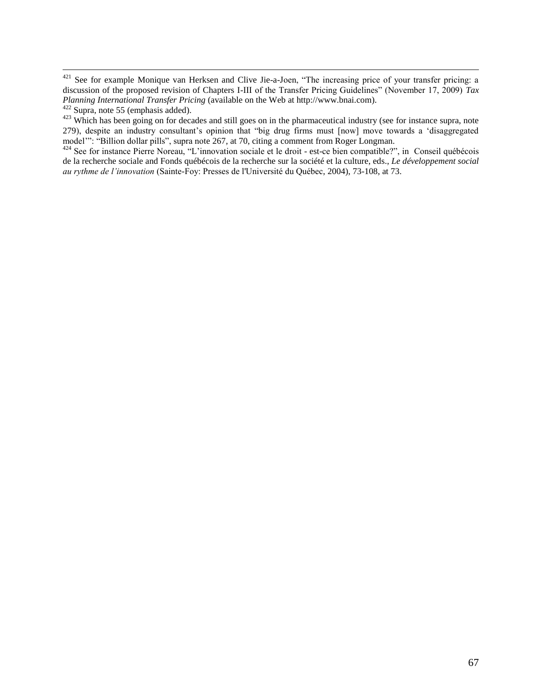$\overline{a}$ 

<sup>423</sup> Which has been going on for decades and still goes on in the pharmaceutical industry (see for instance supra, note [279\)](#page-37-1), despite an industry consultant"s opinion that "big drug firms must [now] move towards a "disaggregated model"": "Billion dollar pills", supra note [267,](#page-36-1) at 70, citing a comment from Roger Longman.

<sup>424</sup> See for instance Pierre Noreau, "L'innovation sociale et le droit - est-ce bien compatible?", in Conseil québécois de la recherche sociale and [Fonds québécois de la recherche sur la société et la culture,](http://www.puq.ca/auteurs/fonds-quebecois-recherche-sur-societe-culture-1189.html) eds., *Le développement social au rythme de l'innovation* (Sainte-Foy: Presses de l'Université du Québec, 2004), 73-108, at 73.

 $421$  See for example Monique van Herksen and Clive Jie-a-Joen, "The increasing price of your transfer pricing: a discussion of the proposed revision of Chapters I-III of the Transfer Pricing Guidelines" (November 17, 2009) *Tax Planning International Transfer Pricing* (available on the Web at [http://www.bnai.com\)](http://www.bnai.com/).

 $422$  Supra, note [55](#page-10-1) (emphasis added).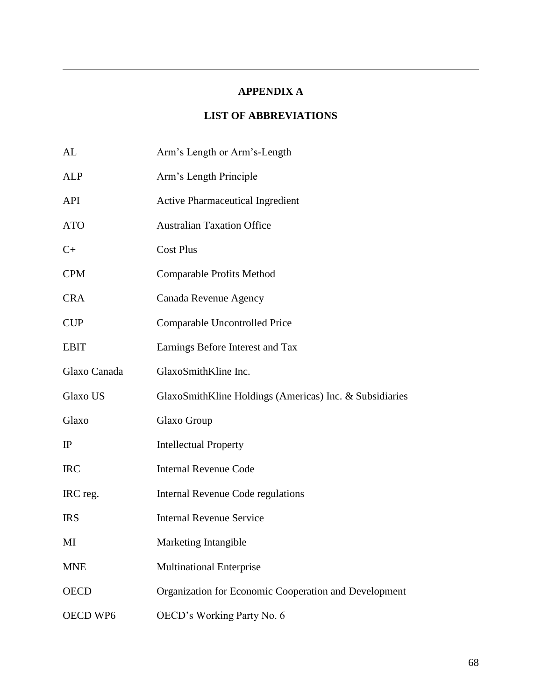## **APPENDIX A**

 $\overline{a}$ 

# **LIST OF ABBREVIATIONS**

| AL           | Arm's Length or Arm's-Length                            |
|--------------|---------------------------------------------------------|
| <b>ALP</b>   | Arm's Length Principle                                  |
| <b>API</b>   | <b>Active Pharmaceutical Ingredient</b>                 |
| <b>ATO</b>   | <b>Australian Taxation Office</b>                       |
| $C+$         | <b>Cost Plus</b>                                        |
| <b>CPM</b>   | Comparable Profits Method                               |
| <b>CRA</b>   | Canada Revenue Agency                                   |
| <b>CUP</b>   | Comparable Uncontrolled Price                           |
| <b>EBIT</b>  | Earnings Before Interest and Tax                        |
| Glaxo Canada | GlaxoSmithKline Inc.                                    |
| Glaxo US     | GlaxoSmithKline Holdings (Americas) Inc. & Subsidiaries |
| Glaxo        | Glaxo Group                                             |
| IP           | <b>Intellectual Property</b>                            |
| <b>IRC</b>   | <b>Internal Revenue Code</b>                            |
| IRC reg.     | Internal Revenue Code regulations                       |
| <b>IRS</b>   | <b>Internal Revenue Service</b>                         |
| MI           | Marketing Intangible                                    |
| <b>MNE</b>   | <b>Multinational Enterprise</b>                         |
| <b>OECD</b>  | Organization for Economic Cooperation and Development   |
| OECD WP6     | OECD's Working Party No. 6                              |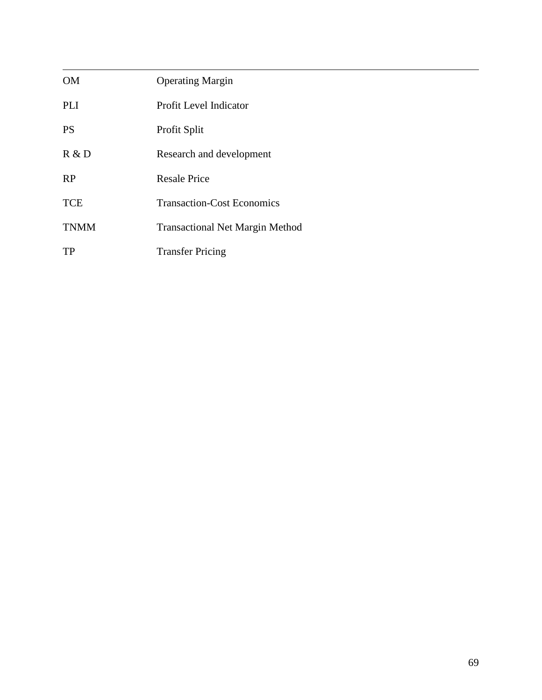| <b>OM</b>   | <b>Operating Margin</b>                |
|-------------|----------------------------------------|
| PLI         | Profit Level Indicator                 |
| <b>PS</b>   | Profit Split                           |
| R & D       | Research and development               |
| RP          | <b>Resale Price</b>                    |
| <b>TCE</b>  | <b>Transaction-Cost Economics</b>      |
| <b>TNMM</b> | <b>Transactional Net Margin Method</b> |
| TP          | <b>Transfer Pricing</b>                |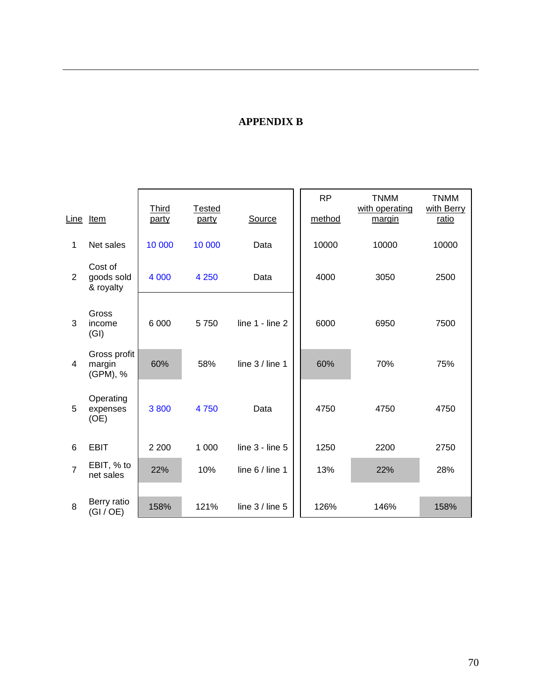# **APPENDIX B**

 $\overline{a}$ 

|                         |                                    |                       |                 |                     | <b>RP</b> | <b>TNMM</b>              | <b>TNMM</b>         |
|-------------------------|------------------------------------|-----------------------|-----------------|---------------------|-----------|--------------------------|---------------------|
| Line                    | Item                               | <b>Third</b><br>party | Tested<br>party | Source              | method    | with operating<br>margin | with Berry<br>ratio |
| 1                       | Net sales                          | 10 000                | 10 000          | Data                | 10000     | 10000                    | 10000               |
| $\overline{2}$          | Cost of<br>goods sold<br>& royalty | 4 0 0 0               | 4 2 5 0         | Data                | 4000      | 3050                     | 2500                |
| 3                       | Gross<br>income<br>(GI)            | 6 0 0 0               | 5750            | line $1 -$ line $2$ | 6000      | 6950                     | 7500                |
| $\overline{\mathbf{4}}$ | Gross profit<br>margin<br>(GPM), % | 60%                   | 58%             | line $3/$ line 1    | 60%       | 70%                      | 75%                 |
| 5                       | Operating<br>expenses<br>(OE)      | 3800                  | 4750            | Data                | 4750      | 4750                     | 4750                |
| 6                       | <b>EBIT</b>                        | 2 2 0 0               | 1 0 0 0         | line $3 -$ line $5$ | 1250      | 2200                     | 2750                |
| $\overline{7}$          | EBIT, % to<br>net sales            | 22%                   | 10%             | line 6 / line 1     | 13%       | 22%                      | 28%                 |
| 8                       | Berry ratio<br>(GI / OE)           | 158%                  | 121%            | line $3/$ line $5$  | 126%      | 146%                     | 158%                |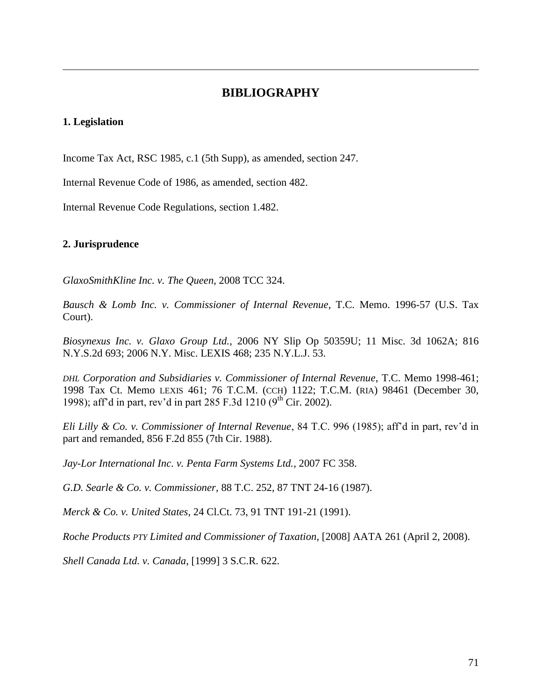# **BIBLIOGRAPHY**

#### **1. Legislation**

 $\overline{a}$ 

Income Tax Act, RSC 1985, c.1 (5th Supp), as amended, section 247.

Internal Revenue Code of 1986, as amended, section 482.

Internal Revenue Code Regulations, section 1.482.

### **2. Jurisprudence**

*GlaxoSmithKline Inc. v. The Queen*, 2008 TCC 324.

*Bausch & Lomb Inc. v. Commissioner of Internal Revenue*, T.C. Memo. 1996-57 (U.S. Tax Court).

*Biosynexus Inc. v. Glaxo Group Ltd.*, 2006 NY Slip Op 50359U; 11 Misc. 3d 1062A; 816 N.Y.S.2d 693; 2006 N.Y. Misc. LEXIS 468; 235 N.Y.L.J. 53.

*DHL Corporation and Subsidiaries v. Commissioner of Internal Revenue*, T.C. Memo 1998-461; 1998 Tax Ct. Memo LEXIS 461; 76 T.C.M. (CCH) 1122; T.C.M. (RIA) 98461 (December 30, 1998); aff'd in part, rev'd in part 285 F.3d 1210 ( $9^{th}$  Cir. 2002).

*Eli Lilly & Co. v. Commissioner of Internal Revenue*, 84 T.C. 996 (1985); aff"d in part, rev"d in part and remanded, 856 F.2d 855 (7th Cir. 1988).

*Jay-Lor International Inc. v. Penta Farm Systems Ltd.*, 2007 FC 358.

*G.D. Searle & Co. v. Commissioner*, 88 T.C. 252, 87 TNT 24-16 (1987).

*Merck & Co. v. United States*, 24 Cl.Ct. 73, 91 TNT 191-21 (1991).

*Roche Products PTY Limited and Commissioner of Taxation*, [2008] AATA 261 (April 2, 2008).

*Shell Canada Ltd. v. Canada*, [1999] 3 S.C.R. 622.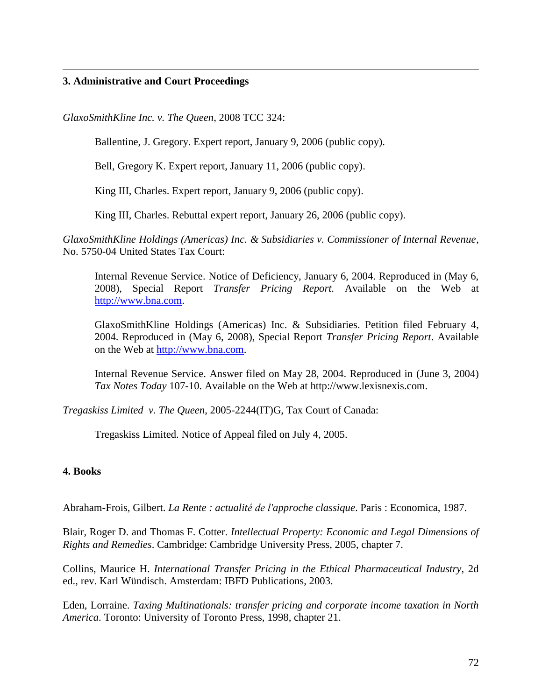#### **3. Administrative and Court Proceedings**

 $\overline{a}$ 

*GlaxoSmithKline Inc. v. The Queen*, 2008 TCC 324:

Ballentine, J. Gregory. Expert report, January 9, 2006 (public copy).

Bell, Gregory K. Expert report, January 11, 2006 (public copy).

King III, Charles. Expert report, January 9, 2006 (public copy).

King III, Charles. Rebuttal expert report, January 26, 2006 (public copy).

*GlaxoSmithKline Holdings (Americas) Inc. & Subsidiaries v. Commissioner of Internal Revenue*, No. 5750-04 United States Tax Court:

Internal Revenue Service. Notice of Deficiency, January 6, 2004. Reproduced in (May 6, 2008), Special Report *Transfer Pricing Report.* Available on the Web at [http://www.bna.com.](http://www.bna.com/)

GlaxoSmithKline Holdings (Americas) Inc. & Subsidiaries. Petition filed February 4, 2004. Reproduced in (May 6, 2008), Special Report *Transfer Pricing Report*. Available on the Web at [http://www.bna.com.](http://www.bna.com/)

Internal Revenue Service. Answer filed on May 28, 2004. Reproduced in (June 3, 2004) *Tax Notes Today* 107-10. Available on the Web at http://www.lexisnexis.com.

*Tregaskiss Limited v. The Queen*, 2005-2244(IT)G, Tax Court of Canada:

Tregaskiss Limited. Notice of Appeal filed on July 4, 2005.

## **4. Books**

Abraham-Frois, Gilbert. *La Rente : actualité de l'approche classique*. Paris : Economica, 1987.

Blair, Roger D. and Thomas F. Cotter. *Intellectual Property: Economic and Legal Dimensions of Rights and Remedies*. Cambridge: Cambridge University Press, 2005, chapter 7.

Collins, Maurice H. *International Transfer Pricing in the Ethical Pharmaceutical Industry*, 2d ed., rev. Karl Wündisch. Amsterdam: IBFD Publications, 2003.

Eden, Lorraine. *Taxing Multinationals: transfer pricing and corporate income taxation in North America*. Toronto: University of Toronto Press, 1998, chapter 21.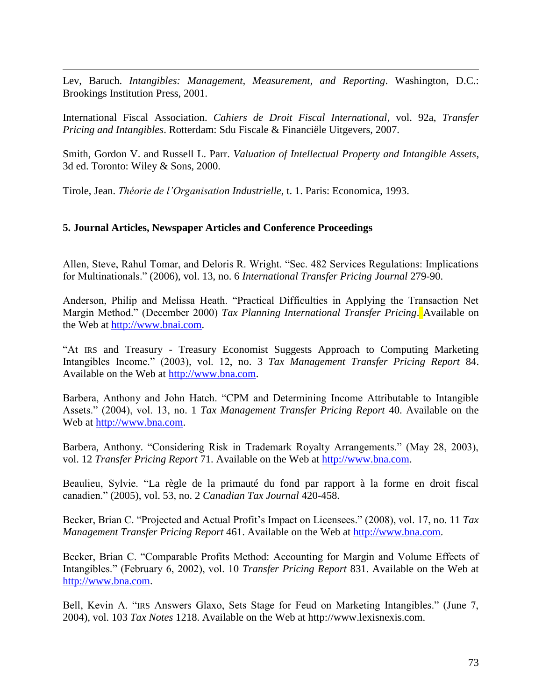$\overline{a}$ Lev, Baruch. *Intangibles: Management, Measurement, and Reporting*. Washington, D.C.: Brookings Institution Press, 2001.

International Fiscal Association. *Cahiers de Droit Fiscal International*, vol. 92a, *Transfer Pricing and Intangibles*. Rotterdam: Sdu Fiscale & Financiële Uitgevers, 2007.

Smith, Gordon V. and Russell L. Parr. *Valuation of Intellectual Property and Intangible Assets*, 3d ed. Toronto: Wiley & Sons, 2000.

Tirole, Jean. *Théorie de l'Organisation Industrielle*, t. 1. Paris: Economica, 1993.

#### **5. Journal Articles, Newspaper Articles and Conference Proceedings**

Allen, Steve, Rahul Tomar, and Deloris R. Wright. "Sec. 482 Services Regulations: Implications for Multinationals." (2006), vol. 13, no. 6 *International Transfer Pricing Journal* 279-90.

Anderson, Philip and Melissa Heath. "Practical Difficulties in Applying the Transaction Net Margin Method." (December 2000) *Tax Planning International Transfer Pricing*. Available on the Web at [http://www.bnai.com.](http://www.bnai.com/)

"At IRS and Treasury - Treasury Economist Suggests Approach to Computing Marketing Intangibles Income." (2003), vol. 12, no. 3 *Tax Management Transfer Pricing Report* 84. Available on the Web at [http://www.bna.com.](http://www.bna.com/)

Barbera, Anthony and John Hatch. "CPM and Determining Income Attributable to Intangible Assets." (2004), vol. 13, no. 1 *Tax Management Transfer Pricing Report* 40. Available on the Web at [http://www.bna.com.](http://www.bna.com/)

Barbera, Anthony. "Considering Risk in Trademark Royalty Arrangements." (May 28, 2003), vol. 12 *Transfer Pricing Report* 71. Available on the Web at [http://www.bna.com.](http://www.bna.com/)

Beaulieu, Sylvie. "La règle de la primauté du fond par rapport à la forme en droit fiscal canadien." (2005), vol. 53, no. 2 *Canadian Tax Journal* 420-458.

Becker, Brian C. "Projected and Actual Profit's Impact on Licensees." (2008), vol. 17, no. 11 *Tax Management Transfer Pricing Report* 461. Available on the Web at [http://www.bna.com.](http://www.bna.com/)

Becker, Brian C. "Comparable Profits Method: Accounting for Margin and Volume Effects of Intangibles." (February 6, 2002), vol. 10 *Transfer Pricing Report* 831. Available on the Web at [http://www.bna.com.](http://www.bna.com/)

Bell, Kevin A. "IRS Answers Glaxo, Sets Stage for Feud on Marketing Intangibles." (June 7, 2004), vol. 103 *Tax Notes* 1218. Available on the Web at http://www.lexisnexis.com.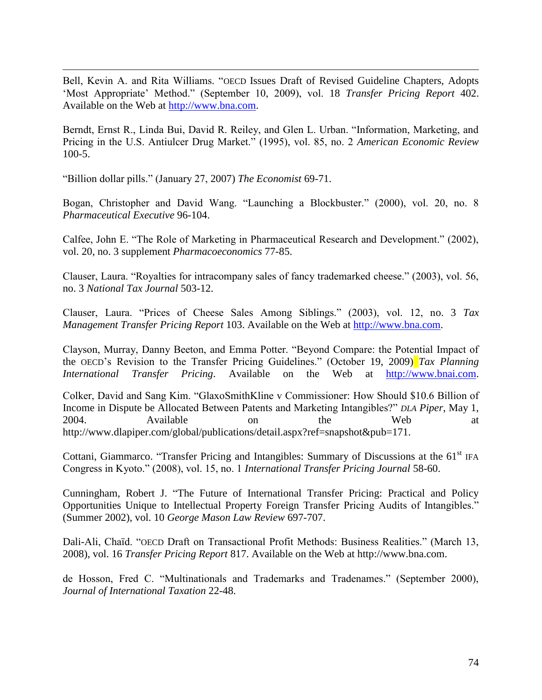Bell, Kevin A. and Rita Williams. "OECD Issues Draft of Revised Guideline Chapters, Adopts "Most Appropriate" Method." (September 10, 2009), vol. 18 *Transfer Pricing Report* 402. Available on the Web at [http://www.bna.com.](http://www.bna.com/)

Berndt, Ernst R., Linda Bui, David R. Reiley, and Glen L. Urban. "Information, Marketing, and Pricing in the U.S. Antiulcer Drug Market." (1995), vol. 85, no. 2 *American Economic Review*  100-5.

"Billion dollar pills." (January 27, 2007) *The Economist* 69-71.

 $\overline{a}$ 

Bogan, Christopher and David Wang. "Launching a Blockbuster." (2000), vol. 20, no. 8 *Pharmaceutical Executive* 96-104.

Calfee, John E. "The Role of Marketing in Pharmaceutical Research and Development." (2002), vol. 20, no. 3 supplement *Pharmacoeconomics* 77-85.

Clauser, Laura. "Royalties for intracompany sales of fancy trademarked cheese." (2003), vol. 56, no. 3 *National Tax Journal* 503-12.

Clauser, Laura. "Prices of Cheese Sales Among Siblings." (2003), vol. 12, no. 3 *Tax Management Transfer Pricing Report* 103. Available on the Web at [http://www.bna.com.](http://www.bna.com/)

Clayson, Murray, Danny Beeton, and Emma Potter. "Beyond Compare: the Potential Impact of the OECD"s Revision to the Transfer Pricing Guidelines." (October 19, 2009) *Tax Planning International Transfer Pricing*. Available on the Web at [http://www.bnai.com.](http://www.bnai.com/)

Colker, David and Sang Kim. "GlaxoSmithKline v Commissioner: How Should \$10.6 Billion of Income in Dispute be Allocated Between Patents and Marketing Intangibles?" *DLA Piper*, May 1, 2004. Available on the Web at http://www.dlapiper.com/global/publications/detail.aspx?ref=snapshot&pub=171.

Cottani, Giammarco. "Transfer Pricing and Intangibles: Summary of Discussions at the 61<sup>st</sup> IFA Congress in Kyoto." (2008), vol. 15, no. 1 *International Transfer Pricing Journal* 58-60.

Cunningham, Robert J. "The Future of International Transfer Pricing: Practical and Policy Opportunities Unique to Intellectual Property Foreign Transfer Pricing Audits of Intangibles." (Summer 2002), vol. 10 *George Mason Law Review* 697-707.

Dali-Ali, Chaïd. "OECD Draft on Transactional Profit Methods: Business Realities." (March 13, 2008), vol. 16 *Transfer Pricing Report* 817. Available on the Web at http://www.bna.com.

de Hosson, Fred C. "Multinationals and Trademarks and Tradenames." (September 2000), *Journal of International Taxation* 22-48.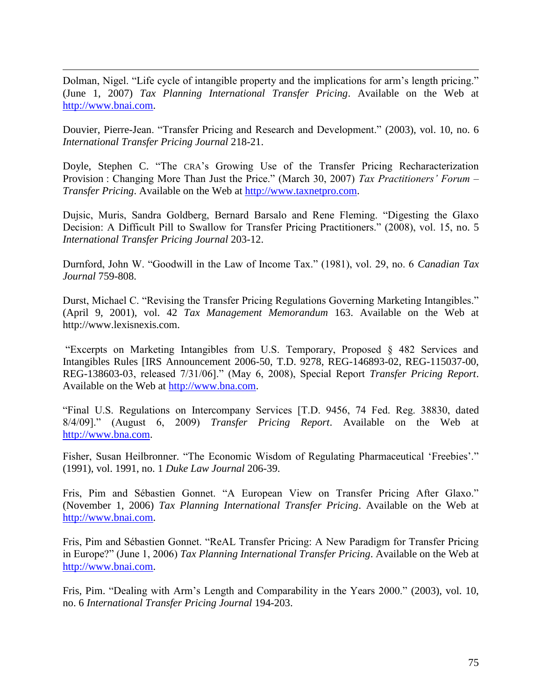Dolman, Nigel. "Life cycle of intangible property and the implications for arm"s length pricing." (June 1, 2007) *Tax Planning International Transfer Pricing*. Available on the Web at [http://www.bnai.com.](http://www.bnai.com/)

 $\overline{a}$ 

Douvier, Pierre-Jean. "Transfer Pricing and Research and Development." (2003), vol. 10, no. 6 *International Transfer Pricing Journal* 218-21.

Doyle, Stephen C. "The CRA"s Growing Use of the Transfer Pricing Recharacterization Provision : Changing More Than Just the Price." (March 30, 2007) *Tax Practitioners' Forum – Transfer Pricing*. Available on the Web at [http://www.taxnetpro.com.](http://www.taxnetpro.com/)

Dujsic, Muris, Sandra Goldberg, Bernard Barsalo and Rene Fleming. "Digesting the Glaxo Decision: A Difficult Pill to Swallow for Transfer Pricing Practitioners." (2008), vol. 15, no. 5 *International Transfer Pricing Journal* 203-12.

Durnford, John W. "Goodwill in the Law of Income Tax." (1981), vol. 29, no. 6 *Canadian Tax Journal* 759-808.

Durst, Michael C. "Revising the Transfer Pricing Regulations Governing Marketing Intangibles." (April 9, 2001), vol. 42 *Tax Management Memorandum* 163. Available on the Web at http://www.lexisnexis.com.

"Excerpts on Marketing Intangibles from U.S. Temporary, Proposed § 482 Services and Intangibles Rules [IRS Announcement 2006-50, T.D. 9278, REG-146893-02, REG-115037-00, REG-138603-03, released 7/31/06]." (May 6, 2008), Special Report *Transfer Pricing Report*. Available on the Web at [http://www.bna.com.](http://www.bna.com/)

"Final U.S. Regulations on Intercompany Services [T.D. 9456, 74 Fed. Reg. 38830, dated 8/4/09]." (August 6, 2009) *Transfer Pricing Report*. Available on the Web at [http://www.bna.com.](http://www.bna.com/)

Fisher, Susan Heilbronner. "The Economic Wisdom of Regulating Pharmaceutical 'Freebies'." (1991), vol. 1991, no. 1 *Duke Law Journal* 206-39.

Fris, Pim and Sébastien Gonnet. "A European View on Transfer Pricing After Glaxo." (November 1, 2006) *Tax Planning International Transfer Pricing*. Available on the Web at [http://www.bnai.com.](http://www.bnai.com/)

Fris, Pim and Sébastien Gonnet. "ReAL Transfer Pricing: A New Paradigm for Transfer Pricing in Europe?" (June 1, 2006) *Tax Planning International Transfer Pricing*. Available on the Web at [http://www.bnai.com.](http://www.bnai.com/)

Fris, Pim. "Dealing with Arm"s Length and Comparability in the Years 2000." (2003), vol. 10, no. 6 *International Transfer Pricing Journal* 194-203.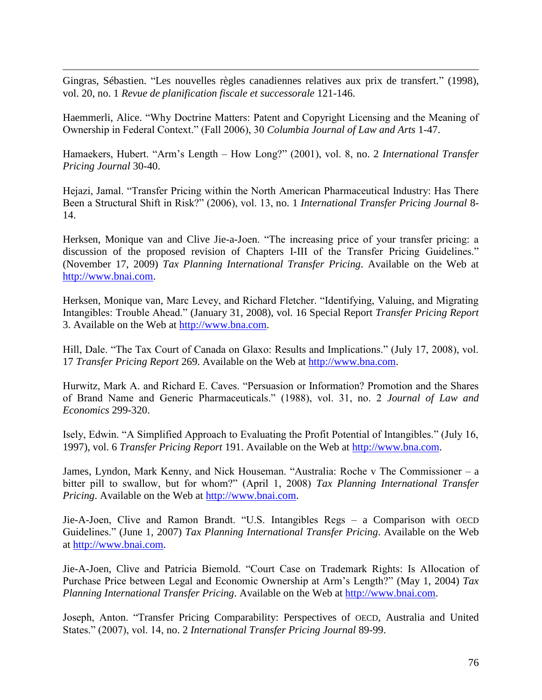Gingras, Sébastien. "Les nouvelles règles canadiennes relatives aux prix de transfert." (1998), vol. 20, no. 1 *Revue de planification fiscale et successorale* 121-146.

 $\overline{a}$ 

Haemmerli, Alice. "Why Doctrine Matters: Patent and Copyright Licensing and the Meaning of Ownership in Federal Context." (Fall 2006), 30 *Columbia Journal of Law and Arts* 1-47.

Hamaekers, Hubert. "Arm"s Length – How Long?" (2001), vol. 8, no. 2 *International Transfer Pricing Journal* 30-40.

Hejazi, Jamal. "Transfer Pricing within the North American Pharmaceutical Industry: Has There Been a Structural Shift in Risk?" (2006), vol. 13, no. 1 *International Transfer Pricing Journal* 8- 14.

Herksen, Monique van and Clive Jie-a-Joen. "The increasing price of your transfer pricing: a discussion of the proposed revision of Chapters I-III of the Transfer Pricing Guidelines." (November 17, 2009) *Tax Planning International Transfer Pricing*. Available on the Web at [http://www.bnai.com.](http://www.bnai.com/)

Herksen, Monique van, Marc Levey, and Richard Fletcher. "Identifying, Valuing, and Migrating Intangibles: Trouble Ahead." (January 31, 2008), vol. 16 Special Report *Transfer Pricing Report* 3. Available on the Web at [http://www.bna.com.](http://www.bna.com/)

Hill, Dale. "The Tax Court of Canada on Glaxo: Results and Implications." (July 17, 2008), vol. 17 *Transfer Pricing Report* 269. Available on the Web at [http://www.bna.com.](http://www.bna.com/)

Hurwitz, Mark A. and Richard E. Caves. "Persuasion or Information? Promotion and the Shares of Brand Name and Generic Pharmaceuticals." (1988), vol. 31, no. 2 *Journal of Law and Economics* 299-320.

Isely, Edwin. "A Simplified Approach to Evaluating the Profit Potential of Intangibles." (July 16, 1997), vol. 6 *Transfer Pricing Report* 191. Available on the Web at [http://www.bna.com.](http://www.bna.com/)

James, Lyndon, Mark Kenny, and Nick Houseman. "Australia: Roche v The Commissioner – a bitter pill to swallow, but for whom?" (April 1, 2008) *Tax Planning International Transfer Pricing*. Available on the Web at [http://www.bnai.com.](http://www.bnai.com/)

Jie-A-Joen, Clive and Ramon Brandt. "U.S. Intangibles Regs – a Comparison with OECD Guidelines." (June 1, 2007) *Tax Planning International Transfer Pricing*. Available on the Web at [http://www.bnai.com.](http://www.bnai.com/)

Jie-A-Joen, Clive and Patricia Biemold. "Court Case on Trademark Rights: Is Allocation of Purchase Price between Legal and Economic Ownership at Arm"s Length?" (May 1, 2004) *Tax Planning International Transfer Pricing*. Available on the Web at [http://www.bnai.com.](http://www.bnai.com/)

Joseph, Anton. "Transfer Pricing Comparability: Perspectives of OECD, Australia and United States." (2007), vol. 14, no. 2 *International Transfer Pricing Journal* 89-99.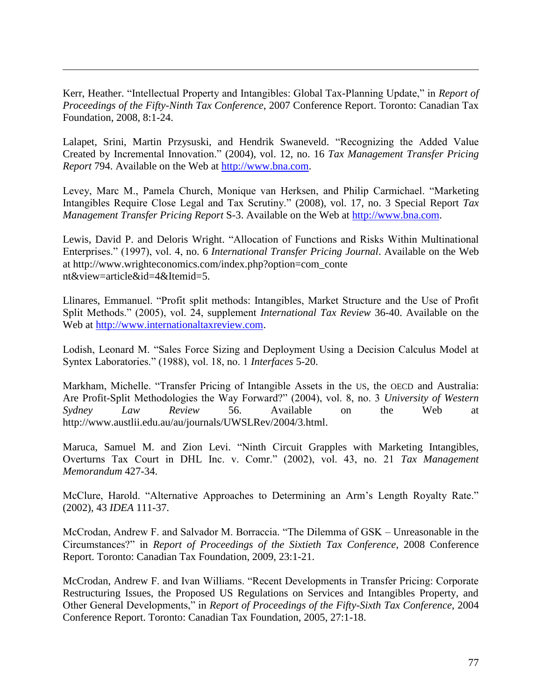Kerr, Heather. "Intellectual Property and Intangibles: Global Tax-Planning Update," in *Report of Proceedings of the Fifty-Ninth Tax Conference*, 2007 Conference Report. Toronto: Canadian Tax Foundation, 2008, 8:1-24.

 $\overline{a}$ 

Lalapet, Srini, Martin Przysuski, and Hendrik Swaneveld. "Recognizing the Added Value Created by Incremental Innovation." (2004), vol. 12, no. 16 *Tax Management Transfer Pricing Report* 794. Available on the Web at [http://www.bna.com.](http://www.bna.com/)

Levey, Marc M., Pamela Church, Monique van Herksen, and Philip Carmichael. "Marketing Intangibles Require Close Legal and Tax Scrutiny." (2008), vol. 17, no. 3 Special Report *Tax Management Transfer Pricing Report* S-3. Available on the Web at [http://www.bna.com.](http://www.bna.com/)

Lewis, David P. and Deloris Wright. "Allocation of Functions and Risks Within Multinational Enterprises." (1997), vol. 4, no. 6 *International Transfer Pricing Journal*. Available on the Web at http://www.wrighteconomics.com/index.php?option=com\_conte nt&view=article&id=4&Itemid=5.

Llinares, Emmanuel. "Profit split methods: Intangibles, Market Structure and the Use of Profit Split Methods." (2005), vol. 24, supplement *International Tax Review* 36-40. Available on the Web at [http://www.internationaltaxreview.com.](http://www.internationaltaxreview.com)/)

Lodish, Leonard M. "Sales Force Sizing and Deployment Using a Decision Calculus Model at Syntex Laboratories." (1988), vol. 18, no. 1 *Interfaces* 5-20.

Markham, Michelle. "Transfer Pricing of Intangible Assets in the US, the OECD and Australia: Are Profit-Split Methodologies the Way Forward?" (2004), vol. 8, no. 3 *University of Western Sydney Law Review* 56. Available on the Web at http://www.austlii.edu.au/au/journals/UWSLRev/2004/3.html.

Maruca, Samuel M. and Zion Levi. "Ninth Circuit Grapples with Marketing Intangibles, Overturns Tax Court in DHL Inc. v. Comr." (2002), vol. 43, no. 21 *Tax Management Memorandum* 427-34.

McClure, Harold. "Alternative Approaches to Determining an Arm"s Length Royalty Rate." (2002), 43 *IDEA* 111-37.

McCrodan, Andrew F. and Salvador M. Borraccia. "The Dilemma of GSK – Unreasonable in the Circumstances?" in *Report of Proceedings of the Sixtieth Tax Conference*, 2008 Conference Report. Toronto: Canadian Tax Foundation, 2009, 23:1-21.

McCrodan, Andrew F. and Ivan Williams. "Recent Developments in Transfer Pricing: Corporate Restructuring Issues, the Proposed US Regulations on Services and Intangibles Property, and Other General Developments," in *Report of Proceedings of the Fifty-Sixth Tax Conference*, 2004 Conference Report. Toronto: Canadian Tax Foundation, 2005, 27:1-18.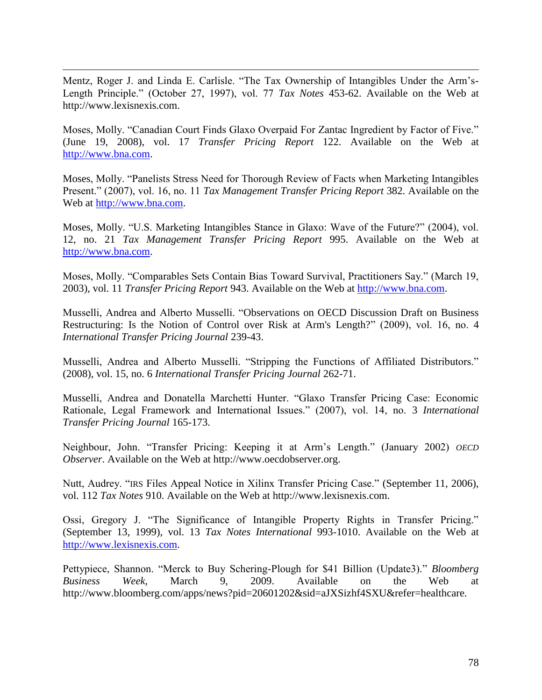Mentz, Roger J. and Linda E. Carlisle. "The Tax Ownership of Intangibles Under the Arm"s-Length Principle." (October 27, 1997), vol. 77 *Tax Notes* 453-62. Available on the Web at http://www.lexisnexis.com.

 $\overline{a}$ 

Moses, Molly. "Canadian Court Finds Glaxo Overpaid For Zantac Ingredient by Factor of Five." (June 19, 2008), vol. 17 *Transfer Pricing Report* 122. Available on the Web at [http://www.bna.com.](http://www.bna.com/)

Moses, Molly. "Panelists Stress Need for Thorough Review of Facts when Marketing Intangibles Present." (2007), vol. 16, no. 11 *Tax Management Transfer Pricing Report* 382. Available on the Web at [http://www.bna.com.](http://www.bna.com/)

Moses, Molly. "U.S. Marketing Intangibles Stance in Glaxo: Wave of the Future?" (2004), vol. 12, no. 21 *Tax Management Transfer Pricing Report* 995. Available on the Web at [http://www.bna.com.](http://www.bna.com/)

Moses, Molly. "Comparables Sets Contain Bias Toward Survival, Practitioners Say." (March 19, 2003), vol. 11 *Transfer Pricing Report* 943. Available on the Web at [http://www.bna.com.](http://www.bna.com/)

Musselli, Andrea and Alberto Musselli. ["Observations on OECD Discussion Draft on Business](http://ip-online.ibfd.org/highlight/collections/itpj/pdf/2009/issue04/itpj090402.pdf?hlm=altering&q=Comments+on+the+OECD+Discussion+Draft+&q=comment&q=discussions&q=drafts)  [Restructuring: Is the Notion of Control over Risk at Arm's Length?"](http://ip-online.ibfd.org/highlight/collections/itpj/pdf/2009/issue04/itpj090402.pdf?hlm=altering&q=Comments+on+the+OECD+Discussion+Draft+&q=comment&q=discussions&q=drafts) (2009), vol. 16, no. 4 *International Transfer Pricing Journal* 239-43.

Musselli, Andrea and Alberto Musselli. "Stripping the Functions of Affiliated Distributors." (2008), vol. 15, no. 6 *International Transfer Pricing Journal* 262-71.

Musselli, Andrea and Donatella Marchetti Hunter. "Glaxo Transfer Pricing Case: Economic Rationale, Legal Framework and International Issues." (2007), vol. 14, no. 3 *International Transfer Pricing Journal* 165-173.

Neighbour, John. "Transfer Pricing: Keeping it at Arm"s Length." (January 2002) *OECD Observer*. Available on the Web at http://www.oecdobserver.org.

Nutt, Audrey. "IRS Files Appeal Notice in Xilinx Transfer Pricing Case." (September 11, 2006), vol. 112 *Tax Notes* 910. Available on the Web at http://www.lexisnexis.com.

Ossi, Gregory J. "The Significance of Intangible Property Rights in Transfer Pricing." (September 13, 1999), vol. 13 *Tax Notes International* 993-1010. Available on the Web at [http://www.lexisnexis.com.](http://www.lexisnexis.com/)

Pettypiece, Shannon. "Merck to Buy Schering-Plough for \$41 Billion (Update3)." *Bloomberg Business Week*, March 9, 2009. Available on the Web at http://www.bloomberg.com/apps/news?pid=20601202&sid=aJXSizhf4SXU&refer=healthcare.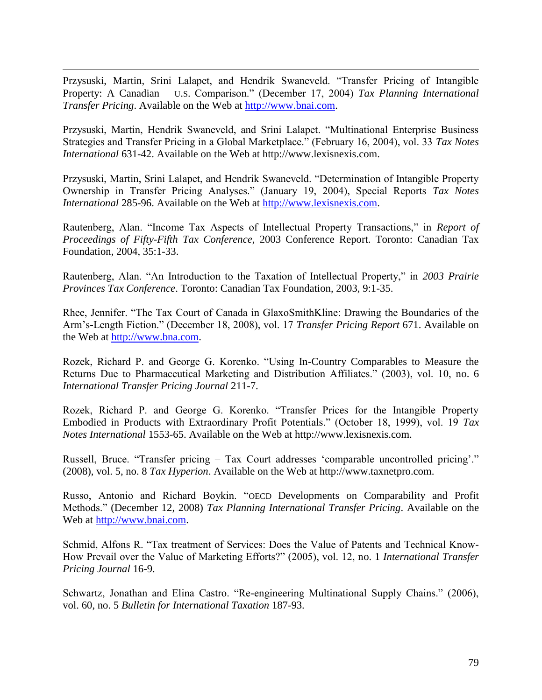Przysuski, Martin, Srini Lalapet, and Hendrik Swaneveld. "Transfer Pricing of Intangible Property: A Canadian – U.S. Comparison." (December 17, 2004) *Tax Planning International Transfer Pricing*. Available on the Web at [http://www.bnai.com.](http://www.bnai.com/)

 $\overline{a}$ 

Przysuski, Martin, Hendrik Swaneveld, and Srini Lalapet. "Multinational Enterprise Business Strategies and Transfer Pricing in a Global Marketplace." (February 16, 2004), vol. 33 *Tax Notes International* 631-42. Available on the Web at http://www.lexisnexis.com.

Przysuski, Martin, Srini Lalapet, and Hendrik Swaneveld. "Determination of Intangible Property Ownership in Transfer Pricing Analyses." (January 19, 2004), Special Reports *Tax Notes International* 285-96. Available on the Web at [http://www.lexisnexis.com.](http://www.lexisnexis.com/)

Rautenberg, Alan. "Income Tax Aspects of Intellectual Property Transactions," in *Report of Proceedings of Fifty-Fifth Tax Conference*, 2003 Conference Report. Toronto: Canadian Tax Foundation, 2004, 35:1-33.

Rautenberg, Alan. "An Introduction to the Taxation of Intellectual Property," in *2003 Prairie Provinces Tax Conference*. Toronto: Canadian Tax Foundation, 2003, 9:1-35.

Rhee, Jennifer. "The Tax Court of Canada in GlaxoSmithKline: Drawing the Boundaries of the Arm"s-Length Fiction." (December 18, 2008), vol. 17 *Transfer Pricing Report* 671. Available on the Web at [http://www.bna.com.](http://www.bna.com/)

Rozek, Richard P. and George G. Korenko. "Using In-Country Comparables to Measure the Returns Due to Pharmaceutical Marketing and Distribution Affiliates." (2003), vol. 10, no. 6 *International Transfer Pricing Journal* 211-7.

Rozek, Richard P. and George G. Korenko. "Transfer Prices for the Intangible Property Embodied in Products with Extraordinary Profit Potentials." (October 18, 1999), vol. 19 *Tax Notes International* 1553-65. Available on the Web at http://www.lexisnexis.com.

Russell, Bruce. "Transfer pricing – Tax Court addresses "comparable uncontrolled pricing"." (2008), vol. 5, no. 8 *Tax Hyperion*. Available on the Web at http://www.taxnetpro.com.

Russo, Antonio and Richard Boykin. "OECD Developments on Comparability and Profit Methods." (December 12, 2008) *Tax Planning International Transfer Pricing*. Available on the Web at [http://www.bnai.com.](http://www.bnai.com/)

Schmid, Alfons R. "Tax treatment of Services: Does the Value of Patents and Technical Know-How Prevail over the Value of Marketing Efforts?" (2005), vol. 12, no. 1 *International Transfer Pricing Journal* 16-9.

Schwartz, Jonathan and Elina Castro. "Re-engineering Multinational Supply Chains." (2006), vol. 60, no. 5 *Bulletin for International Taxation* 187-93.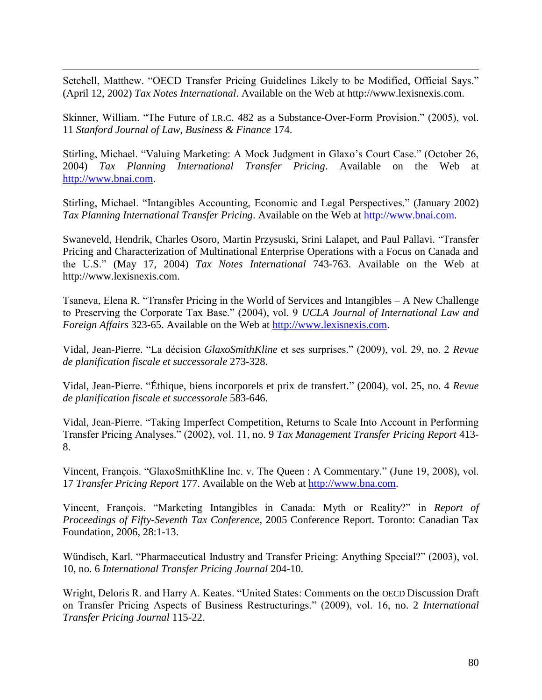$\overline{a}$ Setchell, Matthew. "OECD Transfer Pricing Guidelines Likely to be Modified, Official Says." (April 12, 2002) *Tax Notes International*. Available on the Web at http://www.lexisnexis.com.

Skinner, William. "The Future of I.R.C. 482 as a Substance-Over-Form Provision." (2005), vol. 11 *Stanford Journal of Law, Business & Finance* 174.

Stirling, Michael. "Valuing Marketing: A Mock Judgment in Glaxo"s Court Case." (October 26, 2004) *Tax Planning International Transfer Pricing*. Available on the Web at [http://www.bnai.com.](http://www.bnai.com/)

Stirling, Michael. "Intangibles Accounting, Economic and Legal Perspectives." (January 2002) *Tax Planning International Transfer Pricing*. Available on the Web at [http://www.bnai.com.](http://www.bnai.com/)

Swaneveld, Hendrik, Charles Osoro, Martin Przysuski, Srini Lalapet, and Paul Pallavi. "Transfer Pricing and Characterization of Multinational Enterprise Operations with a Focus on Canada and the U.S." (May 17, 2004) *Tax Notes International* 743-763. Available on the Web at http://www.lexisnexis.com.

Tsaneva, Elena R. "Transfer Pricing in the World of Services and Intangibles – A New Challenge to Preserving the Corporate Tax Base." (2004), vol. 9 *UCLA Journal of International Law and Foreign Affairs* 323-65. Available on the Web at [http://www.lexisnexis.com.](http://www.lexisnexis.com/)

Vidal, Jean-Pierre. "La décision *GlaxoSmithKline* et ses surprises." (2009), vol. 29, no. 2 *Revue de planification fiscale et successorale* 273-328.

Vidal, Jean-Pierre. "Éthique, biens incorporels et prix de transfert." (2004), vol. 25, no. 4 *Revue de planification fiscale et successorale* 583-646.

Vidal, Jean-Pierre. "Taking Imperfect Competition, Returns to Scale Into Account in Performing Transfer Pricing Analyses." (2002), vol. 11, no. 9 *Tax Management Transfer Pricing Report* 413- 8.

Vincent, François. "GlaxoSmithKline Inc. v. The Queen : A Commentary." (June 19, 2008), vol. 17 *Transfer Pricing Report* 177. Available on the Web at [http://www.bna.com.](http://www.bna.com/)

Vincent, François. "Marketing Intangibles in Canada: Myth or Reality?" in *Report of Proceedings of Fifty-Seventh Tax Conference*, 2005 Conference Report. Toronto: Canadian Tax Foundation, 2006, 28:1-13.

Wündisch, Karl. "Pharmaceutical Industry and Transfer Pricing: Anything Special?" (2003), vol. 10, no. 6 *International Transfer Pricing Journal* 204-10.

Wright, Deloris R. and Harry A. Keates. "United States: Comments on the OECD Discussion Draft on Transfer Pricing Aspects of Business Restructurings." (2009), vol. 16, no. 2 *International Transfer Pricing Journal* 115-22.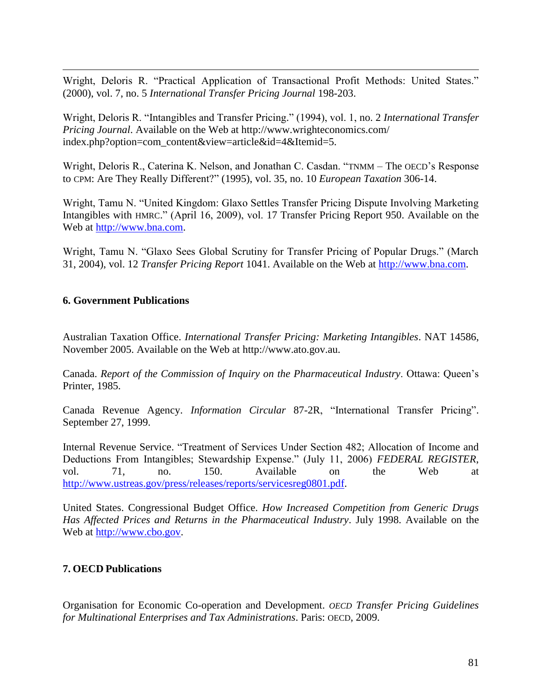$\overline{a}$ Wright, Deloris R. "Practical Application of Transactional Profit Methods: United States." (2000), vol. 7, no. 5 *International Transfer Pricing Journal* 198-203.

Wright, Deloris R. "Intangibles and Transfer Pricing." (1994), vol. 1, no. 2 *International Transfer Pricing Journal*. Available on the Web at http://www.wrighteconomics.com/ index.php?option=com\_content&view=article&id=4&Itemid=5.

Wright, Deloris R., Caterina K. Nelson, and Jonathan C. Casdan. "TNMM – The OECD's Response to CPM: Are They Really Different?" (1995), vol. 35, no. 10 *European Taxation* 306-14.

Wright, Tamu N. "United Kingdom: Glaxo Settles Transfer Pricing Dispute Involving Marketing Intangibles with HMRC." (April 16, 2009), vol. 17 Transfer Pricing Report 950. Available on the Web at [http://www.bna.com.](http://www.bna.com/)

Wright, Tamu N. "Glaxo Sees Global Scrutiny for Transfer Pricing of Popular Drugs." (March 31, 2004), vol. 12 *Transfer Pricing Report* 1041. Available on the Web at [http://www.bna.com.](http://www.bna.com/)

## **6. Government Publications**

Australian Taxation Office. *International Transfer Pricing: Marketing Intangibles*. NAT 14586, November 2005. Available on the Web at http://www.ato.gov.au.

Canada. *Report of the Commission of Inquiry on the Pharmaceutical Industry*. Ottawa: Queen"s Printer, 1985.

Canada Revenue Agency. *Information Circular* 87-2R, "International Transfer Pricing". September 27, 1999.

Internal Revenue Service. "Treatment of Services Under Section 482; Allocation of Income and Deductions From Intangibles; Stewardship Expense." (July 11, 2006) *FEDERAL REGISTER*, vol. 71, no. 150. Available on the Web at [http://www.ustreas.gov/press/releases/reports/servicesreg0801.pdf.](http://www.ustreas.gov/press/releases/reports/servicesreg0801.pdf)

United States. Congressional Budget Office. *How Increased Competition from Generic Drugs Has Affected Prices and Returns in the Pharmaceutical Industry*. July 1998. Available on the Web at [http://www.cbo.gov.](http://www.cbo.gov/)

## **7. OECD Publications**

Organisation for Economic Co-operation and Development. *OECD Transfer Pricing Guidelines for Multinational Enterprises and Tax Administrations*. Paris: OECD, 2009.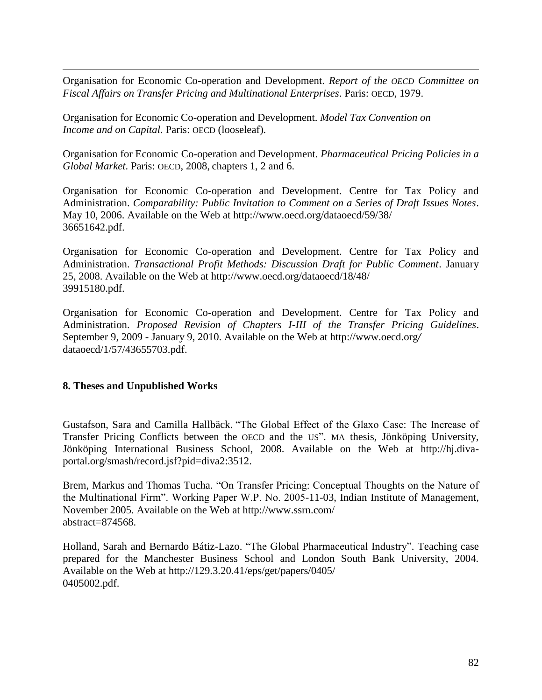Organisation for Economic Co-operation and Development. *Report of the OECD Committee on Fiscal Affairs on Transfer Pricing and Multinational Enterprises*. Paris: OECD, 1979.

Organisation for Economic Co-operation and Development. *Model Tax Convention on Income and on Capital*. Paris: OECD (looseleaf).

Organisation for Economic Co-operation and Development. *Pharmaceutical Pricing Policies in a Global Market*. Paris: OECD, 2008, chapters 1, 2 and 6.

Organisation for Economic Co-operation and Development. Centre for Tax Policy and Administration. *Comparability: Public Invitation to Comment on a Series of Draft Issues Notes*. May 10, 2006. Available on the Web at http://www.oecd.org/dataoecd/59/38/ 36651642.pdf.

Organisation for Economic Co-operation and Development. Centre for Tax Policy and Administration. *Transactional Profit Methods: Discussion Draft for Public Comment*. January 25, 2008. Available on the Web at http://www.oecd.org/dataoecd/18/48/ 39915180.pdf.

Organisation for Economic Co-operation and Development. Centre for Tax Policy and Administration. *Proposed Revision of Chapters I-III of the Transfer Pricing Guidelines*. September 9, 2009 - January 9, 2010. Available on the Web at http://www.oecd.org*/* dataoecd/1/57/43655703.pdf.

#### **8. Theses and Unpublished Works**

 $\overline{a}$ 

Gustafson, Sara and Camilla Hallbäck. "The Global Effect of the Glaxo Case: The Increase of Transfer Pricing Conflicts between the OECD and the US". MA thesis, Jönköping University, Jönköping International Business School, 2008. Available on the Web at http://hj.divaportal.org/smash/record.jsf?pid=diva2:3512.

Brem, Markus and Thomas Tucha. "On Transfer Pricing: Conceptual Thoughts on the Nature of the Multinational Firm". Working Paper W.P. No. 2005-11-03, Indian Institute of Management, November 2005. Available on the Web at http://www.ssrn.com/ abstract=874568.

Holland, Sarah and Bernardo Bátiz-Lazo. "The Global Pharmaceutical Industry". Teaching case prepared for the Manchester Business School and London South Bank University, 2004. Available on the Web at http://129.3.20.41/eps/get/papers/0405/ 0405002.pdf.